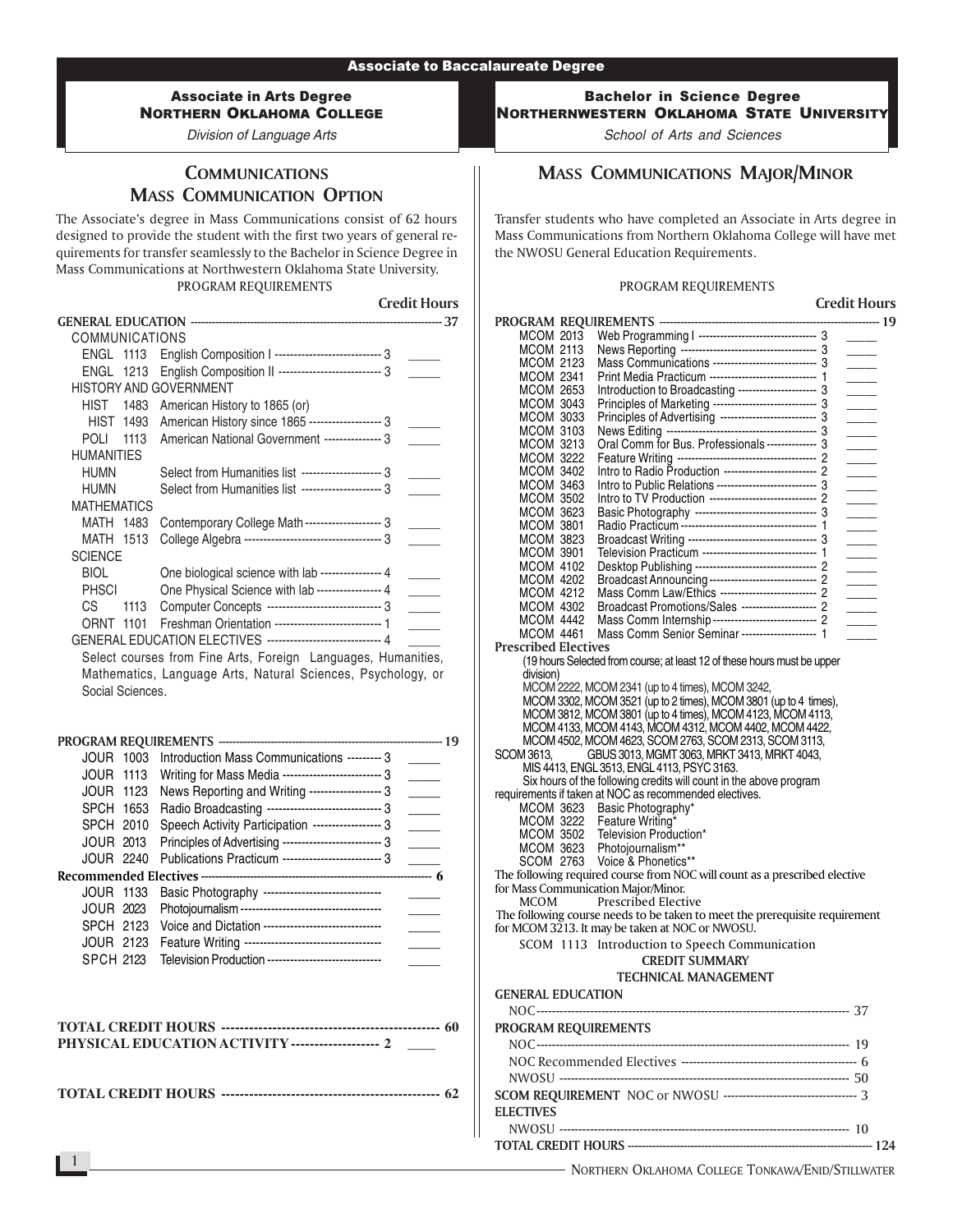### Associate in Arts Degree NORTHERN OKLAHOMA COLLEGE

Division of Language Arts

# **COMMUNICATIONS** MASS COMMUNICATION OPTION

The Associate's degree in Mass Communications consist of 62 hours designed to provide the student with the first two years of general requirements for transfer seamlessly to the Bachelor in Science Degree in Mass Communications at Northwestern Oklahoma State University. PROGRAM REQUIREMENTS

Credit Hours

| <b>COMMUNICATIONS</b>         |                                                                |                |
|-------------------------------|----------------------------------------------------------------|----------------|
|                               | ENGL 1113 English Composition   ---------------------------- 3 |                |
|                               | ENGL 1213 English Composition II --------------------------- 3 |                |
| <b>HISTORY AND GOVERNMENT</b> |                                                                |                |
| HIST<br>1483                  | American History to 1865 (or)                                  |                |
| HIST 1493                     | American History since 1865 ------------------- 3              |                |
| POLI<br>1113                  | American National Government --------------- 3                 |                |
| HUMANITIES                    |                                                                |                |
| <b>HUMN</b>                   | Select from Humanities list --------------------- 3            |                |
| HUMN                          | Select from Humanities list --------------------- 3            |                |
| <b>MATHEMATICS</b>            |                                                                |                |
| MATH 1483                     | Contemporary College Math-------------------- 3                |                |
| <b>MATH 1513</b>              |                                                                |                |
| <b>SCIENCE</b>                |                                                                |                |
| <b>BIOL</b>                   | One biological science with lab ---------------- 4             |                |
| <b>PHSCI</b>                  | One Physical Science with lab ---------------- 4               |                |
| СS<br>1113                    | Computer Concepts ----------------------------- 3              | $\sim 10^{-1}$ |
| ORNT 1101                     | Freshman Orientation ----------------------------- 1           |                |
|                               | GENERAL EDUCATION ELECTIVES ------------------------------ 4   |                |
|                               |                                                                | $\cdots$       |

Select courses from Fine Arts, Foreign Languages, Humanities, Mathematics, Language Arts, Natural Sciences, Psychology, or Social Sciences.

|  | JOUR 1003        | Introduction Mass Communications --------- 3            |  |  |
|--|------------------|---------------------------------------------------------|--|--|
|  | <b>JOUR 1113</b> | Writing for Mass Media -------------------------- 3     |  |  |
|  | <b>JOUR 1123</b> | News Reporting and Writing ------------------- 3        |  |  |
|  | SPCH 1653        | Radio Broadcasting ------------------------------- 3    |  |  |
|  | SPCH 2010        | Speech Activity Participation ------------------ 3      |  |  |
|  | JOUR 2013        | Principles of Advertising --------------------------- 3 |  |  |
|  | JOUR 2240        | Publications Practicum --------------------------- 3    |  |  |
|  |                  |                                                         |  |  |
|  | <b>JOUR 1133</b> | Basic Photography ------------------------------        |  |  |
|  | <b>JOUR 2023</b> |                                                         |  |  |
|  | SPCH 2123        | Voice and Dictation -------------------------------     |  |  |
|  | JOUR 2123        | Feature Writing -----------------------------------     |  |  |
|  | SPCH 2123        | Television Production -----------------------------     |  |  |
|  |                  |                                                         |  |  |

| <b>PHYSICAL EDUCATION ACTIVITY ------------------- 2</b> |  |
|----------------------------------------------------------|--|

**TOTAL CREDIT HOURS ----------------------------------------------- 62**

Bachelor in Science Degree NORTHERNWESTERN OKLAHOMA STATE UNIVERSITY

School of Arts and Sciences

# MASS COMMUNICATIONS MAJOR/MINOR

Transfer students who have completed an Associate in Arts degree in Mass Communications from Northern Oklahoma College will have met the NWOSU General Education Requirements.

#### PROGRAM REQUIREMENTS

Credit Hours PROGRAM REQUIREMENTS --------------------------------------------------------------- 19 MCOM 2013 Web Programming I --------------------------------- 3 \_\_\_\_\_ MCOM 2113 News Reporting -------------------------------------- 3 \_\_\_\_\_ MCOM 2123 Mass Communications ----------------------------- 3 \_\_\_\_\_ MCOM 2341 Print Media Practicum ------------------------------ 1 \_\_\_\_\_ MCOM 2653 Introduction to Broadcasting ----------------------- 3<br>MCOM 3043 Principles of Marketing ------------------------------ 3 MCOM\_3043 Principles of Marketing ------------------------------ 3 \_\_\_\_\_\_\_ MCOM\_3033 Principles of Advertising ---------------------------- 3 \_\_\_\_\_\_ MCOM 3103 News Editing ------------------------------------------ 3 \_\_\_\_\_ MCOM 3213 Oral Comm for Bus. Professionals -------------- 3 \_\_\_\_\_ MCOM 3222 Feature Writing --------------------------------------- 2 \_\_\_\_\_ MCOM 3402 Intro to Radio Production -------------------------- 2 \_\_\_\_\_ MCOM 3463 Intro to Public Relations ---------------------------- 3 \_\_\_\_\_ MCOM 3502 Intro to TV Production ------------------------------ 2 \_\_\_\_\_ MCOM 3623 Basic Photography ---------------------------------- 3 \_\_\_\_\_ MCOM 3801 Radio Practicum -------------------------------------- 1 \_\_\_\_\_ MCOM 3823 Broadcast Writing ------------------------------------ 3 \_\_\_\_\_ MCOM 3901 Television Practicum -------------------------------- 1 \_\_\_\_\_ MCOM 4102 Desktop Publishing ---------------------------------- 2 \_\_\_\_\_ MCOM 4202 Broadcast Announcing ------------------------------ 2 \_\_\_\_\_ MCOM 4212 Mass Comm Law/Ethics --------------------------- 2 \_\_\_\_\_ Broadcast Promotions/Sales --------------------- 2 MCOM 4442 Mass Comm Internship ------------------------------- 2 MCOM 4461 Mass Comm Senior Seminar ---------------------- 1 Prescribed Electives (19 hours Selected from course; at least 12 of these hours must be upper division) MCOM 2222, MCOM 2341 (up to 4 times), MCOM 3242, MCOM 3302, MCOM 3521 (up to 2 times), MCOM 3801 (up to 4 times), MCOM 3812, MCOM 3801 (up to 4 times), MCOM 4123, MCOM 4113, MCOM 4133, MCOM 4143, MCOM 4312, MCOM 4402, MCOM 4422, MCOM 4502, MCOM 4623, SCOM 2763, SCOM 2313, SCOM 3113, SCOM 3613, GBUS 3013, MGMT 3063, MRKT 3413, MRKT 4043, GBUS 3013, MGMT 3063, MRKT 3413, MRKT 4043, MIS 4413, ENGL 3513, ENGL 4113, PSYC 3163. Six hours of the following credits will count in the above program requirements if taken at NOC as recommended electives. MCOM 3623 Basic Photography\* MCOM 3222 Feature Writing\* MCOM 3502 Television Production\* MCOM 3623 Photojournalism\*\* SCOM 2763 Voice & Phonetics\*\* The following required course from NOC will count as a prescribed elective for Mass Communication Major/Minor. MCOM Prescribed Elective The following course needs to be taken to meet the prerequisite requirement for MCOM 3213. It may be taken at NOC or NWOSU. SCOM 1113 Introduction to Speech Communication CREDIT SUMMARY TECHNICAL MANAGEMENT GENERAL EDUCATION NOC ---------------------------------------------------------------------------------- 37 PROGRAM REQUIREMENTS NOC ---------------------------------------------------------------------------------- 19 NOC Recommended Electives ---------------------------------------------- 6 NWOSU ---------------------------------------------------------------------------- 50 SCOM REQUIREMENT NOC or NWOSU ----------------------------------- 3 ELECTIVES NWOSU ---------------------------------------------------------------------------- 10 TOTAL CREDIT HOURS ---------------------------------------------------------------------- 124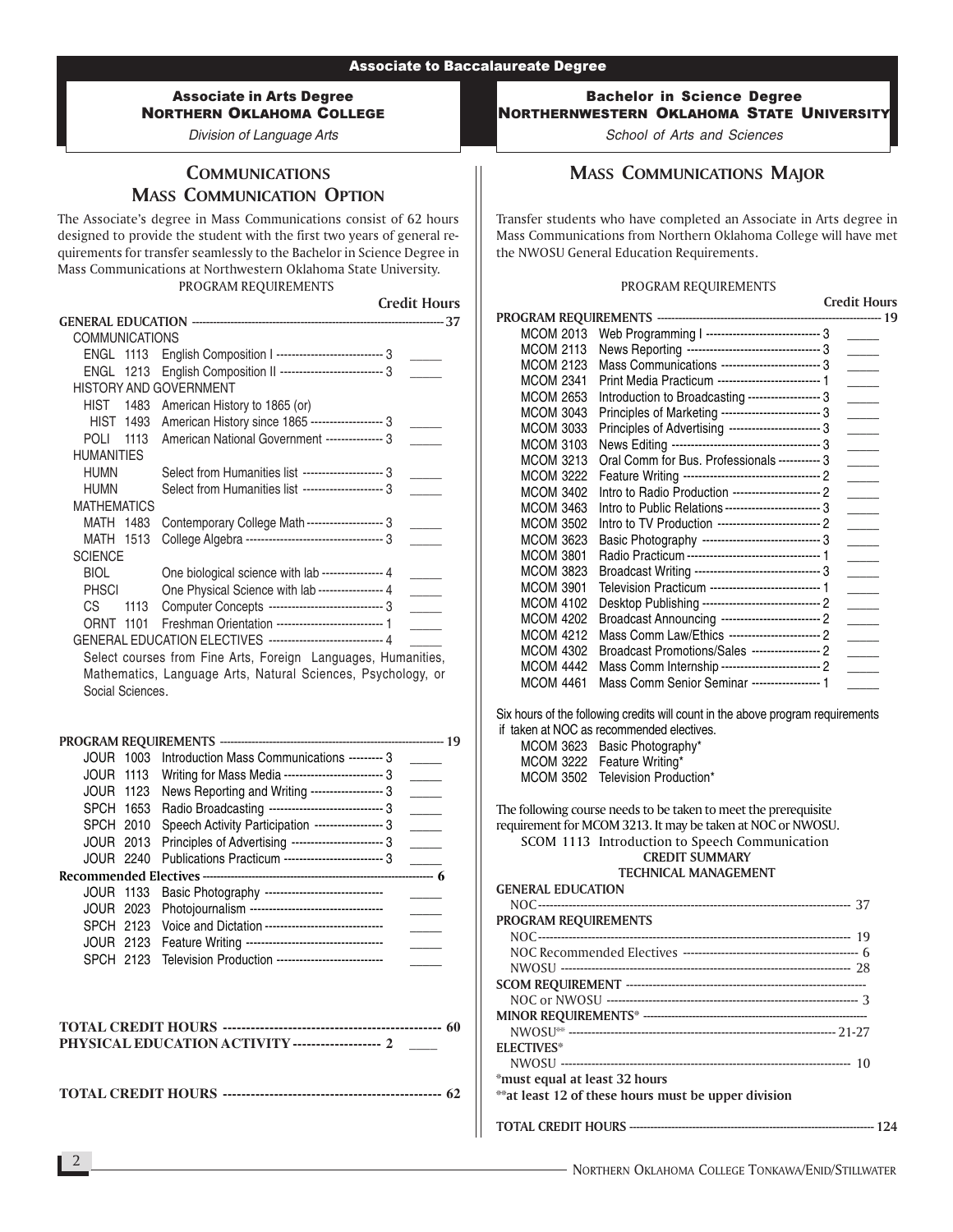### Associate in Arts Degree NORTHERN OKLAHOMA COLLEGE

Division of Language Arts

# **COMMUNICATIONS** MASS COMMUNICATION OPTION

The Associate's degree in Mass Communications consist of 62 hours designed to provide the student with the first two years of general requirements for transfer seamlessly to the Bachelor in Science Degree in Mass Communications at Northwestern Oklahoma State University. PROGRAM REQUIREMENTS

Credit Hours

| <b>COMMUNICATIONS</b> |                               |                                                               |  |
|-----------------------|-------------------------------|---------------------------------------------------------------|--|
| <b>ENGL 1113</b>      |                               | English Composition   ----------------------------- 3         |  |
| <b>ENGL 1213</b>      |                               | English Composition II -------------------------- 3           |  |
|                       | <b>HISTORY AND GOVERNMENT</b> |                                                               |  |
| HIST                  | 1483                          | American History to 1865 (or)                                 |  |
| <b>HIST 1493</b>      |                               | American History since 1865 ------------------- 3             |  |
| POLI                  | 1113                          | American National Government --------------- 3                |  |
| <b>HUMANITIES</b>     |                               |                                                               |  |
| <b>HUMN</b>           |                               | Select from Humanities list --------------------- 3           |  |
| HUMN                  |                               | Select from Humanities list --------------------- 3           |  |
| <b>MATHEMATICS</b>    |                               |                                                               |  |
| MATH 1483             |                               | Contemporary College Math-------------------- 3               |  |
| MATH<br>1513          |                               |                                                               |  |
| <b>SCIENCE</b>        |                               |                                                               |  |
| <b>BIOL</b>           |                               | One biological science with lab ---------------- 4            |  |
| <b>PHSCI</b>          |                               | One Physical Science with lab ---------------- 4              |  |
| CS.                   | 1113                          | Computer Concepts ----------------------------- 3             |  |
| <b>ORNT 1101</b>      |                               |                                                               |  |
|                       |                               | GENERAL EDUCATION ELECTIVES ----------------------------- 4   |  |
|                       |                               | Polect courses from Eine Arte, Essaign, Languages, Humanities |  |

Select courses from Fine Arts, Foreign Languages, Humanities, Mathematics, Language Arts, Natural Sciences, Psychology, or Social Sciences.

| JOUR 1003        |           | Introduction Mass Communications --------- 3         |  |  |
|------------------|-----------|------------------------------------------------------|--|--|
| <b>JOUR 1113</b> |           | Writing for Mass Media -------------------------- 3  |  |  |
| <b>JOUR 1123</b> |           | News Reporting and Writing ------------------- 3     |  |  |
| SPCH 1653        |           | Radio Broadcasting ------------------------------- 3 |  |  |
| <b>SPCH 2010</b> |           | Speech Activity Participation ------------------ 3   |  |  |
|                  | JOUR 2013 | Principles of Advertising ------------------------ 3 |  |  |
| JOUR 2240        |           | Publications Practicum --------------------------- 3 |  |  |
|                  |           |                                                      |  |  |
|                  | JOUR 1133 | Basic Photography ------------------------------     |  |  |
|                  | JOUR 2023 | Photojournalism ----------------------------------   |  |  |
| SPCH 2123        |           | Voice and Dictation -------------------------------  |  |  |
| JOUR 2123        |           | Feature Writing -----------------------------------  |  |  |
| SPCH 2123        |           | Television Production ---------------------------    |  |  |
|                  |           |                                                      |  |  |

| <b>PHYSICAL EDUCATION ACTIVITY ------------------- 2</b> |  |
|----------------------------------------------------------|--|

**TOTAL CREDIT HOURS ----------------------------------------------- 62**

Bachelor in Science Degree NORTHERNWESTERN OKLAHOMA STATE UNIVERSITY

School of Arts and Sciences

# MASS COMMUNICATIONS MAJOR

Transfer students who have completed an Associate in Arts degree in Mass Communications from Northern Oklahoma College will have met the NWOSU General Education Requirements.

#### PROGRAM REQUIREMENTS

Credit Hours

|                  |                                                        | <b>Crean Hours</b> |
|------------------|--------------------------------------------------------|--------------------|
|                  |                                                        | 19                 |
| <b>MCOM 2013</b> | Web Programming I ------------------------------ 3     |                    |
| <b>MCOM 2113</b> | News Reporting ---------------------------------- 3    |                    |
| <b>MCOM 2123</b> | Mass Communications -------------------------- 3       |                    |
| <b>MCOM 2341</b> | Print Media Practicum -------------------------- 1     |                    |
| <b>MCOM 2653</b> | Introduction to Broadcasting ------------------- 3     |                    |
| <b>MCOM 3043</b> | Principles of Marketing -------------------------- 3   |                    |
| <b>MCOM 3033</b> | Principles of Advertising ------------------------ 3   |                    |
| <b>MCOM 3103</b> |                                                        |                    |
| <b>MCOM 3213</b> | Oral Comm for Bus. Professionals ----------- 3         |                    |
| <b>MCOM 3222</b> |                                                        |                    |
| <b>MCOM 3402</b> |                                                        |                    |
| <b>MCOM 3463</b> | Intro to Public Relations -------------------------- 3 |                    |
| <b>MCOM 3502</b> |                                                        |                    |
| MCOM 3623        | Basic Photography ------------------------------ 3     |                    |
| <b>MCOM 3801</b> |                                                        |                    |
| <b>MCOM 3823</b> | Broadcast Writing -------------------------------- 3   |                    |
| <b>MCOM 3901</b> |                                                        |                    |
| <b>MCOM 4102</b> | Desktop Publishing ------------------------------ 2    |                    |
| <b>MCOM 4202</b> | Broadcast Announcing --------------------------- 2     |                    |
| <b>MCOM 4212</b> | Mass Comm Law/Ethics ------------------------ 2        |                    |
| <b>MCOM 4302</b> | Broadcast Promotions/Sales ------------------ 2        |                    |
| <b>MCOM 4442</b> | Mass Comm Internship -------------------------- 2      |                    |
| <b>MCOM 4461</b> | Mass Comm Senior Seminar ------------------ 1          |                    |
|                  |                                                        |                    |

Six hours of the following credits will count in the above program requirements if tak

|           | ken at NOC as recommended electives. |
|-----------|--------------------------------------|
|           | MCOM 3623 Basic Photography*         |
| MCOM 3222 | Feature Writing*                     |
|           | MCOM 3502 Television Production*     |

The following course needs to be taken to meet the prerequisite requirement for MCOM 3213. It may be taken at NOC or NWOSU. SCOM 1113 Introduction to Speech Communication CREDIT SUMMARY TECHNICAL MANAGEMENT

GENERAL EDUCATION

| <b>PROGRAM REQUIREMENTS</b>   |  |
|-------------------------------|--|
|                               |  |
|                               |  |
|                               |  |
|                               |  |
|                               |  |
|                               |  |
|                               |  |
| <b>ELECTIVES*</b>             |  |
|                               |  |
| *must equal at least 32 hours |  |
|                               |  |
|                               |  |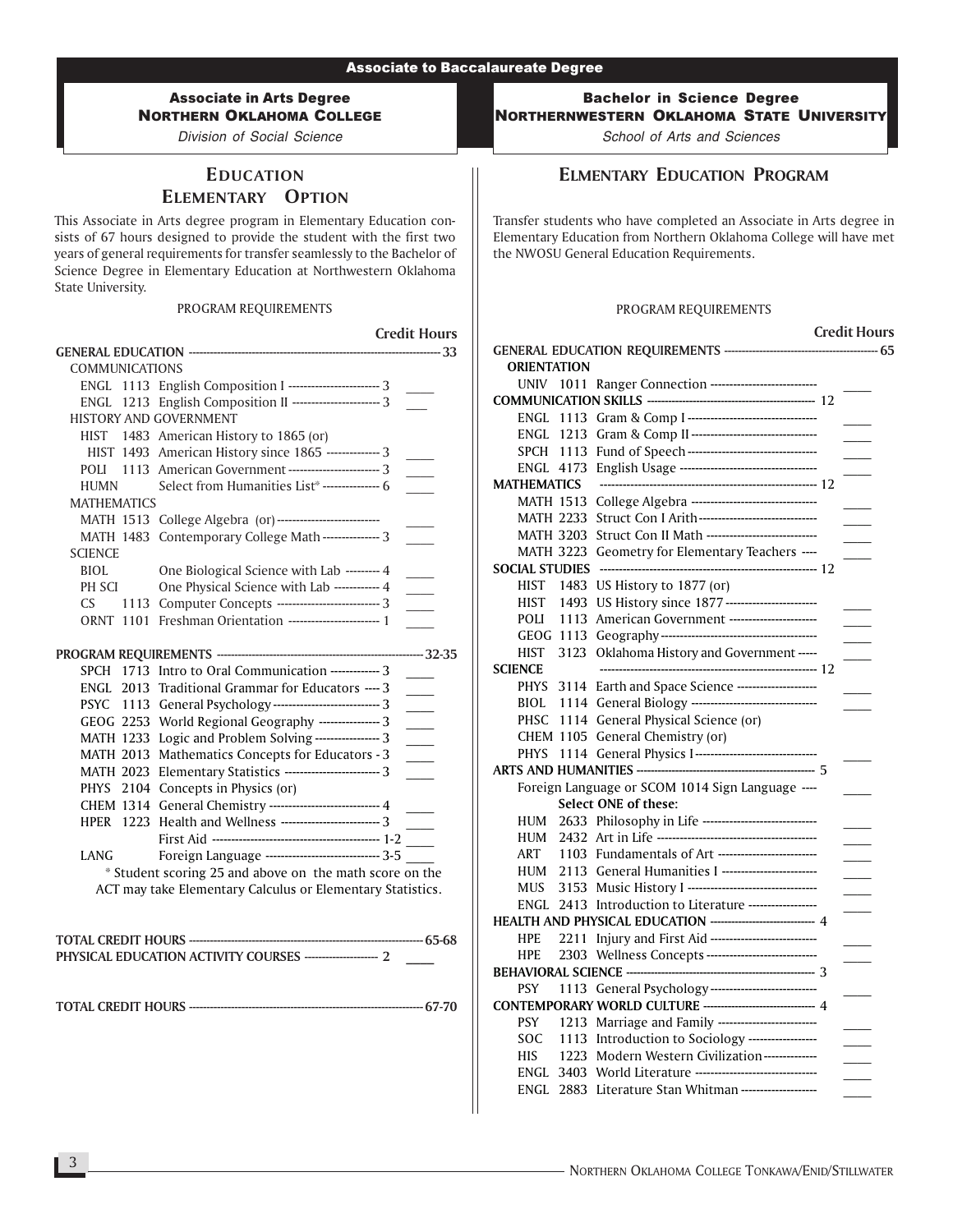# Associate in Arts Degree NORTHERN OKLAHOMA COLLEGE

Division of Social Science

# EDUCATION ELEMENTARY OPTION

This Associate in Arts degree program in Elementary Education consists of 67 hours designed to provide the student with the first two years of general requirements for transfer seamlessly to the Bachelor of Science Degree in Elementary Education at Northwestern Oklahoma State University.

#### PROGRAM REQUIREMENTS

Credit Hours GENERAL EDUCATION ------------------------------------------------------------------------ 33 COMMUNICATIONS ENGL 1113 English Composition I ---------------------------- 3 ENGL 1213 English Composition II --------------------------- 3 HISTORY AND GOVERNMENT HIST 1483 American History to 1865 (or) HIST 1493 American History since 1865 -------------- 3 POLI 1113 American Government --------------------------- 3 HUMN Select from Humanities List\* --------------- 6 MATHEMATICS MATH 1513 College Algebra (or)--------------------------- \_\_\_\_ MATH 1483 Contemporary College Math --------------- 3 **SCIENCE** BIOL One Biological Science with Lab --------- 4 PH SCI One Physical Science with Lab ------------ 4 CS 1113 Computer Concepts --------------------------------- 3 ORNT 1101 Freshman Orientation -------------------------- 1 PROGRAM REQUIREMENTS ----------------------------------------------------------- 32-35 SPCH 1713 Intro to Oral Communication ------------- 3 ENGL 2013 Traditional Grammar for Educators ---- 3 PSYC 1113 General Psychology --------------------------------- 3 GEOG 2253 World Regional Geography ---------------- 3 MATH 1233 Logic and Problem Solving ----------------- 3 MATH 2013 Mathematics Concepts for Educators - 3 MATH 2023 Elementary Statistics -------------------------- 3 PHYS 2104 Concepts in Physics (or) CHEM 1314 General Chemistry ----------------------------- 4 HPER 1223 Health and Wellness ---------------------------- 3 First Aid -------------------------------------------- 1-2 \_\_\_\_ LANG Foreign Language -------------------------------- 3-5 \* Student scoring 25 and above on the math score on the ACT may take Elementary Calculus or Elementary Statistics. TOTAL CREDIT HOURS ------------------------------------------------------------------- 65-68 PHYSICAL EDUCATION ACTIVITY COURSES --------------------- 2 \_\_\_\_

TOTAL CREDIT HOURS ------------------------------------------------------------------- 67-70

Bachelor in Science Degree NORTHERNWESTERN OKLAHOMA STATE UNIVERSITY

School of Arts and Sciences

### ELMENTARY EDUCATION PROGRAM

Transfer students who have completed an Associate in Arts degree in Elementary Education from Northern Oklahoma College will have met the NWOSU General Education Requirements.

#### PROGRAM REQUIREMENTS

|                    |      |                                                                                                                       | <b>Credit Hours</b> |
|--------------------|------|-----------------------------------------------------------------------------------------------------------------------|---------------------|
|                    |      |                                                                                                                       |                     |
| <b>ORIENTATION</b> |      |                                                                                                                       |                     |
| UNIV 1011          |      | Ranger Connection ----------------------------                                                                        |                     |
|                    |      |                                                                                                                       |                     |
| ENGL               |      |                                                                                                                       |                     |
|                    |      | ENGL 1213 Gram & Comp II--------------------------------                                                              |                     |
| SPCH               |      |                                                                                                                       |                     |
|                    |      |                                                                                                                       |                     |
| <b>MATHEMATICS</b> |      |                                                                                                                       |                     |
| <b>MATH 1513</b>   |      | College Algebra ---------------------------------                                                                     |                     |
| <b>MATH 2233</b>   |      | Struct Con I Arith-------------------------------                                                                     |                     |
| <b>MATH 3203</b>   |      | Struct Con II Math -----------------------------                                                                      |                     |
|                    |      | MATH 3223 Geometry for Elementary Teachers ----                                                                       |                     |
| SOCIAL STUDIES     |      |                                                                                                                       |                     |
| HIST               | 1483 | US History to 1877 (or)                                                                                               |                     |
| HIST               | 1493 | US History since 1877 ------------------------                                                                        |                     |
| POLI               | 1113 | American Government -----------------------                                                                           |                     |
|                    |      |                                                                                                                       |                     |
| HIST               | 3123 | Oklahoma History and Government -----                                                                                 |                     |
| <b>SCIENCE</b>     |      |                                                                                                                       |                     |
| <b>PHYS</b>        |      | 3114 Earth and Space Science ---------------------                                                                    |                     |
| BIOL               |      | 1114 General Biology --------------------------------                                                                 |                     |
| PHSC               |      | 1114 General Physical Science (or)                                                                                    |                     |
|                    |      | CHEM 1105 General Chemistry (or)                                                                                      |                     |
| <b>PHYS</b>        |      | 1114 General Physics I--------------------------------                                                                |                     |
|                    |      |                                                                                                                       |                     |
|                    |      | Foreign Language or SCOM 1014 Sign Language ----                                                                      |                     |
|                    |      | Select ONE of these:                                                                                                  |                     |
| HUM                |      | 2633 Philosophy in Life ------------------------------                                                                |                     |
| HUM                |      |                                                                                                                       |                     |
| <b>ART</b>         |      | 1103 Fundamentals of Art --------------------------                                                                   |                     |
| HUM                |      | 2113 General Humanities I ------------------------                                                                    |                     |
| <b>MUS</b>         |      | 3153 Music History I ----------------------------------                                                               |                     |
| ENGL               |      | 2413 Introduction to Literature ------------------                                                                    |                     |
|                    |      | HEALTH AND PHYSICAL EDUCATION ----------------------------- 4                                                         |                     |
| <b>HPE</b>         |      | 2211 Injury and First Aid ----------------------------                                                                |                     |
| <b>HPE</b>         |      | 2303 Wellness Concepts ----------------------------                                                                   |                     |
|                    |      |                                                                                                                       |                     |
| PSY                |      | 1113 General Psychology -----------------------------<br>CONTEMPORARY WORLD CULTURE ------------------------------- 4 |                     |
|                    |      |                                                                                                                       |                     |
| <b>PSY</b>         |      | 1213 Marriage and Family --------------------------                                                                   |                     |
| SOC                |      | 1113 Introduction to Sociology ------------------<br>1223 Modern Western Civilization--------------                   |                     |
| HIS.               |      | ENGL 3403 World Literature ---------------------------------                                                          |                     |
|                    |      | ENGL 2883 Literature Stan Whitman ---------------------                                                               |                     |
|                    |      |                                                                                                                       |                     |
|                    |      |                                                                                                                       |                     |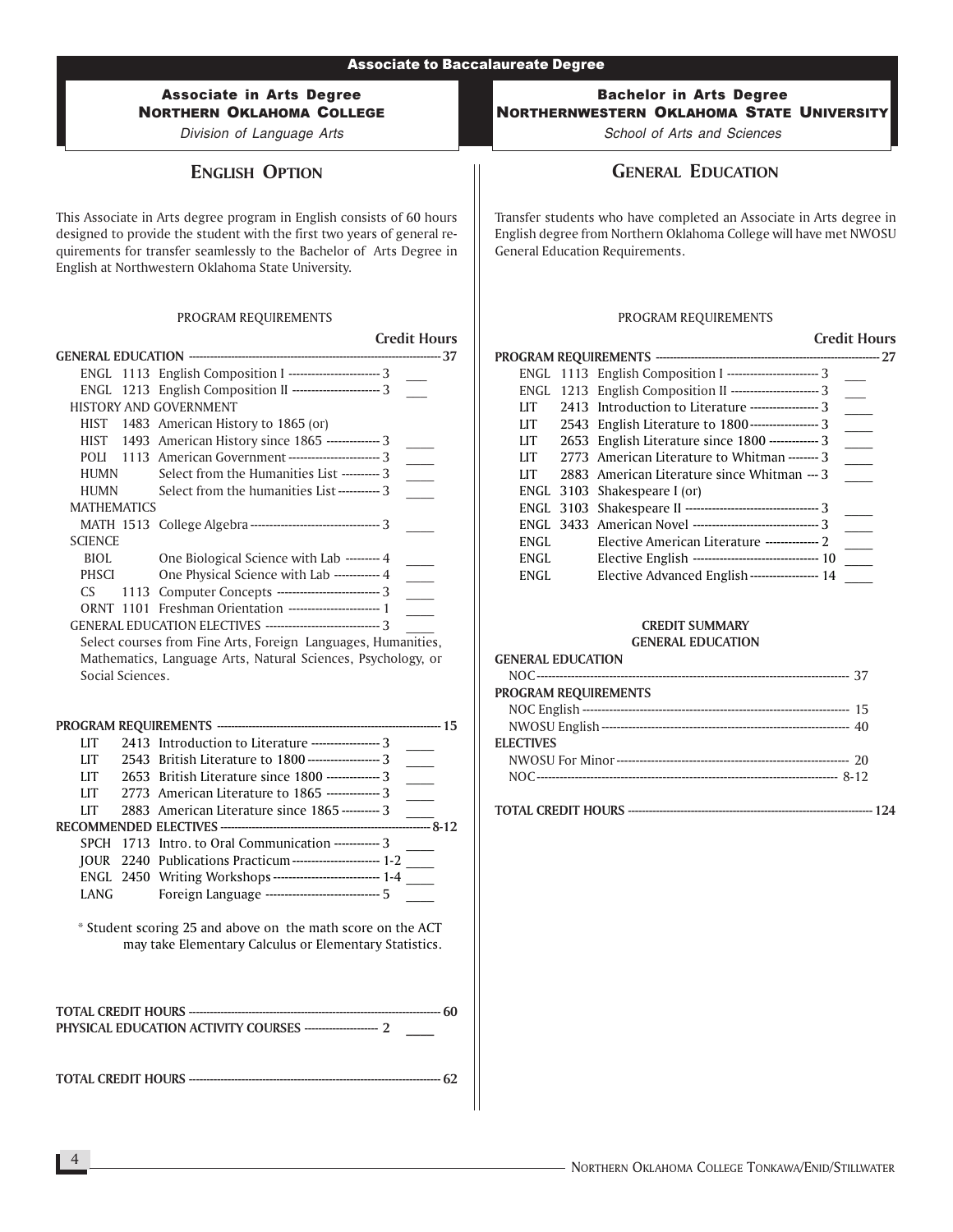### Associate in Arts Degree NORTHERN OKLAHOMA COLLEGE

Division of Language Arts

# ENGLISH OPTION

This Associate in Arts degree program in English consists of 60 hours designed to provide the student with the first two years of general requirements for transfer seamlessly to the Bachelor of Arts Degree in English at Northwestern Oklahoma State University.

### PROGRAM REQUIREMENTS

|                    |                                                                 | <b>Credit Hours</b> |
|--------------------|-----------------------------------------------------------------|---------------------|
|                    |                                                                 |                     |
|                    | ENGL 1113 English Composition I ------------------------ 3      |                     |
|                    | ENGL 1213 English Composition II ----------------------- 3      |                     |
|                    | <b>HISTORY AND GOVERNMENT</b>                                   |                     |
|                    | HIST 1483 American History to 1865 (or)                         |                     |
|                    | HIST 1493 American History since 1865 --------------- 3         |                     |
|                    | POLI 1113 American Government ------------------------ 3        |                     |
| HUMN               | Select from the Humanities List ---------- 3                    |                     |
| HUMN               | Select from the humanities List ----------- 3                   |                     |
| <b>MATHEMATICS</b> |                                                                 |                     |
|                    | MATH 1513 College Algebra --------------------------------- 3   |                     |
| <b>SCIENCE</b>     |                                                                 |                     |
| BIOL               | One Biological Science with Lab --------- 4                     |                     |
| PHSCI              | One Physical Science with Lab ------------ 4                    |                     |
| CS.                | 1113 Computer Concepts -------------------------- 3             |                     |
|                    | <b>ORNT 1101 Freshman Orientation ----------------------- 1</b> |                     |
|                    | GENERAL EDUCATION ELECTIVES --------------------------------- 3 |                     |
|                    | Select courses from Fine Arts, Foreign Languages, Humanities,   |                     |
|                    | Mathematics, Language Arts, Natural Sciences, Psychology, or    |                     |

| LIT        | 2413 Introduction to Literature ------------------ 3          |  |
|------------|---------------------------------------------------------------|--|
| LIT        | 2543 British Literature to 1800 --------------------- 3       |  |
| LIT        | 2653 British Literature since 1800 -------------- 3           |  |
| LIT        | 2773 American Literature to 1865 --------------3              |  |
| <b>IIT</b> | 2883 American Literature since 1865 ---------- 3              |  |
|            |                                                               |  |
|            | SPCH 1713 Intro. to Oral Communication ------------ 3         |  |
|            | JOUR 2240 Publications Practicum ------------------------ 1-2 |  |
|            |                                                               |  |
| LANG       | Foreign Language ------------------------------ 5             |  |

\* Student scoring 25 and above on the math score on the ACT may take Elementary Calculus or Elementary Statistics.

TOTAL CREDIT HOURS ------------------------------------------------------------------------ 62

### Bachelor in Arts Degree NORTHERNWESTERN OKLAHOMA STATE UNIVERSITY

School of Arts and Sciences

# GENERAL EDUCATION

Transfer students who have completed an Associate in Arts degree in English degree from Northern Oklahoma College will have met NWOSU General Education Requirements.

### PROGRAM REQUIREMENTS

# Credit Hours

|                              | uuu muus                                                       |
|------------------------------|----------------------------------------------------------------|
|                              |                                                                |
|                              | ENGL 1113 English Composition I ---------------------------- 3 |
|                              | ENGL 1213 English Composition II ----------------------- 3     |
| LIT                          | 2413 Introduction to Literature ------------------ 3           |
| LIT                          |                                                                |
| LIT                          | 2653 English Literature since 1800 ------------- 3             |
| LIT                          | 2773 American Literature to Whitman ------- 3                  |
| LIT                          | 2883 American Literature since Whitman --- 3                   |
| ENGL 3103 Shakespeare I (or) |                                                                |
|                              |                                                                |
|                              | ENGL 3433 American Novel ---------------------------------- 3  |
| ENGL.                        | Elective American Literature -------------- 2                  |
| ENGL                         | Elective English --------------------------------- 10          |
| ENGL                         | Elective Advanced English----------------- 14                  |

# CREDIT SUMMARY

### GENERAL EDUCATION

| <b>GENERAL EDUCATION</b>    |
|-----------------------------|
|                             |
| <b>PROGRAM REQUIREMENTS</b> |
|                             |
|                             |
| <b>ELECTIVES</b>            |
|                             |
|                             |
|                             |
|                             |
|                             |

Social Sciences.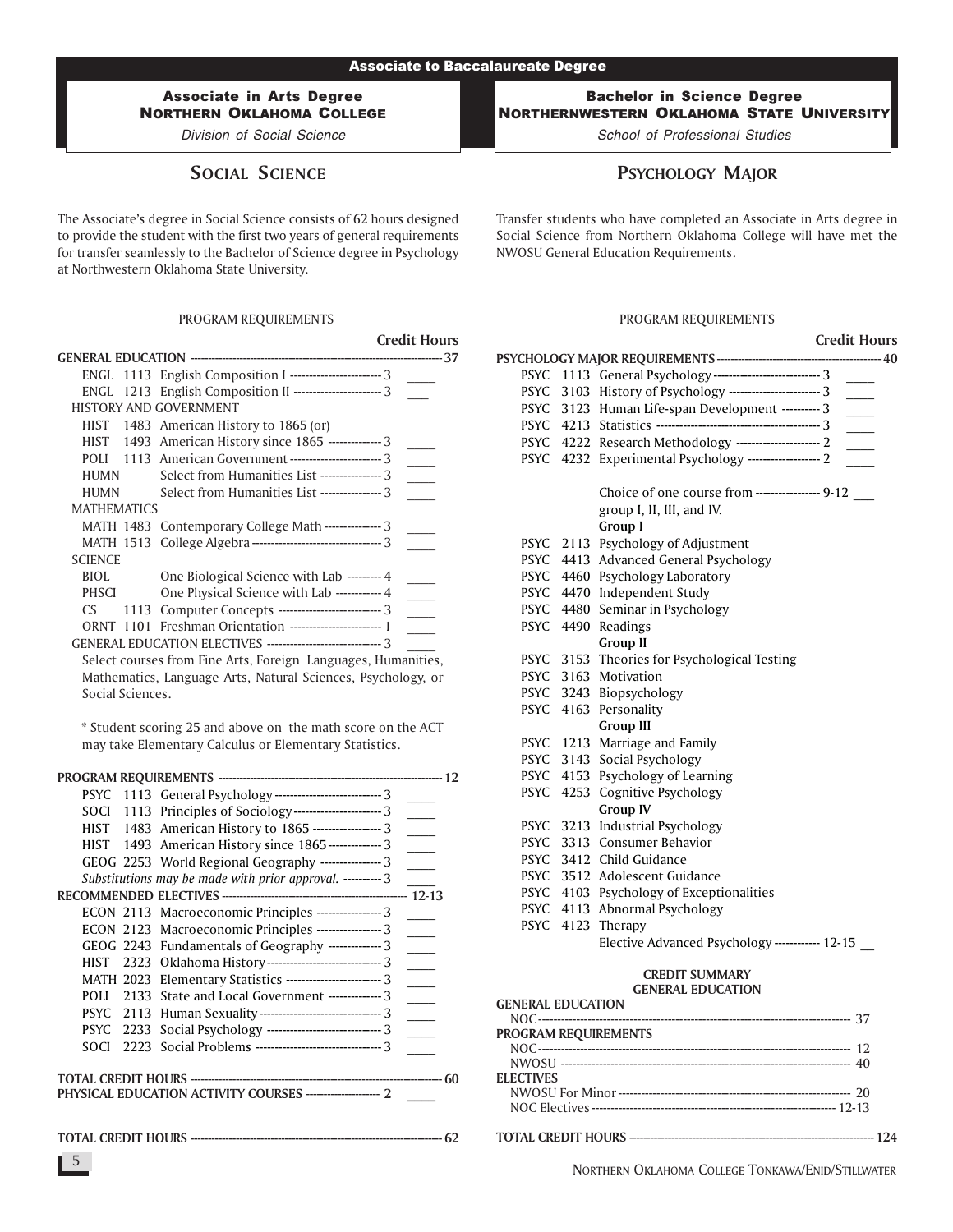### Associate in Arts Degree NORTHERN OKLAHOMA COLLEGE

Division of Social Science

SOCIAL SCIENCE

The Associate's degree in Social Science consists of 62 hours designed to provide the student with the first two years of general requirements for transfer seamlessly to the Bachelor of Science degree in Psychology at Northwestern Oklahoma State University.

#### PROGRAM REQUIREMENTS

|                    |                                                                 | <b>Credit Hours</b> |
|--------------------|-----------------------------------------------------------------|---------------------|
|                    |                                                                 | 37                  |
|                    | ENGL 1113 English Composition I --------------------------- 3   |                     |
|                    | ENGL 1213 English Composition II ----------------------- 3      |                     |
|                    | <b>HISTORY AND GOVERNMENT</b>                                   |                     |
| HIST               | 1483 American History to 1865 (or)                              |                     |
|                    | HIST 1493 American History since 1865 -------------- 3          |                     |
|                    | POLI 1113 American Government -------------------------- 3      |                     |
| HUMN               | Select from Humanities List ---------------- 3                  |                     |
| HUMN               | Select from Humanities List ---------------- 3                  |                     |
| <b>MATHEMATICS</b> |                                                                 |                     |
|                    | MATH 1483 Contemporary College Math---------------3             |                     |
|                    | MATH 1513 College Algebra ----------------------------------- 3 |                     |
| <b>SCIENCE</b>     |                                                                 |                     |
| BIOL               | One Biological Science with Lab --------- 4                     |                     |
| PHSCI              | One Physical Science with Lab ------------ 4                    |                     |
| CS.<br>1113        | Computer Concepts --------------------------- 3                 |                     |
| 1101<br>ORNT       |                                                                 |                     |
|                    | GENERAL EDUCATION ELECTIVES -------------------------------- 3  |                     |

Select courses from Fine Arts, Foreign Languages, Humanities, Mathematics, Language Arts, Natural Sciences, Psychology, or Social Sciences.

\* Student scoring 25 and above on the math score on the ACT may take Elementary Calculus or Elementary Statistics.

|      | PSYC 1113 General Psychology ----------------------------- 3       |    |
|------|--------------------------------------------------------------------|----|
|      | SOCI 1113 Principles of Sociology------------------------------- 3 |    |
|      | HIST 1483 American History to 1865 ------------------- 3           |    |
|      | HIST 1493 American History since 1865---------------3              |    |
|      | GEOG 2253 World Regional Geography ---------------- 3              |    |
|      | Substitutions may be made with prior approval. ---------- 3        |    |
|      |                                                                    |    |
|      | ECON 2113 Macroeconomic Principles -----------------3              |    |
|      | ECON 2123 Macroeconomic Principles ----------------- 3             |    |
|      | GEOG 2243 Fundamentals of Geography --------------3                |    |
|      | HIST 2323 Oklahoma History---------------------------------- 3     |    |
|      | MATH 2023 Elementary Statistics ------------------------- 3        |    |
| POLI | 2133 State and Local Government --------------3                    |    |
|      | PSYC 2113 Human Sexuality --------------------------------- 3      |    |
|      | PSYC 2233 Social Psychology -------------------------------- 3     |    |
| SOCI |                                                                    |    |
|      |                                                                    |    |
|      |                                                                    | 60 |
|      | PHYSICAL EDUCATION ACTIVITY COURSES ---------------------- 2       |    |
|      |                                                                    |    |

TOTAL CREDIT HOURS ------------------------------------------------------------------------ 62

### Bachelor in Science Degree NORTHERNWESTERN OKLAHOMA STATE UNIVERSITY

School of Professional Studies

# PSYCHOLOGY MAJOR

Transfer students who have completed an Associate in Arts degree in Social Science from Northern Oklahoma College will have met the NWOSU General Education Requirements.

#### PROGRAM REQUIREMENTS

### Credit Hours PSYCHOLOGY MAJOR REQUIREMENTS----------------------------------------------- 40 PSYC 1113 General Psychology ------------------------------- 3 PSYC 3103 History of Psychology --------------------------- 3 PSYC 3123 Human Life-span Development ---------- 3 PSYC 4213 Statistics ------------------------------------------- 3 \_\_\_\_ PSYC 4222 Research Methodology ----------------------- 2 PSYC 4232 Experimental Psychology ------------------- 2 Choice of one course from ----------------- 9-12 group I, II, III, and IV. Group I PSYC 2113 Psychology of Adjustment PSYC 4413 Advanced General Psychology PSYC 4460 Psychology Laboratory PSYC 4470 Independent Study PSYC 4480 Seminar in Psychology PSYC 4490 Readings Group II PSYC 3153 Theories for Psychological Testing PSYC 3163 Motivation PSYC 3243 Biopsychology PSYC 4163 Personality Group III PSYC 1213 Marriage and Family PSYC 3143 Social Psychology PSYC 4153 Psychology of Learning PSYC 4253 Cognitive Psychology Group IV PSYC 3213 Industrial Psychology PSYC 3313 Consumer Behavior PSYC 3412 Child Guidance PSYC 3512 Adolescent Guidance PSYC 4103 Psychology of Exceptionalities PSYC 4113 Abnormal Psychology PSYC 4123 Therapy Elective Advanced Psychology ------------ 12-15 CREDIT SUMMARY GENERAL EDUCATION GENERAL EDUCATION

| PROGRAM REQUIREMENTS |  |
|----------------------|--|
|                      |  |
|                      |  |
| <b>ELECTIVES</b>     |  |
|                      |  |
|                      |  |
|                      |  |

TOTAL CREDIT HOURS ---------------------------------------------------------------------- 124

5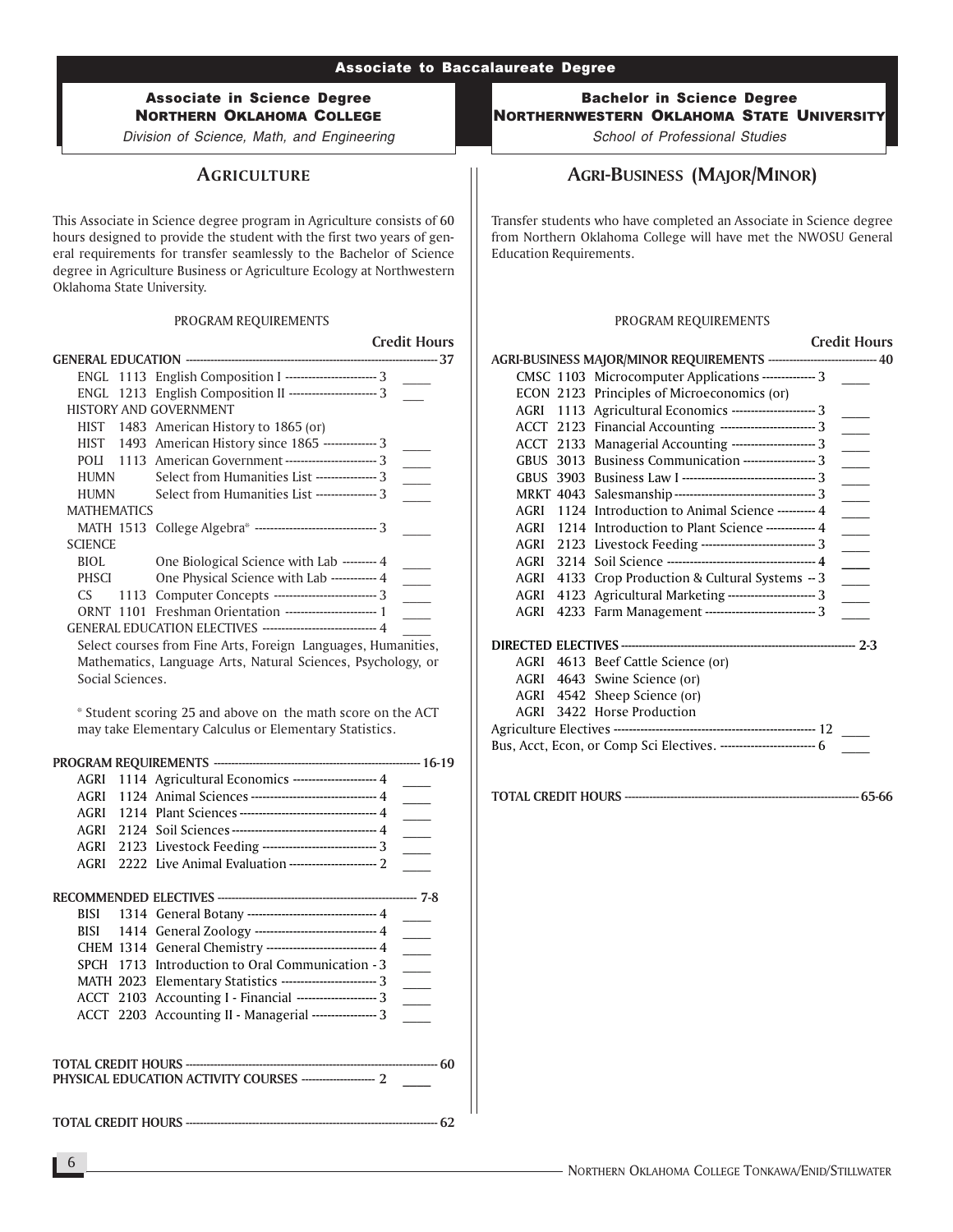# Associate in Science Degree NORTHERN OKLAHOMA COLLEGE

Division of Science, Math, and Engineering

# **AGRICULTURE**

This Associate in Science degree program in Agriculture consists of 60 hours designed to provide the student with the first two years of general requirements for transfer seamlessly to the Bachelor of Science degree in Agriculture Business or Agriculture Ecology at Northwestern Oklahoma State University.

#### PROGRAM REQUIREMENTS

|                    |                                                               | <b>Credit Hours</b> |
|--------------------|---------------------------------------------------------------|---------------------|
|                    |                                                               |                     |
|                    | ENGL 1113 English Composition I --------------------------- 3 |                     |
|                    | ENGL 1213 English Composition II ------------------------ 3   |                     |
|                    | <b>HISTORY AND GOVERNMENT</b>                                 |                     |
| HIST               | 1483 American History to 1865 (or)                            |                     |
|                    | HIST 1493 American History since 1865 -------------- 3        |                     |
|                    | POLI 1113 American Government -------------------------- 3    |                     |
| HUMN               | Select from Humanities List ---------------- 3                |                     |
| <b>HUMN</b>        | Select from Humanities List ---------------- 3                |                     |
| <b>MATHEMATICS</b> |                                                               |                     |
|                    | MATH 1513 College Algebra* -------------------------------- 3 |                     |
| <b>SCIENCE</b>     |                                                               |                     |
| BIOL               | One Biological Science with Lab --------- 4                   |                     |
| <b>PHSCI</b>       | One Physical Science with Lab ------------ 4                  |                     |
| CS.                | 1113 Computer Concepts --------------------------- 3          |                     |
| ORNT 1101          | Freshman Orientation ------------------------ 1               |                     |
|                    | GENERAL EDUCATION ELECTIVES ------------------------------ 4  |                     |

Select courses from Fine Arts, Foreign Languages, Humanities, Mathematics, Language Arts, Natural Sciences, Psychology, or Social Sciences.

\* Student scoring 25 and above on the math score on the ACT may take Elementary Calculus or Elementary Statistics.

|             | AGRI 1114 Agricultural Economics --------------------- 4       |                             |
|-------------|----------------------------------------------------------------|-----------------------------|
| AGRI        | 1124 Animal Sciences -------------------------------- 4        |                             |
|             | AGRI 1214 Plant Sciences ----------------------------------- 4 | $\frac{1}{2}$               |
| AGRI        |                                                                |                             |
| AGRI        | 2123 Livestock Feeding ----------------------------- 3         | $\mathcal{L}^{\mathcal{L}}$ |
| AGRI        | 2222 Live Animal Evaluation -------------------------- 2       |                             |
|             |                                                                |                             |
| BISI        | 1314 General Botany -------------------------------- 4         |                             |
| BISI        | 1414 General Zoology ------------------------------- 4         |                             |
|             | CHEM 1314 General Chemistry ---------------------------- 4     |                             |
| <b>SPCH</b> | 1713 Introduction to Oral Communication - 3                    |                             |
|             | MATH 2023 Elementary Statistics ------------------------- 3    |                             |
|             | ACCT 2103 Accounting I - Financial --------------------- 3     |                             |
|             | ACCT 2203 Accounting II - Managerial ----------------- 3       |                             |
|             |                                                                |                             |
|             |                                                                |                             |
|             | PHYSICAL EDUCATION ACTIVITY COURSES ---------------------- 2   |                             |
|             |                                                                |                             |

TOTAL CREDIT HOURS ------------------------------------------------------------------------ 62

Bachelor in Science Degree NORTHERNWESTERN OKLAHOMA STATE UNIVERSITY

School of Professional Studies

# AGRI-BUSINESS (MAJOR/MINOR)

Transfer students who have completed an Associate in Science degree from Northern Oklahoma College will have met the NWOSU General Education Requirements.

#### PROGRAM REQUIREMENTS

Credit Hours

|             |                                                                          | Gedictions               |
|-------------|--------------------------------------------------------------------------|--------------------------|
|             | AGRI-BUSINESS MAJOR/MINOR REQUIREMENTS ------------------------------ 40 |                          |
|             | CMSC 1103 Microcomputer Applications -------------- 3                    |                          |
|             | ECON 2123 Principles of Microeconomics (or)                              |                          |
|             | AGRI 1113 Agricultural Economics ----------------------- 3               |                          |
|             | ACCT 2123 Financial Accounting ------------------------ 3                |                          |
|             | ACCT 2133 Managerial Accounting ---------------------- 3                 |                          |
| <b>GBUS</b> | 3013 Business Communication -------------------- 3                       | $\overline{\phantom{a}}$ |
|             |                                                                          |                          |
|             |                                                                          | $\overline{\phantom{a}}$ |
| AGRI        | 1124 Introduction to Animal Science ---------- 4                         |                          |
|             | AGRI 1214 Introduction to Plant Science ------------- 4                  |                          |
|             | AGRI 2123 Livestock Feeding ------------------------------- 3            | $\mathbb{R}$             |
| AGRI        |                                                                          |                          |
| AGRI        | 4133 Crop Production & Cultural Systems - 3                              |                          |
| AGRI        | 4123 Agricultural Marketing ---------------------- 3                     | $\overline{\phantom{a}}$ |
| AGRI        | 4233 Farm Management ---------------------------- 3                      |                          |
|             |                                                                          |                          |
|             | AGRI 4613 Beef Cattle Science (or)                                       |                          |
|             | AGRI 4643 Swine Science (or)                                             |                          |
|             | AGRI 4542 Sheep Science (or)                                             |                          |
| AGRI        | 3422 Horse Production                                                    |                          |
|             |                                                                          |                          |
|             | Bus, Acct, Econ, or Comp Sci Electives. -------------------------- 6     |                          |
|             |                                                                          |                          |

TOTAL CREDIT HOURS ------------------------------------------------------------------- 65-66

6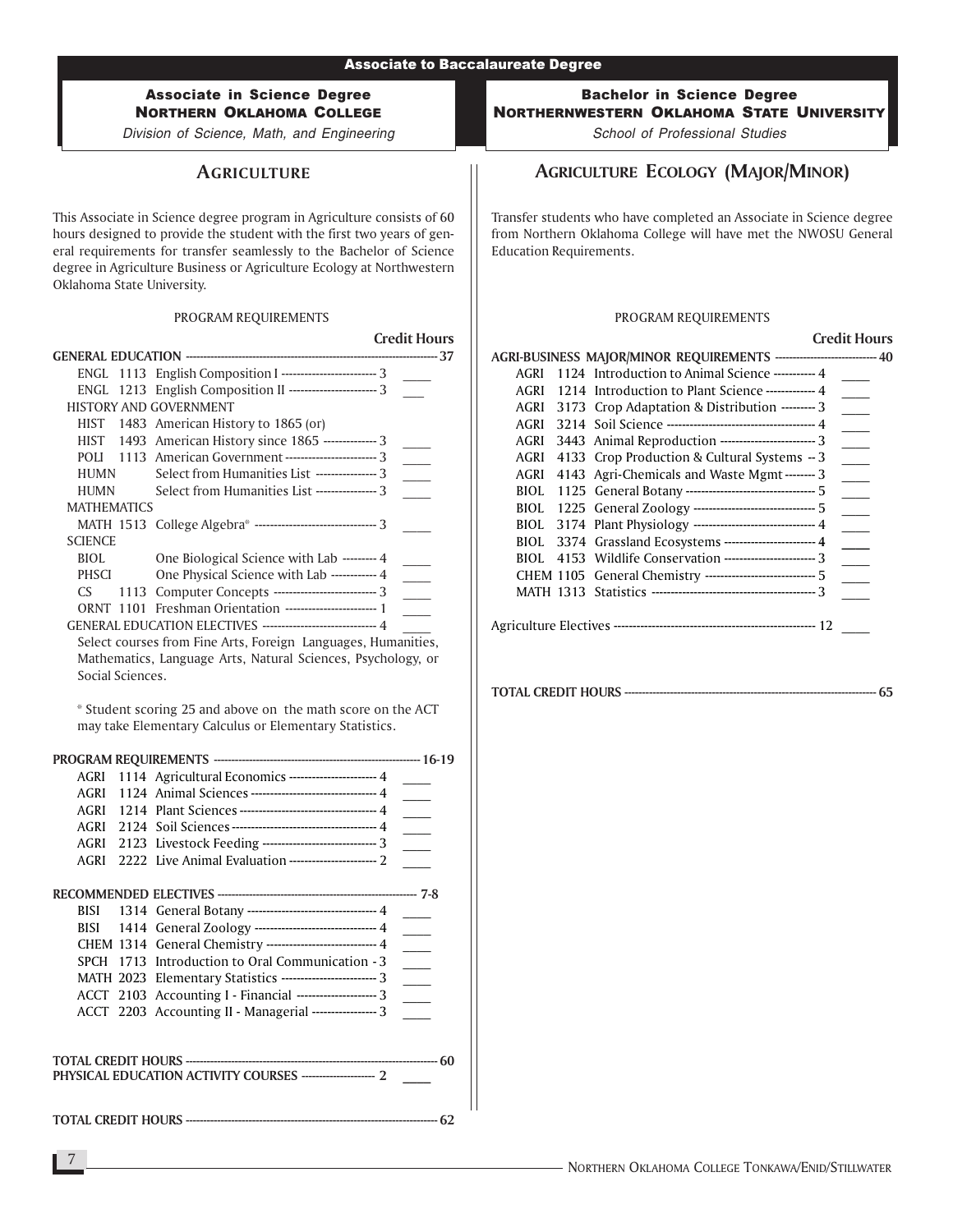Division of Science, Math, and Engineering

# **AGRICULTURE**

This Associate in Science degree program in Agriculture consists of 60 hours designed to provide the student with the first two years of general requirements for transfer seamlessly to the Bachelor of Science degree in Agriculture Business or Agriculture Ecology at Northwestern Oklahoma State University.

### PROGRAM REQUIREMENTS

|                    |                                                               | <b>Credit Hours</b> |
|--------------------|---------------------------------------------------------------|---------------------|
|                    |                                                               |                     |
|                    | ENGL 1113 English Composition I ------------------------- 3   |                     |
|                    | ENGL 1213 English Composition II -------------------------- 3 |                     |
|                    | <b>HISTORY AND GOVERNMENT</b>                                 |                     |
| HIST               | 1483 American History to 1865 (or)                            |                     |
|                    | HIST 1493 American History since 1865 --------------3         |                     |
|                    | POLI 1113 American Government ------------------------- 3     |                     |
| <b>HUMN</b>        | Select from Humanities List ---------------- 3                |                     |
| <b>HUMN</b>        | Select from Humanities List ---------------- 3                |                     |
| <b>MATHEMATICS</b> |                                                               |                     |
|                    | MATH 1513 College Algebra* -------------------------------- 3 |                     |
| <b>SCIENCE</b>     |                                                               |                     |
| BIOL               | One Biological Science with Lab --------- 4                   |                     |
| <b>PHSCI</b>       | One Physical Science with Lab ------------ 4                  |                     |
| CS.                | 1113 Computer Concepts --------------------------- 3          |                     |
| ORNT 1101          | Freshman Orientation ------------------------ 1               |                     |
|                    | GENERAL EDUCATION ELECTIVES ------------------------------ 4  |                     |

Select courses from Fine Arts, Foreign Languages, Humanities, Mathematics, Language Arts, Natural Sciences, Psychology, or Social Sciences.

\* Student scoring 25 and above on the math score on the ACT may take Elementary Calculus or Elementary Statistics.

| AGRI        | 1114 Agricultural Economics ---------------------- 4           |        |  |
|-------------|----------------------------------------------------------------|--------|--|
|             | AGRI 1124 Animal Sciences -------------------------------- 4   |        |  |
|             | AGRI 1214 Plant Sciences ----------------------------------- 4 |        |  |
|             |                                                                |        |  |
| AGRI        | 2123 Livestock Feeding ------------------------------ 3        |        |  |
| AGRI        |                                                                |        |  |
|             |                                                                |        |  |
| BISI        | 1314 General Botany --------------------------------- 4        |        |  |
| BISI        | 1414 General Zoology -------------------------------- 4        |        |  |
|             | CHEM 1314 General Chemistry ----------------------------- 4    |        |  |
| <b>SPCH</b> | 1713 Introduction to Oral Communication - 3                    |        |  |
|             | MATH 2023 Elementary Statistics ------------------------- 3    |        |  |
|             | ACCT 2103 Accounting I - Financial ---------------------- 3    |        |  |
|             | ACCT 2203 Accounting II - Managerial ----------------- 3       | $\sim$ |  |
|             |                                                                |        |  |
|             | PHYSICAL EDUCATION ACTIVITY COURSES ---------------------- 2   |        |  |

TOTAL CREDIT HOURS ------------------------------------------------------------------------ 62

Bachelor in Science Degree NORTHERNWESTERN OKLAHOMA STATE UNIVERSITY

School of Professional Studies

# AGRICULTURE ECOLOGY (MAJOR/MINOR)

Transfer students who have completed an Associate in Science degree from Northern Oklahoma College will have met the NWOSU General Education Requirements.

### PROGRAM REQUIREMENTS

#### Credit Hours

|             | AGRI-BUSINESS MAJOR/MINOR REQUIREMENTS ---------------------------- 40 |  |
|-------------|------------------------------------------------------------------------|--|
| <b>AGRI</b> | 1124 Introduction to Animal Science ----------- 4                      |  |
| AGRI        | 1214 Introduction to Plant Science -------------- 4                    |  |
| AGRI        | 3173 Crop Adaptation & Distribution --------- 3                        |  |
| AGRI        |                                                                        |  |
| AGRI        | 3443 Animal Reproduction ------------------------------ 3              |  |
| AGRI        | 4133 Crop Production & Cultural Systems - 3                            |  |
| AGRI        | 4143 Agri-Chemicals and Waste Mgmt -------- 3                          |  |
| BIOL.       | 1125 General Botany ---------------------------------- 5               |  |
|             |                                                                        |  |
| <b>BIOL</b> |                                                                        |  |
| BIOL.       | 3374 Grassland Ecosystems ------------------------- 4                  |  |
| BIOL.       | 4153 Wildlife Conservation ------------------------- 3                 |  |
|             | CHEM 1105 General Chemistry ----------------------------- 5            |  |
|             |                                                                        |  |
|             |                                                                        |  |
|             |                                                                        |  |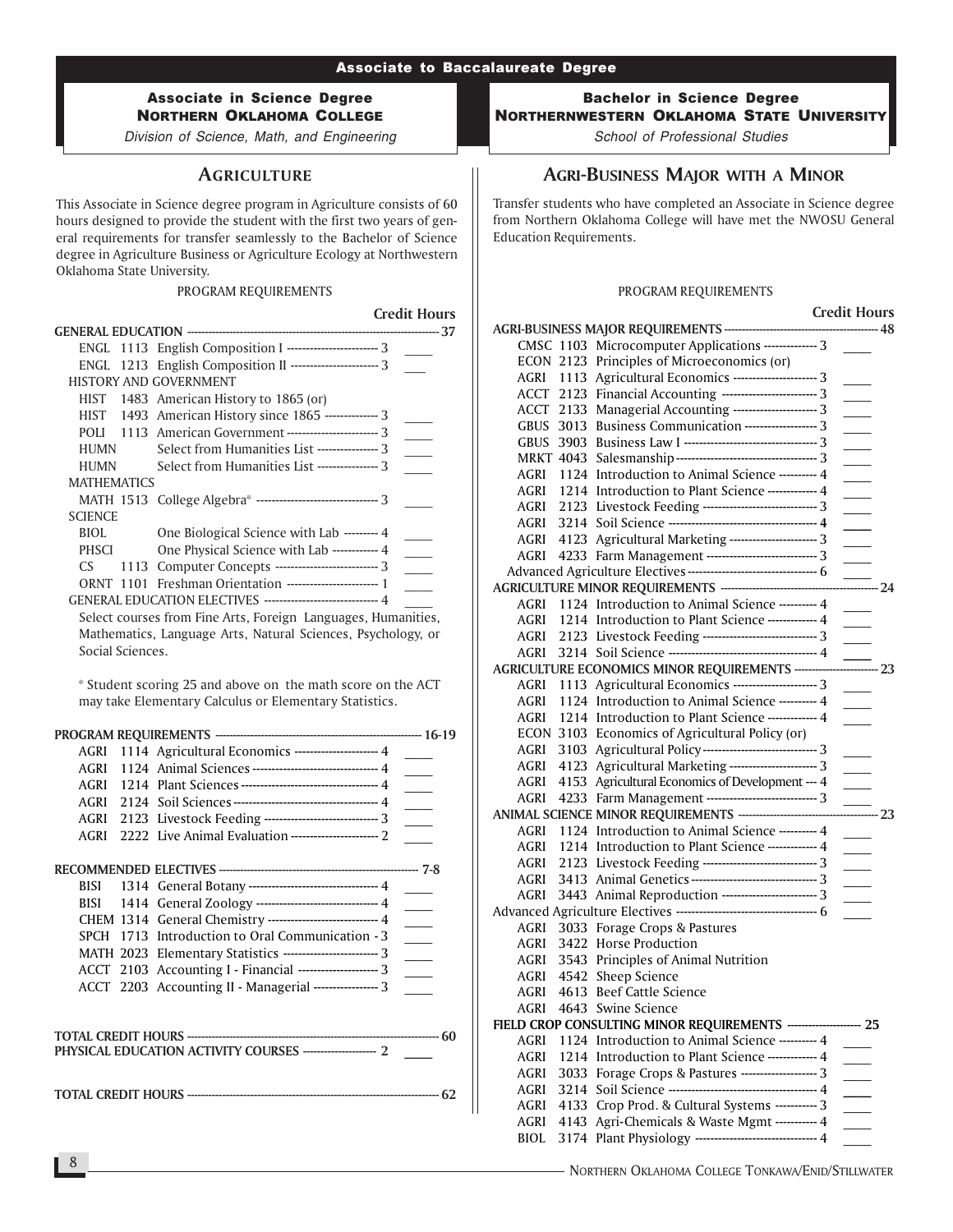Division of Science, Math, and Engineering

# **AGRICULTURE**

This Associate in Science degree program in Agriculture consists of 60 hours designed to provide the student with the first two years of general requirements for transfer seamlessly to the Bachelor of Science degree in Agriculture Business or Agriculture Ecology at Northwestern Oklahoma State University.

#### PROGRAM REQUIREMENTS

Credit Hours

|                    |                                                               | 37 |
|--------------------|---------------------------------------------------------------|----|
|                    | ENGL 1113 English Composition I ------------------------ 3    |    |
|                    | ENGL 1213 English Composition II ----------------------- 3    |    |
|                    | <b>HISTORY AND GOVERNMENT</b>                                 |    |
| <b>HIST</b>        | 1483 American History to 1865 (or)                            |    |
| HIST               | 1493 American History since 1865 -------------- 3             |    |
| POLI               | 1113 American Government ------------------------- 3          |    |
| HUMN               | Select from Humanities List ---------------- 3                |    |
| HUMN               | Select from Humanities List ---------------- 3                |    |
| <b>MATHEMATICS</b> |                                                               |    |
|                    | MATH 1513 College Algebra* ------------------------------- 3  |    |
| <b>SCIENCE</b>     |                                                               |    |
| <b>BIOL</b>        | One Biological Science with Lab --------- 4                   |    |
| PHSCI              | One Physical Science with Lab ------------ 4                  |    |
| CS.                | 1113 Computer Concepts -------------------------- 3           |    |
|                    | ORNT 1101 Freshman Orientation ------------------------- 1    |    |
|                    | GENERAL EDUCATION ELECTIVES ------------------------------ 4  |    |
|                    | Select courses from Fine Arts, Foreign Languages, Humanities, |    |
|                    | Mathematics, Language Arts, Natural Sciences, Psychology, or  |    |

Social Sciences.

\* Student scoring 25 and above on the math score on the ACT may take Elementary Calculus or Elementary Statistics.

|      | AGRI 1114 Agricultural Economics --------------------- 4      |                 |
|------|---------------------------------------------------------------|-----------------|
|      | AGRI 1124 Animal Sciences -------------------------------- 4  |                 |
| AGRI | 1214 Plant Sciences ----------------------------------- 4     |                 |
|      |                                                               | $\frac{1}{2}$ . |
| AGRI | 2123 Livestock Feeding ------------------------------- 3      |                 |
| AGRI | 2222 Live Animal Evaluation ----------------------- 2         |                 |
|      |                                                               |                 |
| BISI | 1314 General Botany -------------------------------- 4        |                 |
|      | BISI 1414 General Zoology -------------------------------- 4  | $\sim$          |
|      | CHEM 1314 General Chemistry ---------------------------- 4    | $\frac{1}{2}$   |
|      | SPCH 1713 Introduction to Oral Communication - 3              |                 |
|      | MATH 2023 Elementary Statistics ------------------------- 3   | $\frac{1}{1}$   |
|      | ACCT 2103 Accounting I - Financial -------------------- 3     |                 |
|      | ACCT 2203 Accounting II - Managerial ----------------- 3      | $\sim$ $\sim$   |
|      |                                                               |                 |
|      | PHYSICAL EDUCATION ACTIVITY COURSES ----------------------- 2 |                 |
|      |                                                               |                 |

Bachelor in Science Degree NORTHERNWESTERN OKLAHOMA STATE UNIVERSITY

School of Professional Studies

# AGRI-BUSINESS MAJOR WITH A MINOR

Transfer students who have completed an Associate in Science degree from Northern Oklahoma College will have met the NWOSU General Education Requirements.

#### PROGRAM REQUIREMENTS

|             |      |                                                                     | <b>Credit Hours</b>         |  |
|-------------|------|---------------------------------------------------------------------|-----------------------------|--|
|             |      |                                                                     |                             |  |
|             |      | CMSC 1103 Microcomputer Applications ------------- 3                |                             |  |
|             |      | ECON 2123 Principles of Microeconomics (or)                         |                             |  |
|             |      | AGRI 1113 Agricultural Economics ---------------------- 3           |                             |  |
|             |      | ACCT 2123 Financial Accounting ------------------------- 3          | $\overline{\phantom{a}}$    |  |
| ACCT        | 2133 | Managerial Accounting --------------------- 3                       | $\overline{\phantom{a}}$    |  |
| GBUS        | 3013 | Business Communication ------------------- 3                        |                             |  |
|             |      |                                                                     |                             |  |
| MRKT 4043   |      |                                                                     | $\overline{\phantom{a}}$    |  |
| AGRI        | 1124 | Introduction to Animal Science --------- 4                          | $\overline{\phantom{a}}$    |  |
| AGRI        |      | 1214 Introduction to Plant Science ------------- 4                  |                             |  |
|             |      | AGRI 2123 Livestock Feeding ------------------------------ 3        | $\overline{\phantom{a}}$    |  |
| AGRI        |      |                                                                     |                             |  |
| AGRI        | 4123 | Agricultural Marketing ----------------------- 3                    | $\sim 10$                   |  |
| AGRI        |      | 4233 Farm Management ---------------------------- 3                 | $\overline{\phantom{a}}$    |  |
|             |      | Advanced Agriculture Electives----------------------------------- 6 |                             |  |
|             |      | AGRICULTURE MINOR REQUIREMENTS -----------------------------        | $\frac{1}{24}$              |  |
| AGRI        |      | 1124 Introduction to Animal Science ---------- 4                    |                             |  |
| AGRI        |      | 1214 Introduction to Plant Science ------------- 4                  | $\mathcal{L}^{\mathcal{L}}$ |  |
| AGRI        |      | 2123 Livestock Feeding ----------------------------- 3              |                             |  |
| AGRI        |      |                                                                     |                             |  |
|             |      | AGRICULTURE ECONOMICS MINOR REQUIREMENTS ---------                  | —<br>—— 23                  |  |
| AGRI        |      | 1113 Agricultural Economics --------------------- 3                 |                             |  |
| AGRI        |      | 1124 Introduction to Animal Science --------- 4                     |                             |  |
| AGRI        |      | 1214 Introduction to Plant Science ------------- 4                  |                             |  |
|             |      | ECON 3103 Economics of Agricultural Policy (or)                     |                             |  |
| AGRI        |      | 3103 Agricultural Policy------------------------------ 3            | $\overline{\phantom{0}}$    |  |
| AGRI        |      | 4123 Agricultural Marketing ---------------------- 3                |                             |  |
| AGRI        |      | 4153 Agricultural Economics of Development --- 4                    | $\sim 10^{-1}$              |  |
| AGRI        |      | 4233 Farm Management ---------------------------- 3                 |                             |  |
|             |      | ANIMAL SCIENCE MINOR REQUIREMENTS -------------------------         | $\overline{\phantom{1}}$ 23 |  |
| AGRI        |      | 1124 Introduction to Animal Science ---------- 4                    |                             |  |
| AGRI        |      | 1214 Introduction to Plant Science ------------- 4                  |                             |  |
| AGRI        |      | 2123 Livestock Feeding ----------------------------- 3              | $\overline{\phantom{a}}$    |  |
| AGRI        |      | 3413 Animal Genetics --------------------------------- 3            | $\overline{\phantom{a}}$    |  |
| AGRI        |      | 3443 Animal Reproduction ------------------------ 3                 | $\sim 10^{-1}$              |  |
|             |      |                                                                     |                             |  |
| AGRI        |      | 3033 Forage Crops & Pastures                                        |                             |  |
| AGRI        |      | 3422 Horse Production                                               |                             |  |
| AGRI        |      | 3543 Principles of Animal Nutrition                                 |                             |  |
| AGRI        |      | 4542 Sheep Science                                                  |                             |  |
| AGRI        |      | 4613 Beef Cattle Science                                            |                             |  |
| AGRI        |      | 4643 Swine Science                                                  |                             |  |
|             |      | FIELD CROP CONSULTING MINOR REQUIREMENTS ----------                 | ------- 25                  |  |
| AGRI        | 1124 | Introduction to Animal Science ---------- 4                         |                             |  |
| AGRI        |      | 1214 Introduction to Plant Science ------------ 4                   |                             |  |
| AGRI        | 3033 | Forage Crops & Pastures ------------------- 3                       |                             |  |
| AGRI        | 3214 |                                                                     |                             |  |
| AGRI        | 4133 | Crop Prod. & Cultural Systems ----------- 3                         |                             |  |
| AGRI        | 4143 | Agri-Chemicals & Waste Mgmt ----------- 4                           |                             |  |
| <b>BIOL</b> | 3174 | Plant Physiology ------------------------------ 4                   |                             |  |
|             |      |                                                                     |                             |  |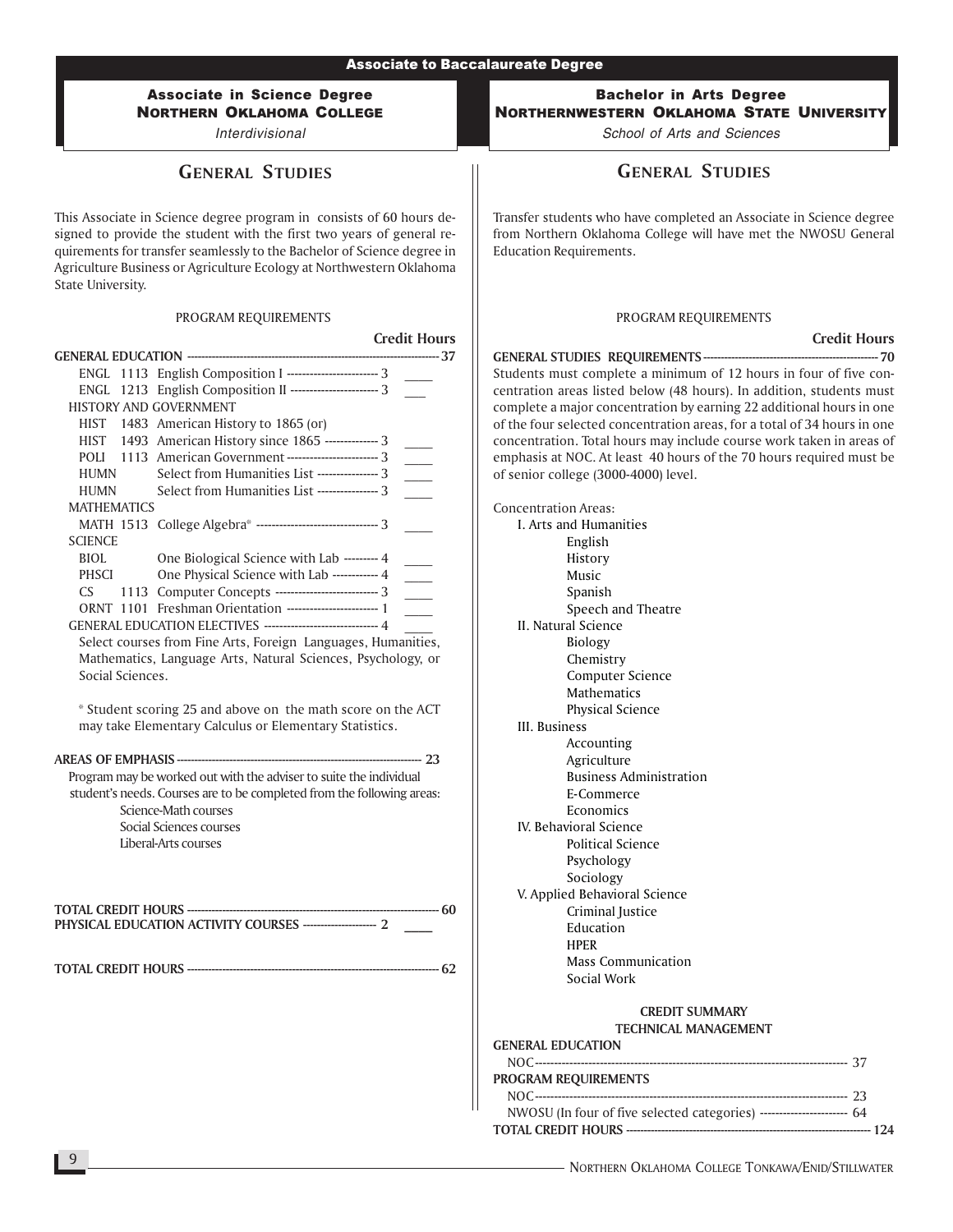# Associate in Science Degree NORTHERN OKLAHOMA COLLEGE

Interdivisional

# GENERAL STUDIES

This Associate in Science degree program in consists of 60 hours designed to provide the student with the first two years of general requirements for transfer seamlessly to the Bachelor of Science degree in Agriculture Business or Agriculture Ecology at Northwestern Oklahoma State University.

#### PROGRAM REQUIREMENTS

|                                |                                                                                                                                              | <b>Credit Hours</b> |
|--------------------------------|----------------------------------------------------------------------------------------------------------------------------------------------|---------------------|
| <b>GENERAL EDUCATION -----</b> |                                                                                                                                              |                     |
| ENGL                           | 1113 English Composition I ------------------------ 3                                                                                        |                     |
| ENGL.                          | 1213 English Composition II ----------------------- 3                                                                                        |                     |
|                                | <b>HISTORY AND GOVERNMENT</b>                                                                                                                |                     |
|                                | HIST 1483 American History to 1865 (or)                                                                                                      |                     |
| HIST                           | 1493 American History since 1865 -------------- 3                                                                                            |                     |
| POLI                           | 1113 American Government ----------------------- 3                                                                                           |                     |
| <b>HUMN</b>                    | Select from Humanities List ---------------- 3                                                                                               |                     |
| <b>HUMN</b>                    | Select from Humanities List ---------------- 3                                                                                               |                     |
| <b>MATHEMATICS</b>             |                                                                                                                                              |                     |
|                                | MATH 1513 College Algebra* ------------------------------- 3                                                                                 |                     |
| <b>SCIENCE</b>                 |                                                                                                                                              |                     |
| BIOL.                          | One Biological Science with Lab --------- 4                                                                                                  |                     |
| <b>PHSCI</b>                   | One Physical Science with Lab ------------ 4<br>1113 Computer Concepts --------------------------- 3                                         |                     |
| CS.                            | ORNT 1101 Freshman Orientation ------------------------ 1                                                                                    |                     |
|                                | GENERAL EDUCATION ELECTIVES ------------------------------ 4                                                                                 |                     |
|                                | Select courses from Fine Arts, Foreign Languages, Humanities,                                                                                |                     |
|                                | Mathematics, Language Arts, Natural Sciences, Psychology, or                                                                                 |                     |
| Social Sciences.               |                                                                                                                                              |                     |
|                                |                                                                                                                                              |                     |
|                                | * Student scoring 25 and above on the math score on the ACT<br>may take Elementary Calculus or Elementary Statistics.                        |                     |
|                                | Program may be worked out with the adviser to suite the individual<br>student's needs. Courses are to be completed from the following areas: |                     |
|                                | Science-Math courses                                                                                                                         |                     |
|                                | Social Sciences courses                                                                                                                      |                     |
|                                | Liberal-Arts courses                                                                                                                         |                     |
|                                |                                                                                                                                              |                     |
|                                | PHYSICAL EDUCATION ACTIVITY COURSES ----------------------- 2                                                                                |                     |
|                                |                                                                                                                                              |                     |
|                                |                                                                                                                                              | ------------ 62     |
|                                |                                                                                                                                              |                     |
|                                |                                                                                                                                              |                     |
|                                |                                                                                                                                              |                     |
|                                |                                                                                                                                              |                     |
|                                |                                                                                                                                              |                     |
|                                |                                                                                                                                              |                     |

### Bachelor in Arts Degree NORTHERNWESTERN OKLAHOMA STATE UNIVERSITY

School of Arts and Sciences

# GENERAL STUDIES

Transfer students who have completed an Associate in Science degree from Northern Oklahoma College will have met the NWOSU General Education Requirements.

#### PROGRAM REQUIREMENTS

# Credit Hours<br>70

GENERAL STUDIES REQUIREMENTS-------------------------------------------------- 70 Students must complete a minimum of 12 hours in four of five concentration areas listed below (48 hours). In addition, students must complete a major concentration by earning 22 additional hours in one of the four selected concentration areas, for a total of 34 hours in one concentration. Total hours may include course work taken in areas of emphasis at NOC. At least 40 hours of the 70 hours required must be of senior college (3000-4000) level.

Concentration Areas: I. Arts and Humanities English History Music Spanish Speech and Theatre II. Natural Science Biology Chemistry Computer Science Mathematics Physical Science III. Business Accounting Agriculture Business Administration E-Commerce Economics IV. Behavioral Science Political Science Psychology Sociology V. Applied Behavioral Science Criminal Justice Education HPER Mass Communication Social Work

#### CREDIT SUMMARY TECHNICAL MANAGEMENT

#### GENERAL EDUCATION NOC---------------------------------------------------------------------------------- 37 PROGRAM REQUIREMENTS NOC---------------------------------------------------------------------------------- 23 NWOSU (In four of five selected categories) ----------------------- 64 TOTAL CREDIT HOURS ---------------------------------------------------------------------- 124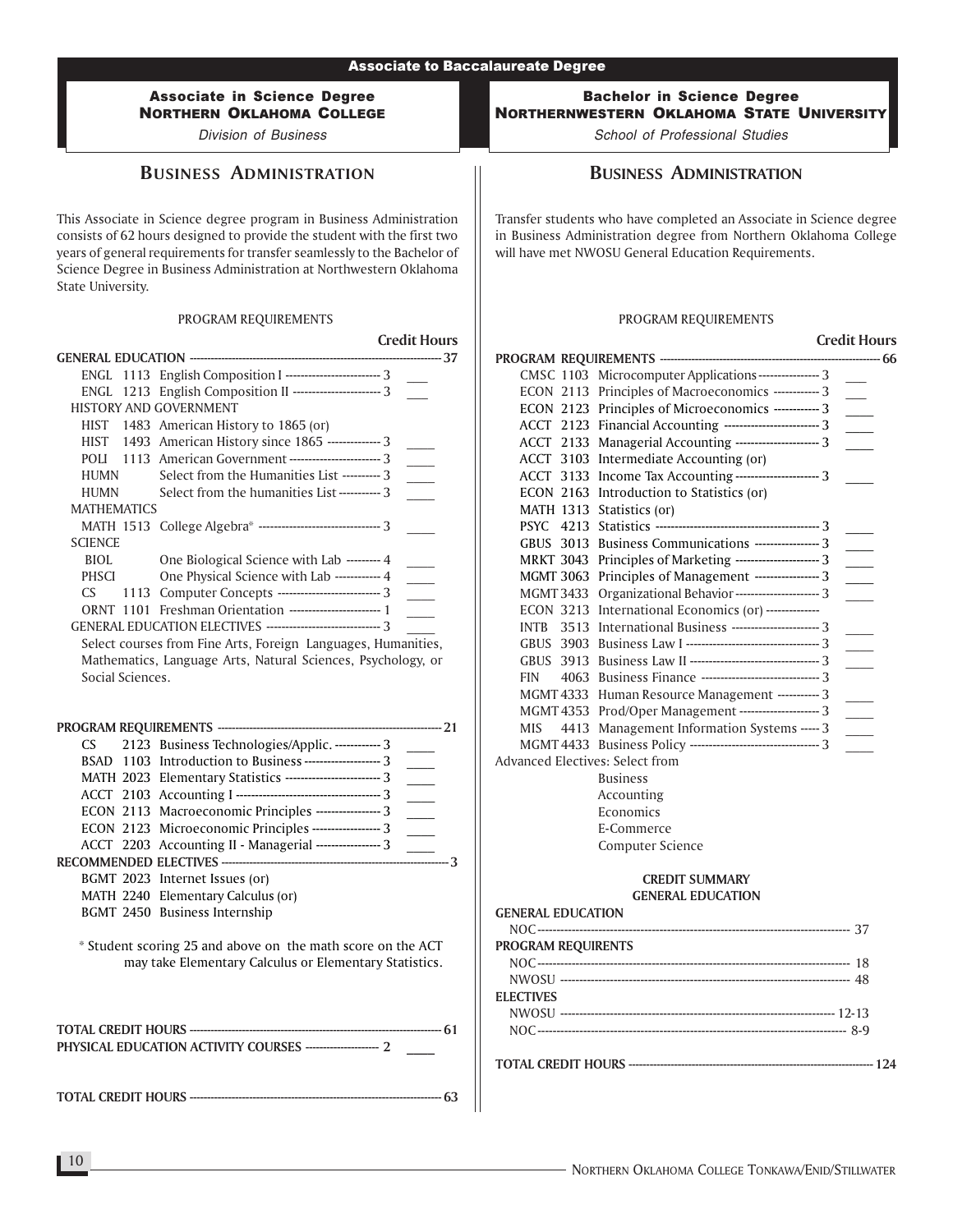Associate in Science Degree NORTHERN OKLAHOMA COLLEGE

Division of Business

### BUSINESS ADMINISTRATION

This Associate in Science degree program in Business Administration consists of 62 hours designed to provide the student with the first two years of general requirements for transfer seamlessly to the Bachelor of Science Degree in Business Administration at Northwestern Oklahoma State University.

#### PROGRAM REQUIREMENTS

|                    |                                                                  | <b>Credit Hours</b> |
|--------------------|------------------------------------------------------------------|---------------------|
|                    |                                                                  |                     |
|                    | ENGL 1113 English Composition I ------------------------ 3       |                     |
|                    | ENGL 1213 English Composition II ----------------------- 3       |                     |
|                    | <b>HISTORY AND GOVERNMENT</b>                                    |                     |
| <b>HIST</b>        | 1483 American History to 1865 (or)                               |                     |
|                    | HIST 1493 American History since 1865 --------------3            |                     |
| <b>POLI</b>        | 1113 American Government -------------------------- 3            |                     |
| <b>HUMN</b>        | Select from the Humanities List ---------- 3                     |                     |
| <b>HUMN</b>        | Select from the humanities List-----------3                      |                     |
| <b>MATHEMATICS</b> |                                                                  |                     |
|                    | MATH 1513 College Algebra* --------------------------------- 3   |                     |
| <b>SCIENCE</b>     |                                                                  |                     |
| <b>BIOL</b>        | One Biological Science with Lab --------- 4                      |                     |
| <b>PHSCI</b>       | One Physical Science with Lab ------------ 4                     |                     |
| CS.                | 1113 Computer Concepts ---------------------------- 3            |                     |
| ORNT 1101          | Freshman Orientation ------------------------- 1                 |                     |
|                    | GENERAL EDUCATION ELECTIVES ---------------------------------- 3 |                     |
|                    | Select courses from Fine Arts, Foreign Languages, Humanities,    |                     |
|                    | Mathematics, Language Arts, Natural Sciences, Psychology, or     |                     |
| Social Sciences.   |                                                                  |                     |
|                    |                                                                  |                     |

### PROGRAM REQUIREMENTS ---------------------------------------------------------------- 21 CS 2123 Business Technologies/Applic. ------------ 3 BSAD 1103 Introduction to Business --------------------- 3 MATH 2023 Elementary Statistics --------------------------- 3 ACCT 2103 Accounting I -------------------------------------- 3 \_\_\_\_ ECON 2113 Macroeconomic Principles ----------------- 3 ECON 2123 Microeconomic Principles ------------------ 3 ACCT 2203 Accounting II - Managerial ----------------- 3 RECOMMENDED ELECTIVES ----------------------------------------------------------------- 3 BGMT 2023 Internet Issues (or) MATH 2240 Elementary Calculus (or) BGMT 2450 Business Internship

\* Student scoring 25 and above on the math score on the ACT may take Elementary Calculus or Elementary Statistics.

TOTAL CREDIT HOURS ------------------------------------------------------------------------ 63

Bachelor in Science Degree NORTHERNWESTERN OKLAHOMA STATE UNIVERSITY

School of Professional Studies

### BUSINESS ADMINISTRATION

Transfer students who have completed an Associate in Science degree in Business Administration degree from Northern Oklahoma College will have met NWOSU General Education Requirements.

#### PROGRAM REQUIREMENTS

|             |                                                               | <b>Credit Hours</b> |
|-------------|---------------------------------------------------------------|---------------------|
|             | PROGRAM REQUIREMENTS ------------------------------           | ------------- 66    |
|             | CMSC 1103 Microcomputer Applications ---------------- 3       |                     |
|             | ECON 2113 Principles of Macroeconomics ------------ 3         |                     |
|             | ECON 2123 Principles of Microeconomics ------------ 3         |                     |
|             | ACCT 2123 Financial Accounting --------------------------- 3  |                     |
|             | ACCT 2133 Managerial Accounting ---------------------- 3      |                     |
|             | ACCT 3103 Intermediate Accounting (or)                        |                     |
|             | ACCT 3133 Income Tax Accounting ---------------------- 3      |                     |
|             | ECON 2163 Introduction to Statistics (or)                     |                     |
|             | MATH 1313 Statistics (or)                                     |                     |
| <b>PSYC</b> |                                                               |                     |
|             | GBUS 3013 Business Communications ----------------- 3         |                     |
|             | MRKT 3043 Principles of Marketing ---------------------- 3    |                     |
|             | MGMT 3063 Principles of Management ----------------- 3        |                     |
|             | MGMT 3433 Organizational Behavior ---------------------- 3    |                     |
|             | ECON 3213 International Economics (or) --------------         |                     |
| <b>INTB</b> | 3513 International Business ------------------------- 3       |                     |
|             |                                                               |                     |
| <b>GBUS</b> |                                                               |                     |
| <b>FIN</b>  |                                                               |                     |
|             | MGMT 4333 Human Resource Management ----------- 3             |                     |
|             | MGMT 4353 Prod/Oper Management --------------------- 3        |                     |
| <b>MIS</b>  | 4413 Management Information Systems ----- 3                   |                     |
|             | MGMT 4433 Business Policy --------------------------------- 3 |                     |
|             | Advanced Electives: Select from                               |                     |
|             | <b>Business</b>                                               |                     |
|             | Accounting                                                    |                     |
|             | Economics                                                     |                     |
|             | E-Commerce                                                    |                     |
|             | <b>Computer Science</b>                                       |                     |
|             |                                                               |                     |

| <b>GENERAL EDUCATION</b> |  |
|--------------------------|--|
|                          |  |
| PROGRAM REQUIRENTS       |  |
|                          |  |
|                          |  |
| <b>ELECTIVES</b>         |  |
|                          |  |
|                          |  |
|                          |  |
|                          |  |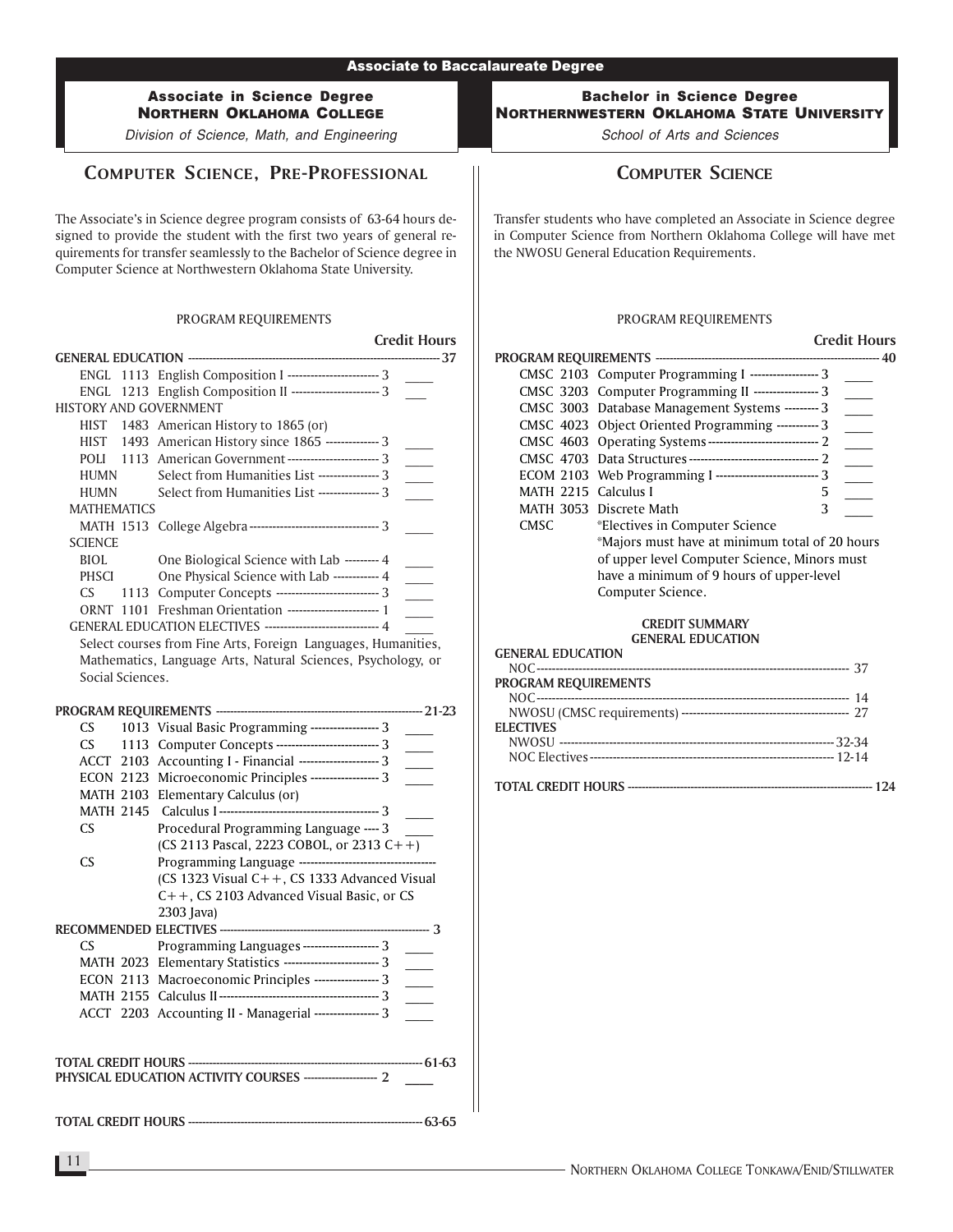Division of Science, Math, and Engineering

# COMPUTER SCIENCE, PRE-PROFESSIONAL

The Associate's in Science degree program consists of 63-64 hours designed to provide the student with the first two years of general requirements for transfer seamlessly to the Bachelor of Science degree in Computer Science at Northwestern Oklahoma State University.

#### PROGRAM REQUIREMENTS

|                               | <b>Credit Hours</b>                                           |
|-------------------------------|---------------------------------------------------------------|
|                               |                                                               |
|                               | ENGL 1113 English Composition I --------------------------- 3 |
|                               | ENGL 1213 English Composition II ------------------------ 3   |
| <b>HISTORY AND GOVERNMENT</b> |                                                               |
|                               | HIST 1483 American History to 1865 (or)                       |
|                               | HIST 1493 American History since 1865 -------------- 3        |
|                               | POLI 1113 American Government -------------------------- 3    |
| HUMN                          | Select from Humanities List ---------------- 3                |
| <b>HUMN</b>                   | Select from Humanities List ---------------- 3                |
| <b>MATHEMATICS</b>            |                                                               |
|                               | MATH 1513 College Algebra --------------------------------- 3 |
| <b>SCIENCE</b>                |                                                               |
| <b>BIOL</b>                   | One Biological Science with Lab --------- 4                   |
| PHSCI                         | One Physical Science with Lab ------------ 4                  |
| CS.                           | 1113 Computer Concepts -------------------------- 3           |
|                               | ORNT 1101 Freshman Orientation ------------------------ 1     |
|                               | GENERAL EDUCATION ELECTIVES ------------------------------ 4  |
|                               | Soloct courses from Eine Arts, Equipm Languages, Humanities   |

Select courses from Fine Arts, Foreign Languages, Humanities, Mathematics, Language Arts, Natural Sciences, Psychology, or Social Sciences.

| CS —          | 1013 Visual Basic Programming ------------------ 3         |  |
|---------------|------------------------------------------------------------|--|
| $\mathsf{CS}$ | 1113 Computer Concepts -------------------------- 3        |  |
|               | ACCT 2103 Accounting I - Financial --------------------- 3 |  |
|               | ECON 2123 Microeconomic Principles ------------------ 3    |  |
|               | MATH 2103 Elementary Calculus (or)                         |  |
|               |                                                            |  |
| CS.           | Procedural Programming Language ---- 3                     |  |
|               | (CS 2113 Pascal, 2223 COBOL, or 2313 C++)                  |  |
| <b>CS</b>     |                                                            |  |
|               | (CS 1323 Visual $C++$ , CS 1333 Advanced Visual            |  |
|               | $C++$ , CS 2103 Advanced Visual Basic, or CS               |  |
|               | 2303 Java)                                                 |  |
|               |                                                            |  |
| CS.           | Programming Languages -------------------- 3               |  |
|               | MATH 2023 Elementary Statistics ------------------------ 3 |  |
|               | ECON 2113 Macroeconomic Principles ----------------- 3     |  |
|               |                                                            |  |
|               | ACCT 2203 Accounting II - Managerial ----------------- 3   |  |
|               |                                                            |  |
|               |                                                            |  |

TOTAL CREDIT HOURS ------------------------------------------------------------------- 63-65

### Bachelor in Science Degree NORTHERNWESTERN OKLAHOMA STATE UNIVERSITY

School of Arts and Sciences

# COMPUTER SCIENCE

Transfer students who have completed an Associate in Science degree in Computer Science from Northern Oklahoma College will have met the NWOSU General Education Requirements.

#### PROGRAM REQUIREMENTS

### Credit Hours PROGRAM REQUIREMENTS ---------------------------------------------------------------- 40 CMSC 2103 Computer Programming I ----------------- 3 CMSC 3203 Computer Programming II ---------------- 3 CMSC 3003 Database Management Systems --------- 3 CMSC 4023 Object Oriented Programming ----------- 3 CMSC 4603 Operating Systems ----------------------------- 2 CMSC 4703 Data Structures ---------------------------------- 2 \_\_\_\_ ECOM 2103 Web Programming I ----------------------------- 3 MATH 2215 Calculus I 5 MATH 3053 Discrete Math 3 CMSC \*Electives in Computer Science \*Majors must have at minimum total of 20 hours of upper level Computer Science, Minors must have a minimum of 9 hours of upper-level Computer Science.

# CREDIT SUMMARY

#### GENERAL EDUCATION GENERAL EDUCATION

| ,,,,,,,,,,,,,,,,,,,,,,,,,,, |  |
|-----------------------------|--|
|                             |  |
| PROGRAM REQUIREMENTS        |  |
|                             |  |
|                             |  |
| <b>ELECTIVES</b>            |  |
|                             |  |
|                             |  |
|                             |  |
|                             |  |
|                             |  |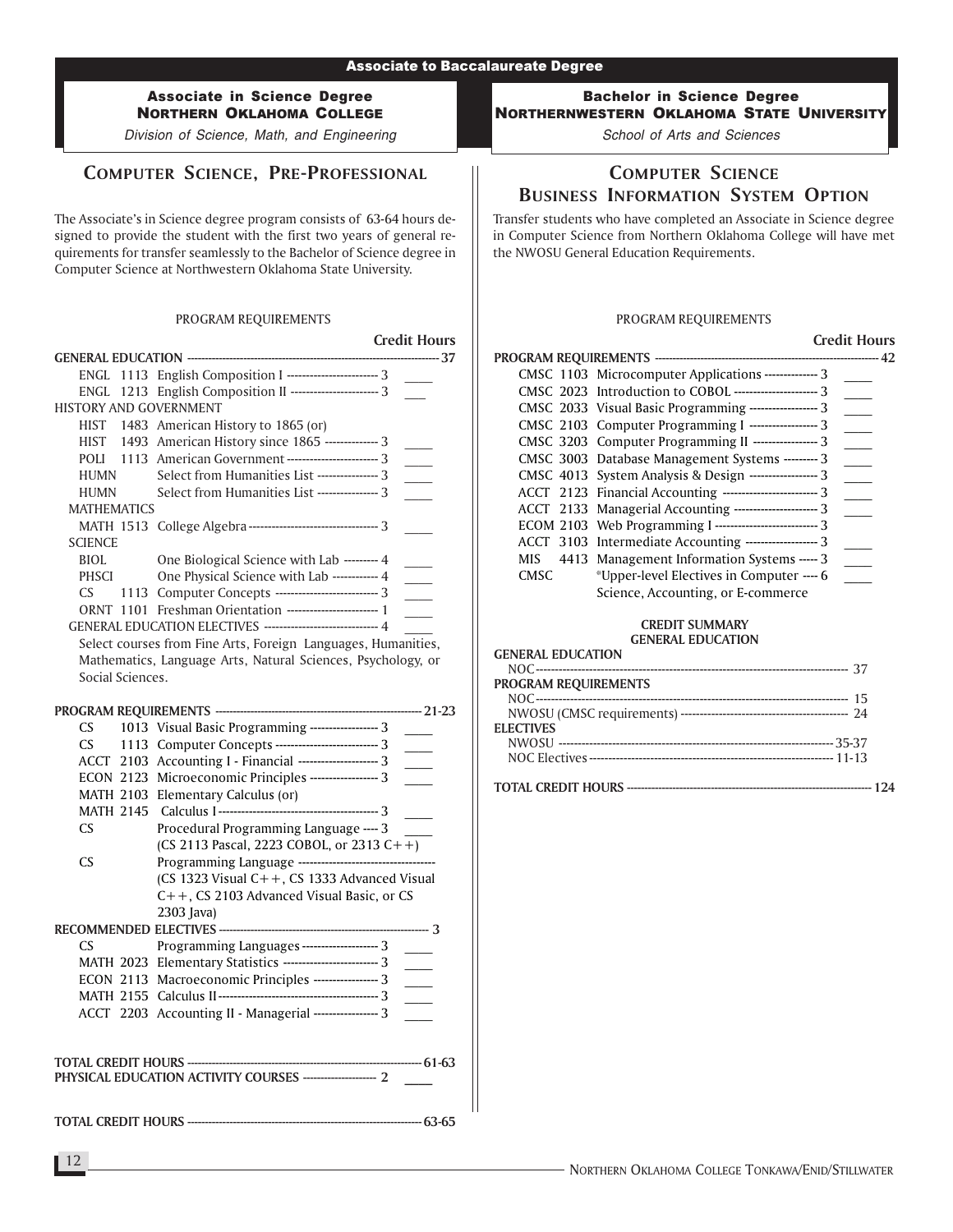Division of Science, Math, and Engineering

# COMPUTER SCIENCE, PRE-PROFESSIONAL

The Associate's in Science degree program consists of 63-64 hours designed to provide the student with the first two years of general requirements for transfer seamlessly to the Bachelor of Science degree in Computer Science at Northwestern Oklahoma State University.

#### PROGRAM REQUIREMENTS

|                    |                                                                | <b>Credit Hours</b> |
|--------------------|----------------------------------------------------------------|---------------------|
|                    |                                                                |                     |
|                    | ENGL 1113 English Composition I ------------------------ 3     |                     |
|                    | ENGL 1213 English Composition II ----------------------- 3     |                     |
|                    | <b>HISTORY AND GOVERNMENT</b>                                  |                     |
| HIST               | 1483 American History to 1865 (or)                             |                     |
|                    | HIST 1493 American History since 1865 -------------- 3         |                     |
|                    | POLI 1113 American Government ------------------------- 3      |                     |
| HUMN               | Select from Humanities List ---------------- 3                 |                     |
| HUMN               | Select from Humanities List ---------------- 3                 |                     |
| <b>MATHEMATICS</b> |                                                                |                     |
|                    | MATH 1513 College Algebra ---------------------------------- 3 |                     |
| <b>SCIENCE</b>     |                                                                |                     |
| BIOL               | One Biological Science with Lab --------- 4                    |                     |
| PHSCI              | One Physical Science with Lab ----------- 4                    |                     |
| CS.                | 1113 Computer Concepts -------------------------- 3            |                     |
| ORNT 1101          | Freshman Orientation ------------------------ 1                |                     |
|                    | GENERAL EDUCATION ELECTIVES ----------------------------- 4    |                     |
|                    | Select courses from Eine Arts, Foreign, Languages, Humanities  |                     |

Select courses from Fine Arts, Foreign Languages, Humanities, Mathematics, Language Arts, Natural Sciences, Psychology, or Social Sciences.

| CS — | 1013 Visual Basic Programming ------------------ 3          |  |
|------|-------------------------------------------------------------|--|
| CS — | 1113 Computer Concepts -------------------------- 3         |  |
|      | ACCT 2103 Accounting I - Financial --------------------- 3  |  |
|      | ECON 2123 Microeconomic Principles ------------------ 3     |  |
|      | MATH 2103 Elementary Calculus (or)                          |  |
|      |                                                             |  |
| CS.  | Procedural Programming Language ---- 3                      |  |
|      | (CS 2113 Pascal, 2223 COBOL, or 2313 C++)                   |  |
| CS.  |                                                             |  |
|      | (CS 1323 Visual $C++$ , CS 1333 Advanced Visual             |  |
|      | $C++$ , CS 2103 Advanced Visual Basic, or CS                |  |
|      | 2303 Java)                                                  |  |
|      |                                                             |  |
| CS.  | Programming Languages -------------------- 3                |  |
|      | MATH 2023 Elementary Statistics ------------------------- 3 |  |
|      | ECON 2113 Macroeconomic Principles ----------------- 3      |  |
|      |                                                             |  |
|      | ACCT 2203 Accounting II - Managerial ----------------- 3    |  |
|      |                                                             |  |
|      |                                                             |  |
|      |                                                             |  |

### TOTAL CREDIT HOURS ------------------------------------------------------------------- 61-63 PHYSICAL EDUCATION ACTIVITY COURSES ---------

TOTAL CREDIT HOURS ------------------------------------------------------------------- 63-65

### Bachelor in Science Degree NORTHERNWESTERN OKLAHOMA STATE UNIVERSITY

School of Arts and Sciences

# COMPUTER SCIENCE BUSINESS INFORMATION SYSTEM OPTION

Transfer students who have completed an Associate in Science degree in Computer Science from Northern Oklahoma College will have met the NWOSU General Education Requirements.

#### PROGRAM REQUIREMENTS

|             |                                                                | <b>Credit Hours</b> |
|-------------|----------------------------------------------------------------|---------------------|
|             |                                                                |                     |
|             | CMSC 1103 Microcomputer Applications -------------- 3          |                     |
|             | CMSC 2023 Introduction to COBOL ----------------------- 3      |                     |
|             | CMSC 2033 Visual Basic Programming ------------------- 3       |                     |
|             | CMSC 2103 Computer Programming I ------------------- 3         |                     |
|             | CMSC 3203 Computer Programming II ------------------ 3         |                     |
|             | CMSC 3003 Database Management Systems --------- 3              |                     |
|             | CMSC 4013 System Analysis & Design ------------------ 3        |                     |
|             | ACCT 2123 Financial Accounting ------------------------- 3     |                     |
|             | ACCT 2133 Managerial Accounting ---------------------- 3       |                     |
|             | ECOM 2103 Web Programming I -------------------------------- 3 |                     |
|             | ACCT 3103 Intermediate Accounting ------------------ 3         |                     |
| MIS.        | 4413 Management Information Systems ----- 3                    |                     |
| <b>CMSC</b> | *Upper-level Electives in Computer ---- 6                      |                     |
|             | Science, Accounting, or E-commerce                             |                     |

#### CREDIT SUMMARY GENERAL EDUCATION

#### GENERAL EDUCATION

| <b>PROGRAM REQUIREMENTS</b> |  |
|-----------------------------|--|
|                             |  |
|                             |  |
| <b>ELECTIVES</b>            |  |
|                             |  |
|                             |  |
|                             |  |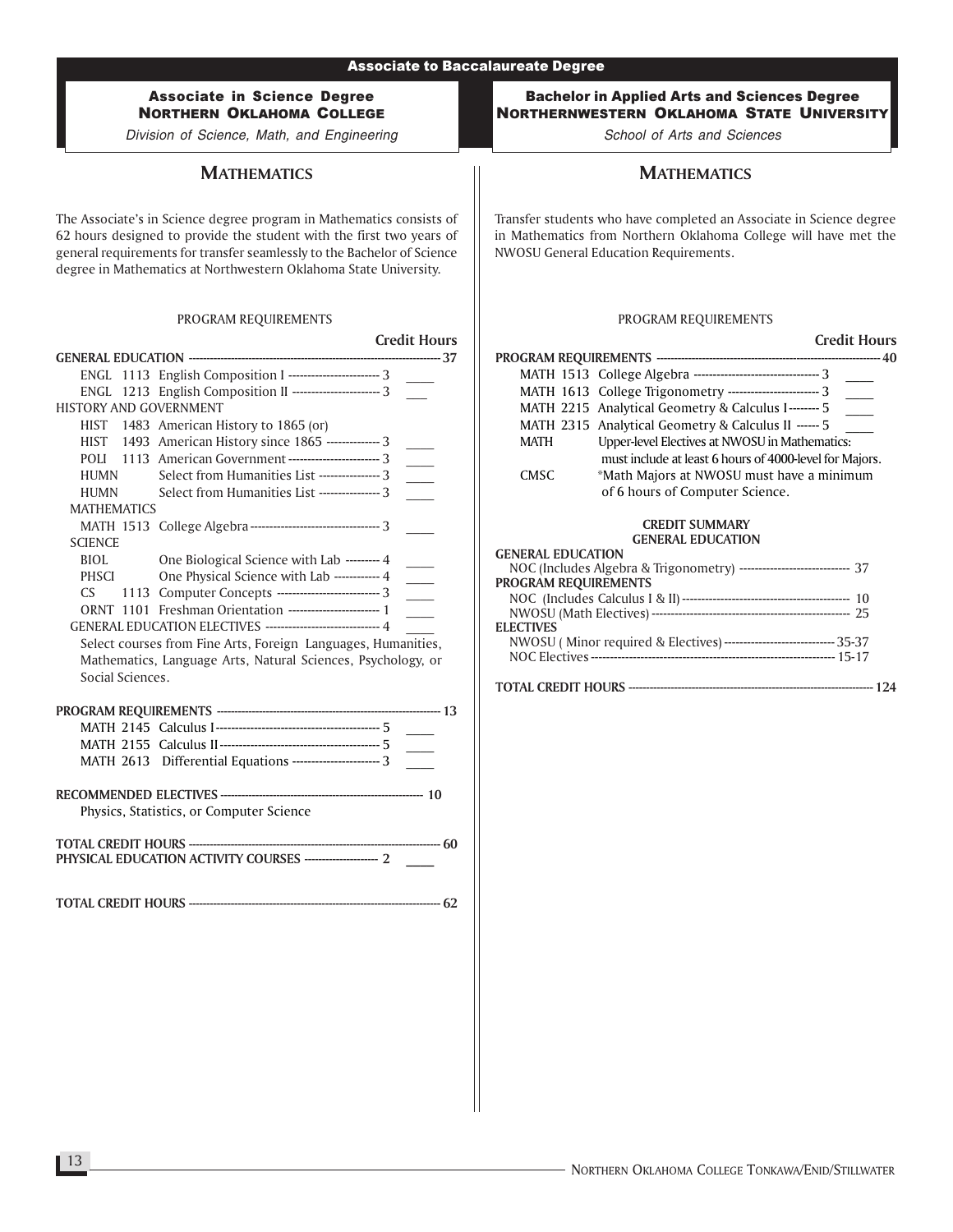# Associate in Science Degree NORTHERN OKLAHOMA COLLEGE

Division of Science, Math, and Engineering

### **MATHEMATICS**

The Associate's in Science degree program in Mathematics consists of 62 hours designed to provide the student with the first two years of general requirements for transfer seamlessly to the Bachelor of Science degree in Mathematics at Northwestern Oklahoma State University.

#### PROGRAM REQUIREMENTS

|                               |                                                                    | <b>Credit Hours</b>         |
|-------------------------------|--------------------------------------------------------------------|-----------------------------|
|                               |                                                                    | -------------- 37           |
|                               | ENGL 1113 English Composition I ------------------------ 3         |                             |
| ENGL                          | 1213 English Composition II -------------------------- 3           |                             |
| <b>HISTORY AND GOVERNMENT</b> |                                                                    |                             |
|                               | HIST 1483 American History to 1865 (or)                            |                             |
|                               | HIST 1493 American History since 1865 -------------- 3             | $\overline{\phantom{a}}$    |
|                               | POLI 1113 American Government ------------------------- 3          | $\overline{\phantom{a}}$    |
| <b>HUMN</b>                   | Select from Humanities List ---------------- 3                     |                             |
| HUMN                          | Select from Humanities List ---------------- 3                     |                             |
| <b>MATHEMATICS</b>            |                                                                    |                             |
|                               | MATH 1513 College Algebra --------------------------------- 3      |                             |
| <b>SCIENCE</b>                |                                                                    |                             |
| <b>BIOL</b>                   | One Biological Science with Lab --------- 4                        |                             |
| <b>PHSCI</b>                  | One Physical Science with Lab ----------- 4                        | $\mathcal{L}^{\text{max}}$  |
| CS                            | 1113 Computer Concepts --------------------------- 3               | $\overline{\phantom{a}}$    |
|                               |                                                                    | $\mathcal{L}^{\mathcal{L}}$ |
|                               | GENERAL EDUCATION ELECTIVES ------------------------------ 4       |                             |
|                               | Select courses from Fine Arts, Foreign Languages, Humanities,      |                             |
|                               | Mathematics, Language Arts, Natural Sciences, Psychology, or       |                             |
| Social Sciences.              |                                                                    |                             |
|                               |                                                                    |                             |
|                               |                                                                    |                             |
|                               |                                                                    | $\overline{\phantom{a}}$    |
|                               |                                                                    |                             |
|                               | MATH 2613 Differential Equations ----------------------- 3         |                             |
|                               |                                                                    |                             |
|                               |                                                                    |                             |
|                               | Physics, Statistics, or Computer Science                           |                             |
|                               |                                                                    |                             |
|                               |                                                                    |                             |
|                               | PHYSICAL EDUCATION ACTIVITY COURSES ---------------------------- 2 |                             |
|                               |                                                                    |                             |
|                               |                                                                    | ----------- 62              |

### Bachelor in Applied Arts and Sciences Degree NORTHERNWESTERN OKLAHOMA STATE UNIVERSITY

School of Arts and Sciences

# **MATHEMATICS**

Transfer students who have completed an Associate in Science degree in Mathematics from Northern Oklahoma College will have met the NWOSU General Education Requirements.

### PROGRAM REQUIREMENTS

|                             |                                                                        | <b>Credit Hours</b> |
|-----------------------------|------------------------------------------------------------------------|---------------------|
|                             |                                                                        |                     |
|                             | MATH 1513 College Algebra ---------------------------------- 3         |                     |
|                             | MATH 1613 College Trigonometry ---------------------------- 3          |                     |
|                             | MATH 2215 Analytical Geometry & Calculus I-------- 5                   |                     |
|                             | MATH 2315 Analytical Geometry & Calculus II ------ 5                   |                     |
| MATH                        | Upper-level Electives at NWOSU in Mathematics:                         |                     |
|                             | must include at least 6 hours of 4000-level for Majors.                |                     |
| <b>CMSC</b>                 | *Math Majors at NWOSU must have a minimum                              |                     |
|                             | of 6 hours of Computer Science.                                        |                     |
|                             | <b>CREDIT SUMMARY</b>                                                  |                     |
|                             | <b>GENERAL EDUCATION</b>                                               |                     |
| <b>GENERAL EDUCATION</b>    |                                                                        |                     |
|                             | NOC (Includes Algebra & Trigonometry) ---------------------------- 37  |                     |
| <b>PROGRAM REQUIREMENTS</b> |                                                                        |                     |
|                             |                                                                        |                     |
|                             |                                                                        |                     |
| <b>ELECTIVES</b>            |                                                                        |                     |
|                             | NWOSU (Minor required & Electives) ----------------------------- 35-37 |                     |
|                             |                                                                        |                     |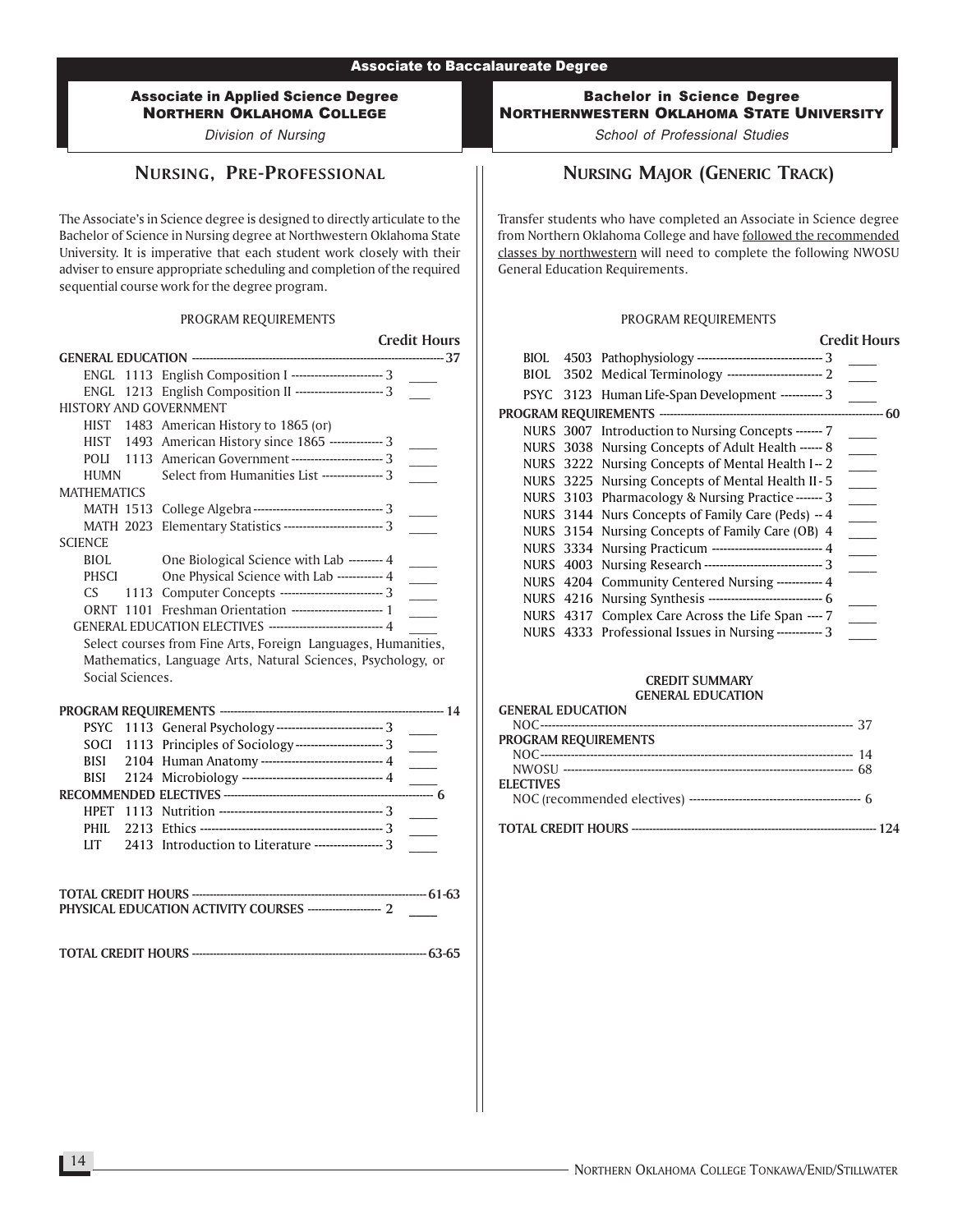Division of Nursing

### NURSING, PRE-PROFESSIONAL

The Associate's in Science degree is designed to directly articulate to the Bachelor of Science in Nursing degree at Northwestern Oklahoma State University. It is imperative that each student work closely with their adviser to ensure appropriate scheduling and completion of the required sequential course work for the degree program.

#### PROGRAM REQUIREMENTS

|                    |                  |                                                               | <b>Credit Hours</b>        |
|--------------------|------------------|---------------------------------------------------------------|----------------------------|
|                    |                  |                                                               | ----------- 37             |
|                    |                  | ENGL 1113 English Composition I ------------------------ 3    |                            |
| ENGL               |                  | 1213 English Composition II --------------------------- 3     |                            |
|                    |                  | <b>HISTORY AND GOVERNMENT</b>                                 |                            |
|                    |                  | HIST 1483 American History to 1865 (or)                       |                            |
|                    |                  | HIST 1493 American History since 1865 -------------- 3        |                            |
| POLI               |                  | 1113 American Government ------------------------- 3          |                            |
| <b>HUMN</b>        |                  | Select from Humanities List ---------------- 3                |                            |
| <b>MATHEMATICS</b> |                  |                                                               |                            |
|                    | <b>MATH 1513</b> | College Algebra --------------------------------- 3           |                            |
|                    | <b>MATH 2023</b> | Elementary Statistics -------------------------- 3            |                            |
| <b>SCIENCE</b>     |                  |                                                               |                            |
| BIOL.              |                  | One Biological Science with Lab --------- 4                   |                            |
| <b>PHSCI</b>       |                  | One Physical Science with Lab ------------ 4                  | $\overline{\phantom{a}}$   |
| CS.                |                  | 1113 Computer Concepts --------------------------- 3          |                            |
|                    |                  | ORNT 1101 Freshman Orientation ------------------------ 1     |                            |
|                    |                  | GENERAL EDUCATION ELECTIVES ------------------------------ 4  |                            |
|                    |                  | Select courses from Fine Arts, Foreign Languages, Humanities, |                            |
|                    |                  | Mathematics, Language Arts, Natural Sciences, Psychology, or  |                            |
|                    | Social Sciences. |                                                               |                            |
|                    |                  |                                                               |                            |
|                    |                  |                                                               | ----------- 14             |
| <b>PSYC</b>        |                  | 1113 General Psychology ---------------------------- 3        | $\sim$ 10 $\pm$            |
| <b>SOCI</b>        |                  | 1113 Principles of Sociology ------------------------- 3      |                            |
| <b>BISI</b>        |                  | 2104 Human Anatomy ------------------------------- 4          |                            |
| <b>BISI</b>        |                  |                                                               |                            |
|                    |                  |                                                               | $\overline{\phantom{a}}$ 6 |
|                    |                  |                                                               |                            |
| PHIL.              |                  |                                                               | $\sim 10$                  |
| <b>LIT</b>         |                  | 2413 Introduction to Literature ------------------ 3          |                            |
|                    |                  |                                                               |                            |
|                    |                  |                                                               |                            |
|                    |                  |                                                               |                            |
|                    |                  | PHYSICAL EDUCATION ACTIVITY COURSES ---------------------- 2  |                            |
|                    |                  |                                                               |                            |

TOTAL CREDIT HOURS ------------------------------------------------------------------- 63-65

Bachelor in Science Degree NORTHERNWESTERN OKLAHOMA STATE UNIVERSITY

School of Professional Studies

# NURSING MAJOR (GENERIC TRACK)

Transfer students who have completed an Associate in Science degree from Northern Oklahoma College and have followed the recommended classes by northwestern will need to complete the following NWOSU General Education Requirements.

#### PROGRAM REQUIREMENTS

|      | <b>Credit Hours</b>                                           |
|------|---------------------------------------------------------------|
|      |                                                               |
| BIOL |                                                               |
|      | PSYC 3123 Human Life-Span Development ----------- 3           |
|      | 60                                                            |
|      | NURS 3007 Introduction to Nursing Concepts ------- 7          |
|      | NURS 3038 Nursing Concepts of Adult Health ------ 8           |
|      | NURS 3222 Nursing Concepts of Mental Health I-2               |
|      | NURS 3225 Nursing Concepts of Mental Health II-5              |
|      | NURS 3103 Pharmacology & Nursing Practice ------- 3           |
|      | NURS 3144 Nurs Concepts of Family Care (Peds) -- 4            |
|      | NURS 3154 Nursing Concepts of Family Care (OB) 4              |
|      | NURS 3334 Nursing Practicum --------------------------- 4     |
|      | NURS 4003 Nursing Research ------------------------------- 3  |
|      | NURS 4204 Community Centered Nursing ----------- 4            |
|      | NURS 4216 Nursing Synthesis ------------------------------- 6 |
|      | NURS 4317 Complex Care Across the Life Span ---- 7            |
|      | NURS 4333 Professional Issues in Nursing ------------ 3       |
|      |                                                               |

| MERLIN JE EDOCZNI JOS    |  |
|--------------------------|--|
| <b>GENERAL EDUCATION</b> |  |
|                          |  |
| PROGRAM REQUIREMENTS     |  |
|                          |  |
|                          |  |
| <b>ELECTIVES</b>         |  |
|                          |  |
|                          |  |
|                          |  |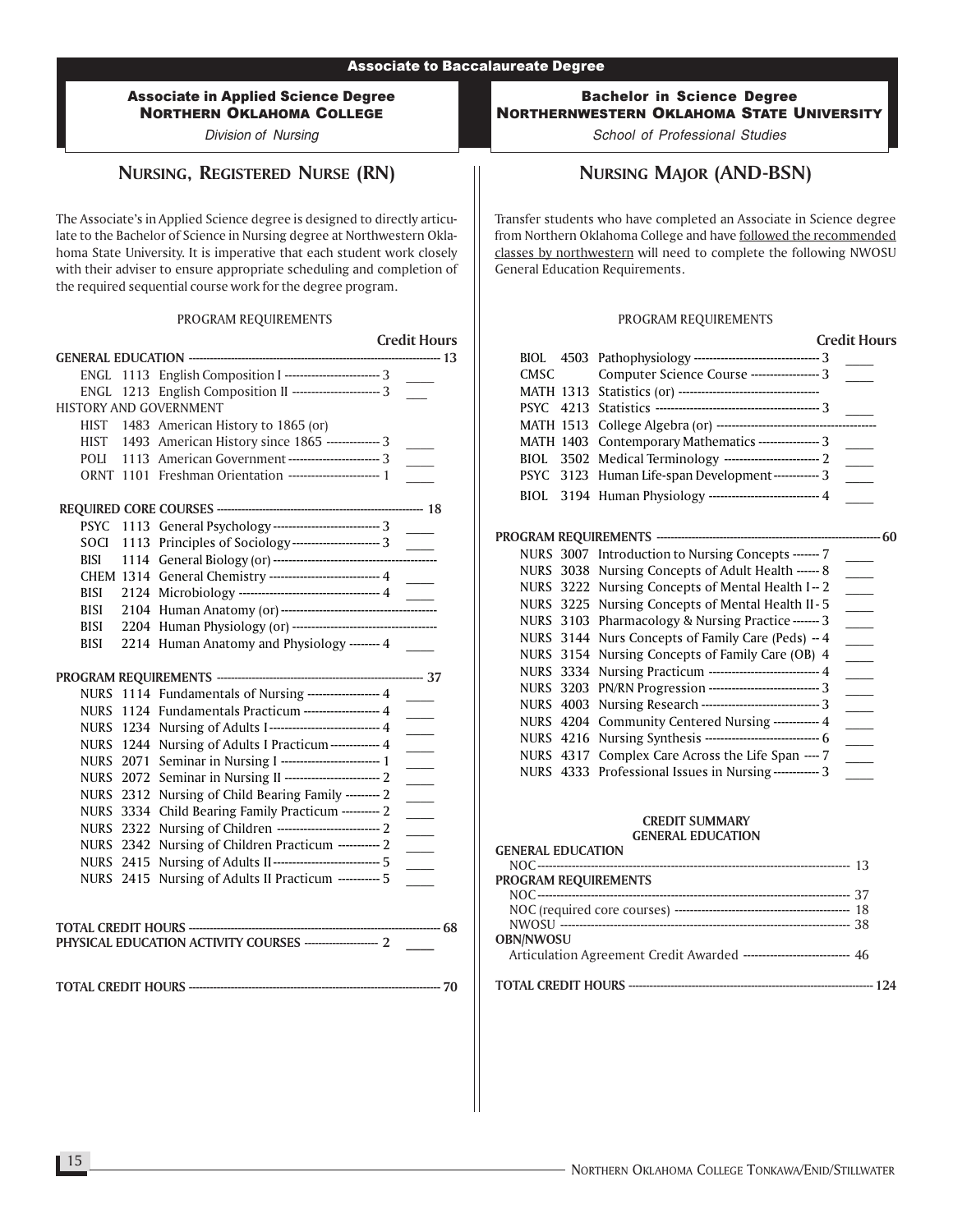Division of Nursing

# NURSING, REGISTERED NURSE (RN)

The Associate's in Applied Science degree is designed to directly articulate to the Bachelor of Science in Nursing degree at Northwestern Oklahoma State University. It is imperative that each student work closely with their adviser to ensure appropriate scheduling and completion of the required sequential course work for the degree program.

#### PROGRAM REQUIREMENTS

|             |           |                                                             | <b>Credit Hours</b>      |
|-------------|-----------|-------------------------------------------------------------|--------------------------|
|             |           |                                                             | ----------- 13           |
| ENGL.       |           | 1113 English Composition I ------------------------- 3      |                          |
| ENGL        |           | 1213 English Composition II ------------------------ 3      |                          |
|             |           | <b>HISTORY AND GOVERNMENT</b>                               |                          |
|             |           | HIST 1483 American History to 1865 (or)                     |                          |
| <b>HIST</b> |           | 1493 American History since 1865 -------------- 3           | $\sim 10^{-1}$           |
| POLI        |           | 1113 American Government ------------------------ 3         |                          |
| ORNT        |           | 1101 Freshman Orientation ----------------------- 1         |                          |
|             |           |                                                             |                          |
| <b>PSYC</b> |           | 1113 General Psychology ---------------------------- 3      |                          |
| SOCI        |           | 1113 Principles of Sociology--------------------------- 3   |                          |
| BISI        |           |                                                             |                          |
|             |           | CHEM 1314 General Chemistry ---------------------------- 4  |                          |
| BISI        |           | 2124 Microbiology ----------------------------------- 4     |                          |
| <b>BISI</b> |           |                                                             |                          |
| BISI        |           |                                                             |                          |
| <b>BISI</b> |           | 2214 Human Anatomy and Physiology ------- 4                 |                          |
|             |           |                                                             |                          |
|             |           | NURS 1114 Fundamentals of Nursing ------------------ 4      |                          |
|             |           | NURS 1124 Fundamentals Practicum ------------------- 4      |                          |
|             |           | NURS 1234 Nursing of Adults I---------------------------- 4 | $\overline{\phantom{a}}$ |
|             |           | NURS 1244 Nursing of Adults I Practicum------------- 4      | $\overline{\phantom{a}}$ |
|             |           |                                                             |                          |
|             |           | NURS 2071 Seminar in Nursing I ------------------------- 1  | $\overline{\phantom{a}}$ |
|             |           | NURS 2072 Seminar in Nursing II ------------------------- 2 | $\overline{\phantom{a}}$ |
|             |           | NURS 2312 Nursing of Child Bearing Family --------- 2       | $\overline{\phantom{a}}$ |
|             |           | NURS 3334 Child Bearing Family Practicum --------- 2        | $\sim$                   |
|             |           | NURS 2322 Nursing of Children --------------------------- 2 | $\overline{\phantom{a}}$ |
|             |           | NURS 2342 Nursing of Children Practicum ----------- 2       | $\sim$                   |
|             | NURS 2415 | Nursing of Adults II---------------------------- 5          |                          |
| NURS        | 2415      | Nursing of Adults II Practicum ----------- 5                |                          |
|             |           |                                                             |                          |
|             |           | <b>TOTAL CREDIT HOURS ----------</b>                        | --------- 68             |
|             |           |                                                             |                          |
|             |           |                                                             | -- 70                    |
|             |           |                                                             |                          |
|             |           |                                                             |                          |

Bachelor in Science Degree NORTHERNWESTERN OKLAHOMA STATE UNIVERSITY

School of Professional Studies

# NURSING MAJOR (AND-BSN)

Transfer students who have completed an Associate in Science degree from Northern Oklahoma College and have followed the recommended classes by northwestern will need to complete the following NWOSU General Education Requirements.

#### PROGRAM REQUIREMENTS

|                  |      |                                                               | <b>Credit Hours</b>        |  |
|------------------|------|---------------------------------------------------------------|----------------------------|--|
| BIOL.            |      | 4503 Pathophysiology ----------------------------------- 3    |                            |  |
| CMSC             |      | Computer Science Course ----------------- 3                   | $\sim$ 10 $\mu$            |  |
|                  |      |                                                               |                            |  |
| <b>PSYC</b>      |      |                                                               |                            |  |
| <b>MATH 1513</b> |      |                                                               |                            |  |
| <b>MATH 1403</b> |      | Contemporary Mathematics --------------- 3                    |                            |  |
| BIOL.            | 3502 | Medical Terminology -------------------------- 2              |                            |  |
| <b>PSYC</b>      | 3123 | Human Life-span Development------------ 3                     | $\sim$                     |  |
| BIOL             |      | 3194 Human Physiology --------------------------- 4           |                            |  |
|                  |      |                                                               |                            |  |
|                  |      |                                                               |                            |  |
|                  |      | NURS 3007 Introduction to Nursing Concepts ------- 7          |                            |  |
|                  |      | NURS 3038 Nursing Concepts of Adult Health ------ 8           |                            |  |
| NURS             |      | 3222 Nursing Concepts of Mental Health I-2                    |                            |  |
|                  |      | NURS 3225 Nursing Concepts of Mental Health II-5              |                            |  |
|                  |      | NURS 3103 Pharmacology & Nursing Practice ------- 3           |                            |  |
| <b>NURS</b>      |      | 3144 Nurs Concepts of Family Care (Peds) - 4                  | $\overline{\phantom{0}}$   |  |
| <b>NURS</b>      |      | 3154 Nursing Concepts of Family Care (OB) 4                   |                            |  |
| <b>NURS</b>      | 3334 | Nursing Practicum --------------------------- 4               |                            |  |
| <b>NURS</b>      |      | 3203 PN/RN Progression ---------------------------- 3         | $\overline{\phantom{0}}$   |  |
| <b>NURS 4003</b> |      | Nursing Research ------------------------------ 3             |                            |  |
| <b>NURS</b>      | 4204 | Community Centered Nursing ------------ 4                     | $\sim$                     |  |
|                  |      | NURS 4216 Nursing Synthesis ------------------------------- 6 | $\mathcal{L}^{\text{max}}$ |  |
|                  |      | NURS 4317 Complex Care Across the Life Span ---- 7            | $\overline{\phantom{0}}$   |  |
|                  |      | NURS 4333 Professional Issues in Nursing ------------ 3       |                            |  |
|                  |      |                                                               |                            |  |
|                  |      |                                                               |                            |  |

| <b>GENERAL EDUCATION</b>                                              |  |
|-----------------------------------------------------------------------|--|
|                                                                       |  |
| <b>PROGRAM REQUIREMENTS</b>                                           |  |
|                                                                       |  |
|                                                                       |  |
|                                                                       |  |
| <b>OBN/NWOSU</b>                                                      |  |
| Articulation Agreement Credit Awarded ---------------------------- 46 |  |
|                                                                       |  |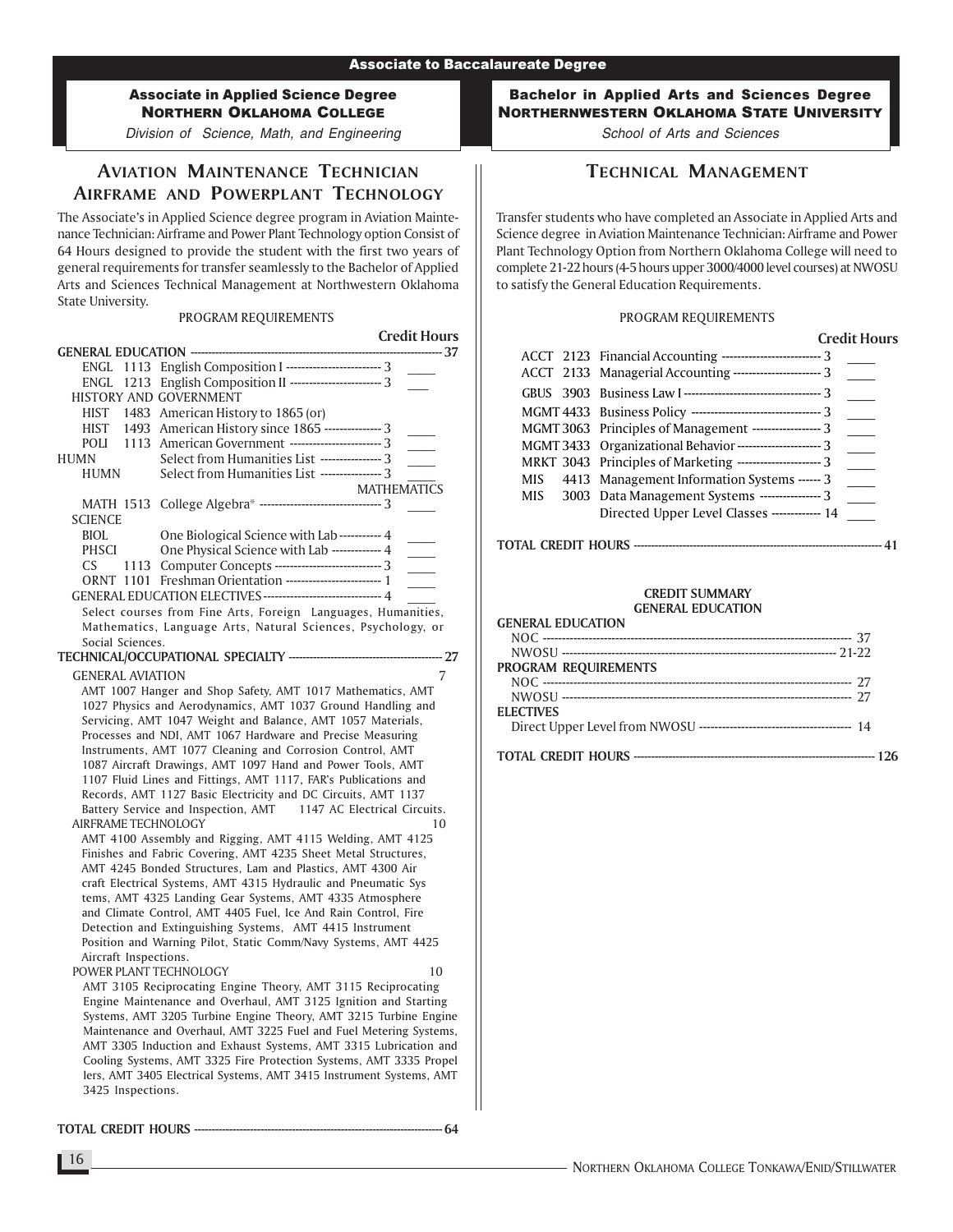Division of Science, Math, and Engineering

# AVIATION MAINTENANCE TECHNICIAN AIRFRAME AND POWERPLANT TECHNOLOGY

The Associate's in Applied Science degree program in Aviation Maintenance Technician: Airframe and Power Plant Technology option Consist of 64 Hours designed to provide the student with the first two years of general requirements for transfer seamlessly to the Bachelor of Applied Arts and Sciences Technical Management at Northwestern Oklahoma State University.

### PROGRAM REQUIREMENTS

|                                                                                                                             |                                                                                                                                  | <b>Credit Hours</b> |  |  |  |  |
|-----------------------------------------------------------------------------------------------------------------------------|----------------------------------------------------------------------------------------------------------------------------------|---------------------|--|--|--|--|
|                                                                                                                             | <b>GENERAL EDUCATION --------------------------</b>                                                                              | --------- 37        |  |  |  |  |
|                                                                                                                             | ENGL 1113 English Composition I ------------------------- 3                                                                      |                     |  |  |  |  |
|                                                                                                                             | ENGL 1213 English Composition II --------------------------- 3                                                                   |                     |  |  |  |  |
|                                                                                                                             | HISTORY AND GOVERNMENT                                                                                                           |                     |  |  |  |  |
|                                                                                                                             | HIST 1483 American History to 1865 (or)                                                                                          |                     |  |  |  |  |
| HIST                                                                                                                        | 1493 American History since 1865 --------------- 3                                                                               |                     |  |  |  |  |
| <b>POLI</b>                                                                                                                 | 1113 American Government ------------------------ 3                                                                              |                     |  |  |  |  |
| <b>HUMN</b>                                                                                                                 | Select from Humanities List ---------------- 3                                                                                   |                     |  |  |  |  |
| <b>HUMN</b>                                                                                                                 | Select from Humanities List ---------------- 3                                                                                   |                     |  |  |  |  |
|                                                                                                                             |                                                                                                                                  | <b>MATHEMATICS</b>  |  |  |  |  |
|                                                                                                                             | MATH 1513 College Algebra* ------------------------------- 3                                                                     |                     |  |  |  |  |
| <b>SCIENCE</b>                                                                                                              |                                                                                                                                  |                     |  |  |  |  |
| <b>BIOL</b>                                                                                                                 | One Biological Science with Lab----------- 4                                                                                     |                     |  |  |  |  |
| <b>PHSCI</b>                                                                                                                | One Physical Science with Lab ------------- 4                                                                                    |                     |  |  |  |  |
| CS.                                                                                                                         | 1113 Computer Concepts ------------------------------ 3                                                                          |                     |  |  |  |  |
|                                                                                                                             |                                                                                                                                  |                     |  |  |  |  |
|                                                                                                                             | GENERAL EDUCATION ELECTIVES ------------------------------- 4                                                                    |                     |  |  |  |  |
|                                                                                                                             | Select courses from Fine Arts, Foreign Languages, Humanities,                                                                    |                     |  |  |  |  |
|                                                                                                                             | Mathematics, Language Arts, Natural Sciences, Psychology, or                                                                     |                     |  |  |  |  |
| Social Sciences.                                                                                                            |                                                                                                                                  |                     |  |  |  |  |
|                                                                                                                             | TECHNICAL/OCCUPATIONAL SPECIALTY ---------------------                                                                           | -- 27               |  |  |  |  |
| <b>GENERAL AVIATION</b>                                                                                                     |                                                                                                                                  | 7                   |  |  |  |  |
|                                                                                                                             | AMT 1007 Hanger and Shop Safety, AMT 1017 Mathematics, AMT                                                                       |                     |  |  |  |  |
|                                                                                                                             | 1027 Physics and Aerodynamics, AMT 1037 Ground Handling and                                                                      |                     |  |  |  |  |
|                                                                                                                             | Servicing, AMT 1047 Weight and Balance, AMT 1057 Materials,                                                                      |                     |  |  |  |  |
|                                                                                                                             | Processes and NDI, AMT 1067 Hardware and Precise Measuring                                                                       |                     |  |  |  |  |
|                                                                                                                             | Instruments, AMT 1077 Cleaning and Corrosion Control, AMT<br>1087 Aircraft Drawings, AMT 1097 Hand and Power Tools, AMT          |                     |  |  |  |  |
|                                                                                                                             |                                                                                                                                  |                     |  |  |  |  |
|                                                                                                                             | 1107 Fluid Lines and Fittings, AMT 1117, FAR's Publications and<br>Records, AMT 1127 Basic Electricity and DC Circuits, AMT 1137 |                     |  |  |  |  |
|                                                                                                                             |                                                                                                                                  |                     |  |  |  |  |
|                                                                                                                             | Battery Service and Inspection, AMT 1147 AC Electrical Circuits.<br>AIRFRAME TECHNOLOGY<br>10                                    |                     |  |  |  |  |
|                                                                                                                             |                                                                                                                                  |                     |  |  |  |  |
| AMT 4100 Assembly and Rigging, AMT 4115 Welding, AMT 4125<br>Finishes and Fabric Covering, AMT 4235 Sheet Metal Structures, |                                                                                                                                  |                     |  |  |  |  |
|                                                                                                                             | AMT 4245 Bonded Structures, Lam and Plastics, AMT 4300 Air                                                                       |                     |  |  |  |  |
|                                                                                                                             | craft Electrical Systems, AMT 4315 Hydraulic and Pneumatic Sys                                                                   |                     |  |  |  |  |
|                                                                                                                             | tems, AMT 4325 Landing Gear Systems, AMT 4335 Atmosphere                                                                         |                     |  |  |  |  |
|                                                                                                                             | and Climate Control, AMT 4405 Fuel, Ice And Rain Control, Fire                                                                   |                     |  |  |  |  |
|                                                                                                                             | Detection and Extinguishing Systems, AMT 4415 Instrument                                                                         |                     |  |  |  |  |
|                                                                                                                             | Position and Warning Pilot, Static Comm/Navy Systems, AMT 4425                                                                   |                     |  |  |  |  |
| Aircraft Inspections.                                                                                                       |                                                                                                                                  |                     |  |  |  |  |
| POWER PLANT TECHNOLOGY                                                                                                      |                                                                                                                                  | 10                  |  |  |  |  |
|                                                                                                                             | AMT 3105 Reciprocating Engine Theory, AMT 3115 Reciprocating                                                                     |                     |  |  |  |  |
|                                                                                                                             | Engine Maintenance and Overhaul, AMT 3125 Ignition and Starting                                                                  |                     |  |  |  |  |
|                                                                                                                             | Systems, AMT 3205 Turbine Engine Theory, AMT 3215 Turbine Engine                                                                 |                     |  |  |  |  |
|                                                                                                                             | Maintenance and Overhaul, AMT 3225 Fuel and Fuel Metering Systems,                                                               |                     |  |  |  |  |
|                                                                                                                             | AMT 3305 Induction and Exhaust Systems, AMT 3315 Lubrication and                                                                 |                     |  |  |  |  |
|                                                                                                                             | Cooling Systems, AMT 3325 Fire Protection Systems, AMT 3335 Propel                                                               |                     |  |  |  |  |
|                                                                                                                             | lers, AMT 3405 Electrical Systems, AMT 3415 Instrument Systems, AMT                                                              |                     |  |  |  |  |
| 3425 Inspections.                                                                                                           |                                                                                                                                  |                     |  |  |  |  |

TOTAL CREDIT HOURS ----------------------------------------------------------------------- 64

Bachelor in Applied Arts and Sciences Degree NORTHERNWESTERN OKLAHOMA STATE UNIVERSITY

School of Arts and Sciences

# TECHNICAL MANAGEMENT

Transfer students who have completed an Associate in Applied Arts and Science degree in Aviation Maintenance Technician: Airframe and Power Plant Technology Option from Northern Oklahoma College will need to complete 21-22 hours (4-5 hours upper 3000/4000 level courses) at NWOSU to satisfy the General Education Requirements.

### PROGRAM REQUIREMENTS

| <b>Credit Hours</b>                                             |
|-----------------------------------------------------------------|
| ACCT 2123 Financial Accounting ------------------------------ 3 |
| ACCT 2133 Managerial Accounting ------------------------- 3     |
|                                                                 |
|                                                                 |
| MGMT 3063 Principles of Management ------------------ 3         |
| MGMT 3433 Organizational Behavior ---------------------- 3      |
| MRKT 3043 Principles of Marketing ---------------------- 3      |
| MIS 4413 Management Information Systems ------ 3                |
| MIS 3003 Data Management Systems ---------------- 3             |
| Directed Upper Level Classes ------------- 14                   |
|                                                                 |

#### TOTAL CREDIT HOURS ----------------------------------------------------------------------- 41

#### CREDIT SUMMARY GENERAL EDUCATION

| <b>GENERAL EDUCATION</b> |  |
|--------------------------|--|
|                          |  |
|                          |  |
| PROGRAM REQUIREMENTS     |  |
|                          |  |
|                          |  |
| <b>ELECTIVES</b>         |  |
|                          |  |
|                          |  |

16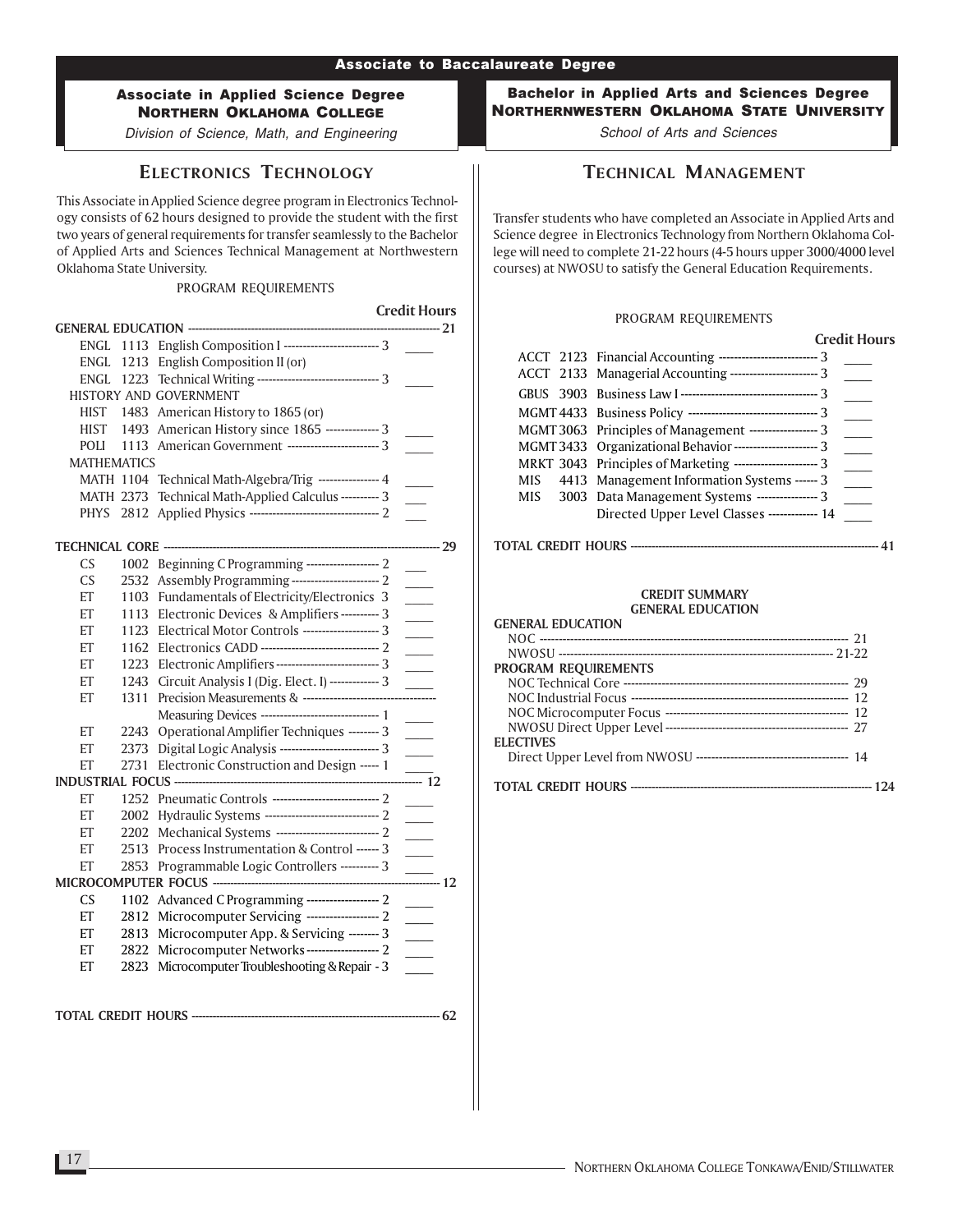Division of Science, Math, and Engineering

# ELECTRONICS TECHNOLOGY

This Associate in Applied Science degree program in Electronics Technology consists of 62 hours designed to provide the student with the first two years of general requirements for transfer seamlessly to the Bachelor of Applied Arts and Sciences Technical Management at Northwestern Oklahoma State University.

#### PROGRAM REQUIREMENTS

Credit Hours

| ENGL               |               | 1113 English Composition I ------------------------- 3    |  |                             |  |
|--------------------|---------------|-----------------------------------------------------------|--|-----------------------------|--|
| ENGL               | 1213          | English Composition II (or)                               |  |                             |  |
|                    | ENGL 1223     | Technical Writing -------------------------------- 3      |  |                             |  |
|                    |               | <b>HISTORY AND GOVERNMENT</b>                             |  |                             |  |
| HIST               |               | 1483 American History to 1865 (or)                        |  |                             |  |
| <b>HIST</b>        | 1493          | American History since 1865 -------------- 3              |  |                             |  |
| POLI               | 1113          | American Government ------------------------ 3            |  |                             |  |
| <b>MATHEMATICS</b> |               |                                                           |  |                             |  |
|                    | MATH 1104     | Technical Math-Algebra/Trig --------------- 4             |  |                             |  |
| <b>MATH 2373</b>   |               | Technical Math-Applied Calculus ---------- 3              |  |                             |  |
| <b>PHYS</b>        | 2812          |                                                           |  |                             |  |
|                    |               |                                                           |  |                             |  |
|                    |               | <b>TECHNICAL CORE -----------------------------------</b> |  | --------- 29                |  |
| CS                 | 1002          | Beginning C Programming ------------------- 2             |  |                             |  |
| CS                 | 2532          | Assembly Programming------------------------ 2            |  |                             |  |
| ET                 | 1103          | Fundamentals of Electricity/Electronics 3                 |  | $\overline{\phantom{a}}$    |  |
| ET                 | 1113          | Electronic Devices & Amplifiers ---------- 3              |  | $\overline{\phantom{a}}$    |  |
| ET                 | 1123          | Electrical Motor Controls ------------------- 3           |  | $\overline{\phantom{a}}$    |  |
| ET                 | 1162          |                                                           |  |                             |  |
| ET                 | 1223          | Electronic Amplifiers -------------------------- 3        |  | $\mathcal{L}^{\text{max}}$  |  |
| ET                 | 1243          | Circuit Analysis I (Dig. Elect. I) ------------- 3        |  |                             |  |
| ET                 | 1311          | Precision Measurements & -----------------------          |  | -------                     |  |
|                    |               | Measuring Devices ----------------------------- 1         |  |                             |  |
| ET                 | 2243          | Operational Amplifier Techniques -------- 3               |  | $\overline{\phantom{a}}$    |  |
| ET                 | 2373          | Digital Logic Analysis ------------------------- 3        |  |                             |  |
| ET                 | 2731          | Electronic Construction and Design ----- 1                |  |                             |  |
|                    | $\frac{1}{2}$ |                                                           |  |                             |  |
| ET                 | 1252          |                                                           |  |                             |  |
| ET                 | 2002          | Hydraulic Systems ------------------------------ 2        |  |                             |  |
| ET                 | 2202          | Mechanical Systems --------------------------- 2          |  | $\sim 10$                   |  |
| ET                 | 2513          | Process Instrumentation & Control ------ 3                |  |                             |  |
| ET                 | 2853          | Programmable Logic Controllers ---------- 3               |  |                             |  |
|                    |               |                                                           |  | —<br>—— 12                  |  |
| CS                 | 1102          | Advanced C Programming ------------------ 2               |  |                             |  |
| ET                 | 2812          | Microcomputer Servicing ------------------ 2              |  | $\mathcal{L}^{\mathcal{L}}$ |  |
| ET                 | 2813          | Microcomputer App. & Servicing -------- 3                 |  | $\overline{\phantom{a}}$    |  |
| ET                 | 2822          | Microcomputer Networks------------------ 2                |  | $\overline{\phantom{a}}$    |  |
| ET                 | 2823          | Microcomputer Troubleshooting & Repair - 3                |  |                             |  |
|                    |               |                                                           |  |                             |  |
|                    |               |                                                           |  |                             |  |
|                    |               |                                                           |  | 62                          |  |
|                    |               |                                                           |  |                             |  |

### Bachelor in Applied Arts and Sciences Degree NORTHERNWESTERN OKLAHOMA STATE UNIVERSITY

School of Arts and Sciences

# TECHNICAL MANAGEMENT

Transfer students who have completed an Associate in Applied Arts and Science degree in Electronics Technology from Northern Oklahoma College will need to complete 21-22 hours (4-5 hours upper 3000/4000 level courses) at NWOSU to satisfy the General Education Requirements.

### PROGRAM REQUIREMENTS

#### Credit Hours

| ACCT 2123 Financial Accounting ----------------------------- 3 |
|----------------------------------------------------------------|
| ACCT 2133 Managerial Accounting ----------------------- 3      |
|                                                                |
| MGMT 4433 Business Policy ---------------------------------- 3 |
| MGMT 3063 Principles of Management ------------------ 3        |
| MGMT 3433 Organizational Behavior ----------------------- 3    |
| MRKT 3043 Principles of Marketing ---------------------- 3     |
| MIS 4413 Management Information Systems ------ 3               |
| MIS 3003 Data Management Systems ---------------- 3            |
| Directed Upper Level Classes ------------ 14                   |

#### TOTAL CREDIT HOURS ----------------------------------------------------------------------- 41

| <b>GENERAL EDUCATION</b>    |
|-----------------------------|
|                             |
|                             |
| <b>PROGRAM REQUIREMENTS</b> |
|                             |
|                             |
|                             |
|                             |
| <b>ELECTIVES</b>            |
|                             |
|                             |
|                             |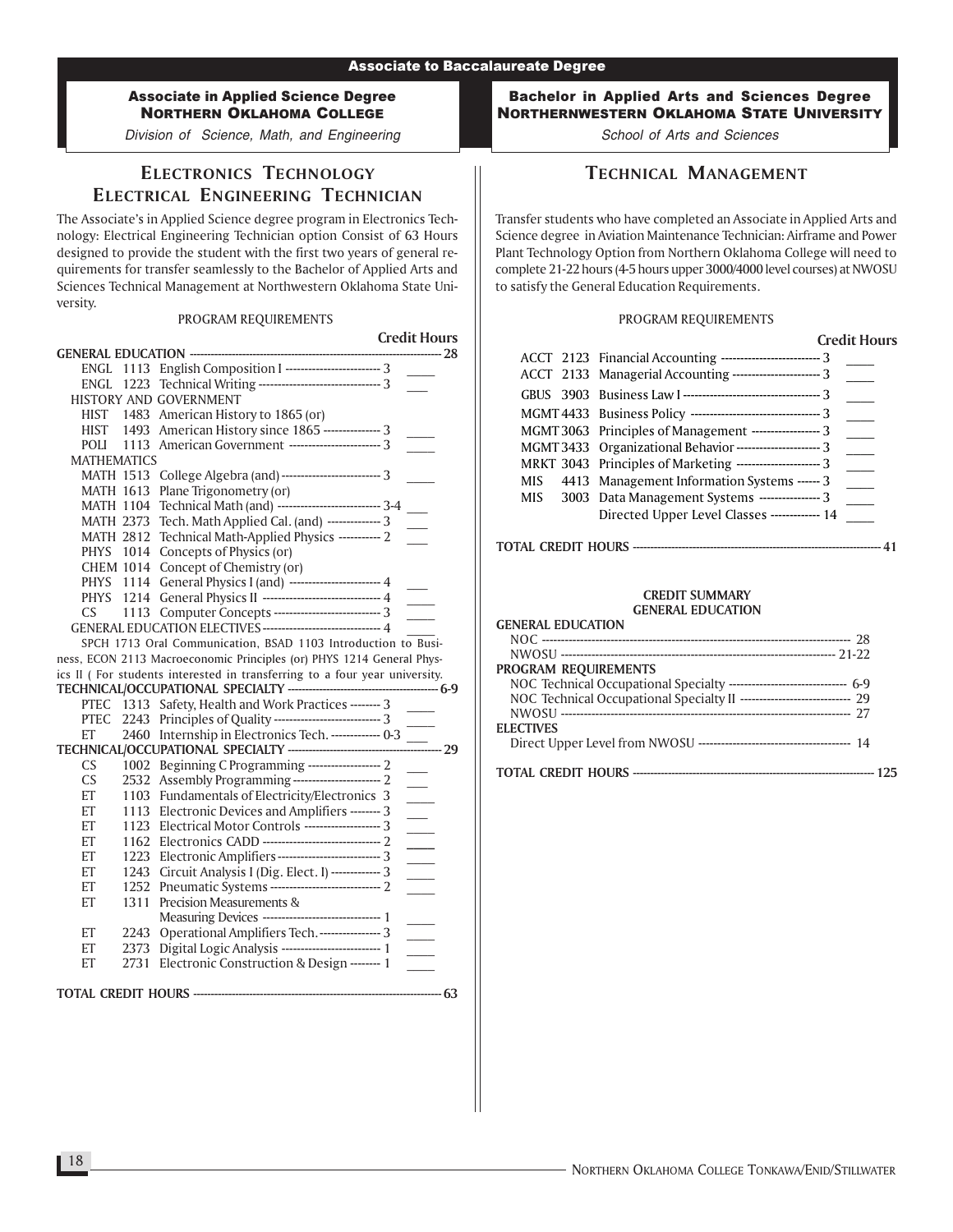Division of Science, Math, and Engineering

# ELECTRONICS TECHNOLOGY ELECTRICAL ENGINEERING TECHNICIAN

The Associate's in Applied Science degree program in Electronics Technology: Electrical Engineering Technician option Consist of 63 Hours designed to provide the student with the first two years of general requirements for transfer seamlessly to the Bachelor of Applied Arts and Sciences Technical Management at Northwestern Oklahoma State University.

#### PROGRAM REQUIREMENTS

|                       |                                                                                                                         | <b>Credit Hours</b>        |
|-----------------------|-------------------------------------------------------------------------------------------------------------------------|----------------------------|
|                       | GENERAL EDUCATION ----------------------                                                                                | ------- 28                 |
|                       | ENGL 1113 English Composition I -------------------------- 3                                                            |                            |
|                       | ENGL 1223 Technical Writing -------------------------------- 3                                                          |                            |
|                       | HISTORY AND GOVERNMENT                                                                                                  |                            |
| HIST                  | 1483 American History to 1865 (or)                                                                                      |                            |
| HIST                  | 1493 American History since 1865 --------------- 3                                                                      |                            |
| POLI<br>1113          | American Government ------------------------ 3                                                                          |                            |
| <b>MATHEMATICS</b>    |                                                                                                                         |                            |
| MATH 1513             | College Algebra (and) -------------------------- 3                                                                      |                            |
| <b>MATH 1613</b>      | Plane Trigonometry (or)<br>Technical Math (and) -------------------------- 3-4                                          |                            |
| MATH 1104             |                                                                                                                         |                            |
| <b>MATH 2373</b>      | Tech. Math Applied Cal. (and) -------------- 3                                                                          |                            |
| <b>MATH 2812</b>      | Technical Math-Applied Physics ----------- 2                                                                            |                            |
| PHYS 1014             | Concepts of Physics (or)                                                                                                |                            |
| <b>CHEM 1014</b>      | Concept of Chemistry (or)                                                                                               |                            |
| PHYS 1114             | General Physics I (and) ----------------------- 4<br>General Physics II ------------------------------ 4                |                            |
| PHYS 1214             |                                                                                                                         |                            |
| CS.                   | 1113 Computer Concepts ----------------------------- 3<br>GENERAL EDUCATION ELECTIVES ------------------------------- 4 |                            |
|                       |                                                                                                                         |                            |
|                       | SPCH 1713 Oral Communication, BSAD 1103 Introduction to Busi-                                                           |                            |
|                       | ness, ECON 2113 Macroeconomic Principles (or) PHYS 1214 General Phys-                                                   |                            |
|                       | ics II (For students interested in transferring to a four year university.                                              |                            |
|                       | PTEC 1313 Safety, Health and Work Practices -------- 3                                                                  |                            |
| <b>PTEC</b><br>2243   | Principles of Quality --------------------------------- 3                                                               |                            |
| ET                    | 2460 Internship in Electronics Tech. ------------- 0-3                                                                  |                            |
|                       | TECHNICAL/OCCUPATIONAL SPECIALTY -----------------------------                                                          | == 29                      |
| <b>CS</b><br>1002     | Beginning C Programming ------------------- 2                                                                           |                            |
| CS                    | 2532 Assembly Programming ----------------------- 2                                                                     | $\overline{\phantom{a}}$   |
| ET                    | 1103 Fundamentals of Electricity/Electronics 3                                                                          |                            |
| ET<br>1113            | Electronic Devices and Amplifiers -------- 3                                                                            | $\overline{\phantom{0}}$   |
| 1123<br>ET            | Electrical Motor Controls -------------------- 3                                                                        | $\sim$                     |
| ET<br>1162            | Electronics CADD -------------------------------- 2                                                                     |                            |
| 1223<br>ET            | Electronic Amplifiers --------------------------- 3                                                                     | $\overline{\phantom{a}}$   |
| ET<br>1243            |                                                                                                                         | $\mathcal{L}^{\text{max}}$ |
| ET<br>1252            | Circuit Analysis I (Dig. Elect. I) ------------ 3<br>Pneumatic Systems -------------------------------- 2               |                            |
| ET<br>1311            | Precision Measurements &                                                                                                | $\sim$                     |
|                       | Measuring Devices ------------------------------ 1                                                                      |                            |
| 2243<br>EТ            | Operational Amplifiers Tech. ---------------- 3                                                                         |                            |
| 2373<br>ET            |                                                                                                                         |                            |
| 2731<br>ЕT            | Electronic Construction & Design -------- 1                                                                             |                            |
|                       |                                                                                                                         |                            |
| TOTAL CREDIT HOURS -- |                                                                                                                         | - 63                       |
|                       |                                                                                                                         |                            |

Bachelor in Applied Arts and Sciences Degree NORTHERNWESTERN OKLAHOMA STATE UNIVERSITY

School of Arts and Sciences

# TECHNICAL MANAGEMENT

Transfer students who have completed an Associate in Applied Arts and Science degree in Aviation Maintenance Technician: Airframe and Power Plant Technology Option from Northern Oklahoma College will need to complete 21-22 hours (4-5 hours upper 3000/4000 level courses) at NWOSU to satisfy the General Education Requirements.

#### PROGRAM REQUIREMENTS

|     |                                                                  | <b>Credit Hours</b> |
|-----|------------------------------------------------------------------|---------------------|
|     | ACCT 2123 Financial Accounting ------------------------------- 3 |                     |
|     | ACCT 2133 Managerial Accounting ------------------------- 3      |                     |
|     |                                                                  |                     |
|     |                                                                  |                     |
|     | MGMT 3063 Principles of Management ------------------- 3         |                     |
|     | MGMT 3433 Organizational Behavior ---------------------- 3       |                     |
|     | MRKT 3043 Principles of Marketing ---------------------- 3       |                     |
| MIS | 4413 Management Information Systems ------ 3                     |                     |
|     | MIS 3003 Data Management Systems ---------------- 3              |                     |
|     | Directed Upper Level Classes ------------- 14                    |                     |
|     |                                                                  |                     |

#### TOTAL CREDIT HOURS ----------------------------------------------------------------------- 41

| <b>GENERAL EDUCATION</b>                                                  |
|---------------------------------------------------------------------------|
|                                                                           |
|                                                                           |
| <b>PROGRAM REQUIREMENTS</b>                                               |
| NOC Technical Occupational Specialty -------------------------------- 6-9 |
| NOC Technical Occupational Specialty II ----------------------------- 29  |
|                                                                           |
| <b>ELECTIVES</b>                                                          |
|                                                                           |
|                                                                           |
|                                                                           |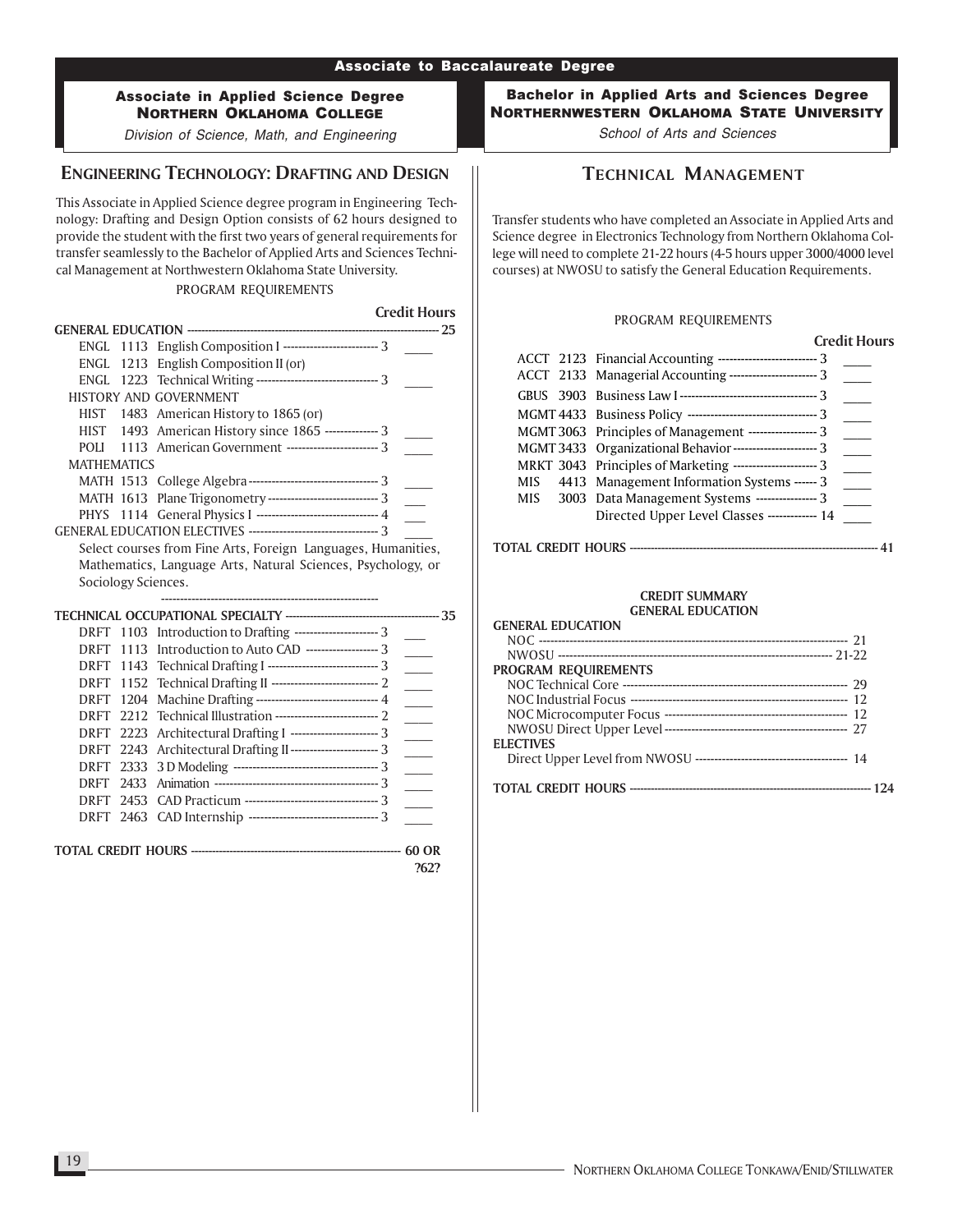Division of Science, Math, and Engineering

### ENGINEERING TECHNOLOGY: DRAFTING AND DESIGN

This Associate in Applied Science degree program in Engineering Technology: Drafting and Design Option consists of 62 hours designed to provide the student with the first two years of general requirements for transfer seamlessly to the Bachelor of Applied Arts and Sciences Technical Management at Northwestern Oklahoma State University.

#### PROGRAM REQUIREMENTS

Credit Hours GENERAL EDUCATION ------------------------------------------------------------------------ 25 ENGL 1113 English Composition I ----------------------------- 3 ENGL 1213 English Composition II (or) ENGL 1223 Technical Writing -------------------------------- 3 \_\_\_\_ HISTORY AND GOVERNMENT HIST 1483 American History to 1865 (or) HIST 1493 American History since 1865 -------------- 3 POLI 1113 American Government -------------------------- 3 MATHEMATICS MATH 1513 College Algebra ---------------------------------- 3 \_\_\_\_ MATH 1613 Plane Trigonometry ------------------------------- 3 PHYS 1114 General Physics I ---------------------------------- 4 GENERAL EDUCATION ELECTIVES ---------------------------------- 3 \_\_\_\_ Select courses from Fine Arts, Foreign Languages, Humanities, Mathematics, Language Arts, Natural Sciences, Psychology, or Sociology Sciences. --------------------------------------------------------- TECHNICAL OCCUPATIONAL SPECIALTY -------------------------------------------- 35 DRFT 1103 Introduction to Drafting ----------------------- 3 DRFT 1113 Introduction to Auto CAD --------------------- 3 DRFT 1143 Technical Drafting I ---------------------------------- 3 DRFT 1152 Technical Drafting II ---------------------------- 2 \_\_\_\_ DRFT 1204 Machine Drafting ---------------------------------- 4 DRFT 2212 Technical Illustration ------------------------------ 2 DRFT 2223 Architectural Drafting I ------------------------- 3 DRFT 2243 Architectural Drafting II------------------------- 3 DRFT 2333 3 D Modeling -------------------------------------- 3 \_\_\_\_ DRFT 2433 Animation ------------------------------------------- 3 \_\_\_\_ DRFT 2453 CAD Practicum ----------------------------------- 3 \_\_\_\_ DRFT 2463 CAD Internship ---------------------------------- 3 \_\_\_\_ TOTAL CREDIT HOURS ------------------------------------------------------------ 60 OR ?62?

Bachelor in Applied Arts and Sciences Degree NORTHERNWESTERN OKLAHOMA STATE UNIVERSITY

School of Arts and Sciences

### TECHNICAL MANAGEMENT

Transfer students who have completed an Associate in Applied Arts and Science degree in Electronics Technology from Northern Oklahoma College will need to complete 21-22 hours (4-5 hours upper 3000/4000 level courses) at NWOSU to satisfy the General Education Requirements.

#### PROGRAM REQUIREMENTS

Credit Hours

|     |                                                                 | Gegericus de Caractería |
|-----|-----------------------------------------------------------------|-------------------------|
|     | ACCT 2123 Financial Accounting ------------------------------ 3 |                         |
|     | ACCT 2133 Managerial Accounting ------------------------ 3      |                         |
|     |                                                                 |                         |
|     |                                                                 |                         |
|     | MGMT 3063 Principles of Management ------------------- 3        |                         |
|     | MGMT 3433 Organizational Behavior ----------------------- 3     |                         |
|     | MRKT 3043 Principles of Marketing ---------------------- 3      |                         |
| MIS | 4413 Management Information Systems ------ 3                    |                         |
| MIS | 3003 Data Management Systems ---------------- 3                 |                         |
|     | Directed Upper Level Classes ------------- 14                   |                         |
|     |                                                                 |                         |

#### TOTAL CREDIT HOURS ----------------------------------------------------------------------- 41

| <b>GENERAL EDUCATION</b> |  |
|--------------------------|--|
|                          |  |
|                          |  |
| PROGRAM REQUIREMENTS     |  |
|                          |  |
|                          |  |
|                          |  |
|                          |  |
| <b>ELECTIVES</b>         |  |
|                          |  |
|                          |  |
|                          |  |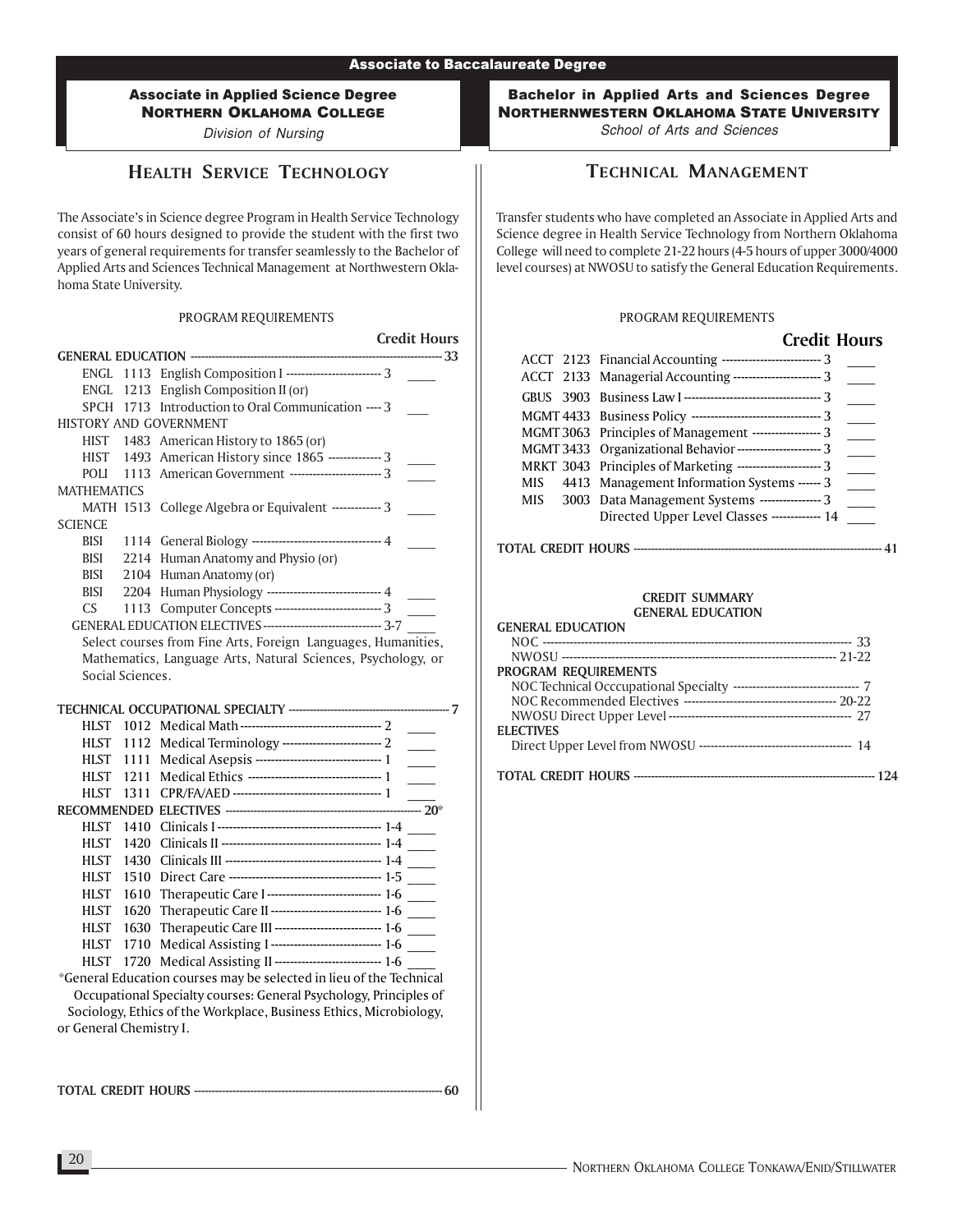Division of Nursing

# HEALTH SERVICE TECHNOLOGY

The Associate's in Science degree Program in Health Service Technology consist of 60 hours designed to provide the student with the first two years of general requirements for transfer seamlessly to the Bachelor of Applied Arts and Sciences Technical Management at Northwestern Oklahoma State University.

### PROGRAM REQUIREMENTS

|                            |                  |                                                                     | <b>Credit Hours</b>         |
|----------------------------|------------------|---------------------------------------------------------------------|-----------------------------|
|                            |                  |                                                                     | $\frac{1}{33}$              |
| ENGL                       |                  | 1113 English Composition I ------------------------- 3              |                             |
| ENGL.                      |                  | 1213 English Composition II (or)                                    |                             |
|                            |                  | SPCH 1713 Introduction to Oral Communication ---- 3                 |                             |
|                            |                  | <b>HISTORY AND GOVERNMENT</b>                                       |                             |
|                            |                  | HIST 1483 American History to 1865 (or)                             |                             |
| HIST                       |                  | 1493 American History since 1865 -------------- 3                   |                             |
| <b>POLI</b>                |                  | 1113 American Government ------------------------ 3                 |                             |
| <b>MATHEMATICS</b>         |                  |                                                                     |                             |
|                            |                  | MATH 1513 College Algebra or Equivalent ------------- 3             |                             |
| <b>SCIENCE</b>             |                  |                                                                     |                             |
| BISI                       |                  | 1114 General Biology --------------------------------- 4            |                             |
| BISI                       |                  | 2214 Human Anatomy and Physio (or)                                  |                             |
| BISI                       |                  | 2104 Human Anatomy (or)                                             |                             |
| BISI                       |                  | 2204 Human Physiology ---------------------------- 4                |                             |
| CS.                        |                  | 1113 Computer Concepts ---------------------------- 3               |                             |
|                            |                  | GENERAL EDUCATION ELECTIVES -------------------------------- 3-7    |                             |
|                            |                  | Select courses from Fine Arts, Foreign Languages, Humanities,       |                             |
|                            |                  | Mathematics, Language Arts, Natural Sciences, Psychology, or        |                             |
|                            | Social Sciences. |                                                                     |                             |
|                            |                  |                                                                     |                             |
| HLST                       |                  |                                                                     |                             |
|                            |                  | 1112 Medical Terminology --------------------------- 2              |                             |
| HLST –<br><b>HLST</b>      |                  | Medical Asepsis -------------------------------- 1                  | $\mathcal{L}^{\mathcal{L}}$ |
|                            | 1111             | Medical Ethics ---------------------------------- 1                 |                             |
| <b>HLST</b>                | 1211             |                                                                     |                             |
| <b>HLST</b>                | 1311             |                                                                     | $-20^*$                     |
|                            |                  |                                                                     |                             |
| <b>HLST</b><br><b>HLST</b> | 1410<br>1420     |                                                                     |                             |
|                            |                  |                                                                     |                             |
| <b>HLST</b>                | 1430             |                                                                     |                             |
| HLST                       | 1510             |                                                                     |                             |
| <b>HLST</b>                | 1610             | Therapeutic Care I ----------------------------- 1-6                |                             |
| <b>HLST</b>                | 1620             | Therapeutic Care II ---------------------------- 1-6                |                             |
| <b>HLST</b>                | 1630             | Therapeutic Care III --------------------------- 1-6                |                             |
| <b>HLST</b>                | 1710             | Medical Assisting I ----------------------------- 1-6               |                             |
| <b>HLST</b>                |                  | 1720 Medical Assisting II ---------------------------- 1-6          |                             |
|                            |                  | *General Education courses may be selected in lieu of the Technical |                             |
|                            |                  | Occupational Specialty courses: General Psychology, Principles of   |                             |

Sociology, Ethics of the Workplace, Business Ethics, Microbiology, or General Chemistry I.

TOTAL CREDIT HOURS ----------------------------------------------------------------------- 60

Bachelor in Applied Arts and Sciences Degree NORTHERNWESTERN OKLAHOMA STATE UNIVERSITY

School of Arts and Sciences

# TECHNICAL MANAGEMENT

Transfer students who have completed an Associate in Applied Arts and Science degree in Health Service Technology from Northern Oklahoma College will need to complete 21-22 hours (4-5 hours of upper 3000/4000 level courses) at NWOSU to satisfy the General Education Requirements.

### PROGRAM REQUIREMENTS

### Credit Hours

|     | ACCT 2123 Financial Accounting ------------------------------ 3<br>ACCT 2133 Managerial Accounting ------------------------- 3 |  |
|-----|--------------------------------------------------------------------------------------------------------------------------------|--|
|     |                                                                                                                                |  |
|     |                                                                                                                                |  |
|     | MGMT 3063 Principles of Management ------------------ 3                                                                        |  |
|     | MGMT 3433 Organizational Behavior ---------------------- 3                                                                     |  |
|     | MRKT 3043 Principles of Marketing ---------------------- 3                                                                     |  |
|     | MIS 4413 Management Information Systems ------ 3                                                                               |  |
| MIS | 3003 Data Management Systems ---------------- 3                                                                                |  |
|     | Directed Upper Level Classes ------------- 14                                                                                  |  |

### TOTAL CREDIT HOURS ----------------------------------------------------------------------- 41

| <b>GENERAL EDUCATION</b>    |
|-----------------------------|
|                             |
|                             |
| <b>PROGRAM REQUIREMENTS</b> |
|                             |
|                             |
|                             |
| <b>ELECTIVES</b>            |
|                             |
|                             |
|                             |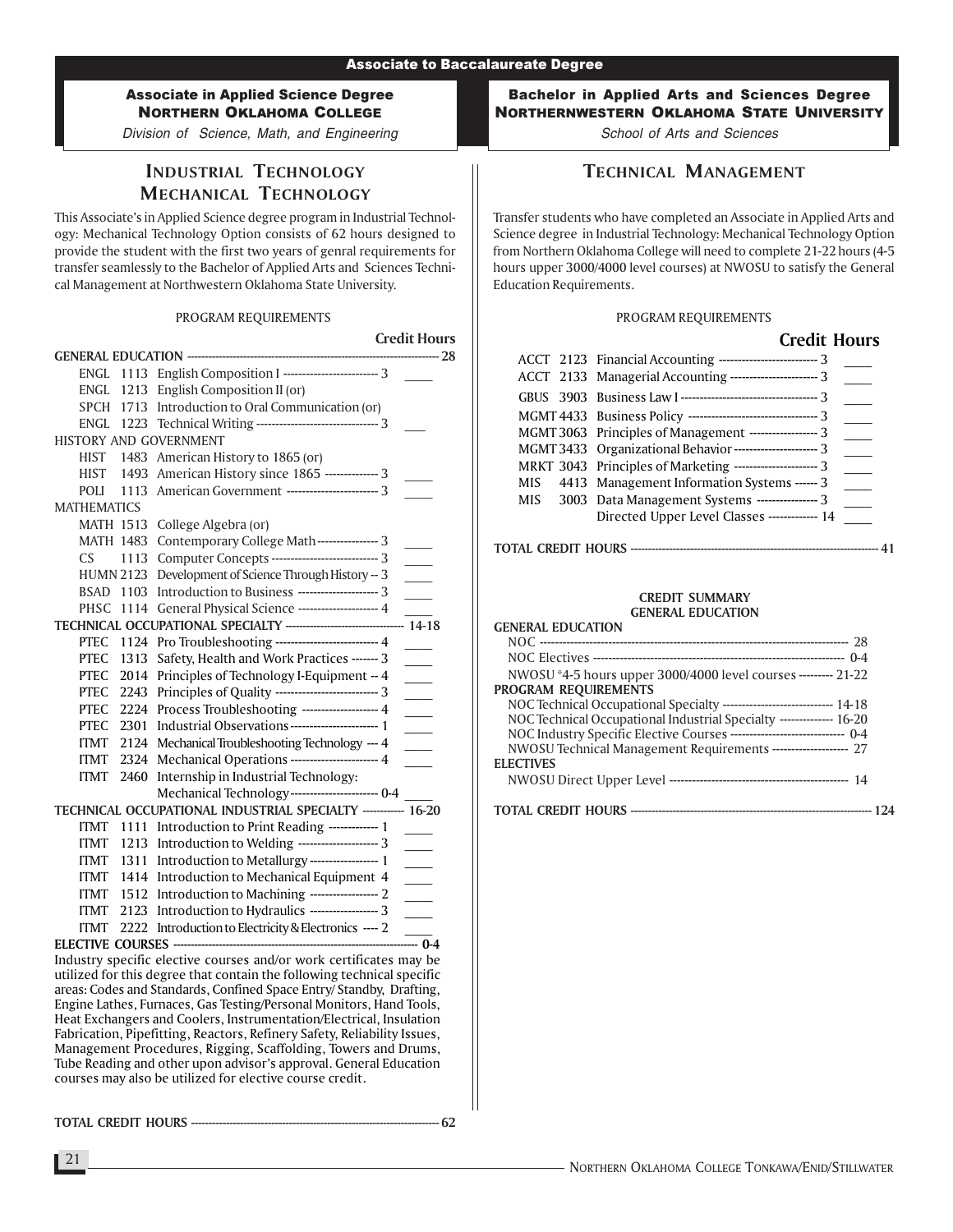Division of Science, Math, and Engineering

# INDUSTRIAL TECHNOLOGY MECHANICAL TECHNOLOGY

This Associate's in Applied Science degree program in Industrial Technology: Mechanical Technology Option consists of 62 hours designed to provide the student with the first two years of genral requirements for transfer seamlessly to the Bachelor of Applied Arts and Sciences Technical Management at Northwestern Oklahoma State University.

#### PROGRAM REQUIREMENTS

|                        |                                                                          | <b>Credit Hours</b>         |
|------------------------|--------------------------------------------------------------------------|-----------------------------|
|                        | GENERAL EDUCATION -----------------------                                |                             |
|                        | ENGL 1113 English Composition I ------------------------ 3               |                             |
| ENGL 1213              | English Composition II (or)                                              |                             |
|                        | SPCH 1713 Introduction to Oral Communication (or)                        |                             |
|                        | ENGL 1223 Technical Writing --------------------------------- 3          |                             |
| HISTORY AND GOVERNMENT |                                                                          |                             |
| <b>HIST</b>            | 1483 American History to 1865 (or)                                       |                             |
| HIST<br>1493           | American History since 1865 -------------- 3                             |                             |
| POLI<br>1113           | American Government ------------------------ 3                           |                             |
| <b>MATHEMATICS</b>     |                                                                          |                             |
| <b>MATH 1513</b>       | College Algebra (or)                                                     |                             |
| <b>MATH 1483</b>       | Contemporary College Math---------------- 3                              |                             |
| <b>CS</b><br>1113      | Computer Concepts --------------------------- 3                          | $\sim 10^{-1}$              |
| <b>HUMN 2123</b>       | Development of Science Through History -- 3                              | $\mathbb{R}^n$              |
| BSAD<br>1103           | Introduction to Business --------------------- 3                         | $\mathcal{L}^{\text{max}}$  |
| PHSC<br>1114           | General Physical Science -------------------- 4                          |                             |
|                        | TECHNICAL OCCUPATIONAL SPECIALTY --------------------------------- 14-18 |                             |
| <b>PTEC</b><br>1124    | Pro Troubleshooting ------------------------- 4                          |                             |
| <b>PTEC</b><br>1313    | Safety, Health and Work Practices ------- 3                              | $\overline{\phantom{a}}$    |
| <b>PTEC</b><br>2014    | Principles of Technology I-Equipment -- 4                                |                             |
| <b>PTEC</b><br>2243    | Principles of Quality -------------------------- 3                       | $\mathcal{L}^{\mathcal{L}}$ |
| <b>PTEC</b><br>2224    | Process Troubleshooting ------------------- 4                            | $\sim$                      |
| <b>PTEC</b><br>2301    | Industrial Observations ----------------------- 1                        |                             |
| <b>ITMT</b><br>2124    | Mechanical Troubleshooting Technology --- 4                              | $\sim$ 10 $\pm$             |
| <b>ITMT</b><br>2324    | Mechanical Operations ---------------------- 4                           |                             |
| <b>ITMT</b><br>2460    | Internship in Industrial Technology:                                     |                             |
|                        | Mechanical Technology----------------------- 0-4                         |                             |
|                        | TECHNICAL OCCUPATIONAL INDUSTRIAL SPECIALTY ----------- 16-20            |                             |
| <b>ITMT</b><br>1111    | Introduction to Print Reading ------------ 1                             |                             |
| <b>ITMT</b>            | 1213 Introduction to Welding -------------------- 3                      |                             |
| <b>ITMT</b><br>1311    | Introduction to Metallurgy ----------------- 1                           | $\overline{\phantom{a}}$    |
| <b>ITMT</b>            | 1414 Introduction to Mechanical Equipment 4                              | $\overline{\phantom{a}}$    |
| <b>ITMT</b>            | 1512 Introduction to Machining ------------------ 2                      | $\overline{\phantom{a}}$    |
| <b>ITMT</b>            | 2123 Introduction to Hydraulics ------------------ 3                     | $\overline{\phantom{a}}$    |
| <b>ITMT</b>            | 2222 Introduction to Electricity & Electronics ---- 2                    | $\frac{1}{2}$ 0-4           |
|                        |                                                                          |                             |

Industry specific elective courses and/or work certificates may be utilized for this degree that contain the following technical specific areas: Codes and Standards, Confined Space Entry/ Standby, Drafting, Engine Lathes, Furnaces, Gas Testing/Personal Monitors, Hand Tools, Heat Exchangers and Coolers, Instrumentation/Electrical, Insulation Fabrication, Pipefitting, Reactors, Refinery Safety, Reliability Issues, Management Procedures, Rigging, Scaffolding, Towers and Drums, Tube Reading and other upon advisor's approval. General Education courses may also be utilized for elective course credit.

TOTAL CREDIT HOURS ----------------------------------------------------------------------- 62

Bachelor in Applied Arts and Sciences Degree NORTHERNWESTERN OKLAHOMA STATE UNIVERSITY

School of Arts and Sciences

# TECHNICAL MANAGEMENT

Transfer students who have completed an Associate in Applied Arts and Science degree in Industrial Technology: Mechanical Technology Option from Northern Oklahoma College will need to complete 21-22 hours (4-5 hours upper 3000/4000 level courses) at NWOSU to satisfy the General Education Requirements.

#### PROGRAM REQUIREMENTS

|  | <b>Credit Hours</b>                                           |  |
|--|---------------------------------------------------------------|--|
|  | ACCT 2123 Financial Accounting -------------------------- 3   |  |
|  | ACCT 2133 Managerial Accounting ---------------------- 3      |  |
|  |                                                               |  |
|  | MGMT 4433 Business Policy --------------------------------- 3 |  |
|  | MGMT 3063 Principles of Management ------------------ 3       |  |
|  | MGMT 3433 Organizational Behavior ---------------------- 3    |  |
|  | MRKT 3043 Principles of Marketing ---------------------- 3    |  |
|  | MIS 4413 Management Information Systems ------ 3              |  |
|  | MIS 3003 Data Management Systems ---------------- 3           |  |
|  | Directed Upper Level Classes ------------- 14                 |  |

### TOTAL CREDIT HOURS ----------------------------------------------------------------------- 41

#### CREDIT SUMMARY GENERAL EDUCATION

| <b>GENERAL EDUCATION</b>                                                  |  |
|---------------------------------------------------------------------------|--|
|                                                                           |  |
|                                                                           |  |
| NWOSU *4-5 hours upper 3000/4000 level courses --------- 21-22            |  |
| PROGRAM REQUIREMENTS                                                      |  |
| NOC Technical Occupational Specialty ------------------------------ 14-18 |  |
| NOC Technical Occupational Industrial Specialty --------------- 16-20     |  |
| NOC Industry Specific Elective Courses ----------------------------- 0-4  |  |
| NWOSU Technical Management Requirements -------------------- 27           |  |
| <b>ELECTIVES</b>                                                          |  |
|                                                                           |  |
|                                                                           |  |

NORTHERN OKLAHOMA COLLEGE TONKAWA/ENID/STILLWATER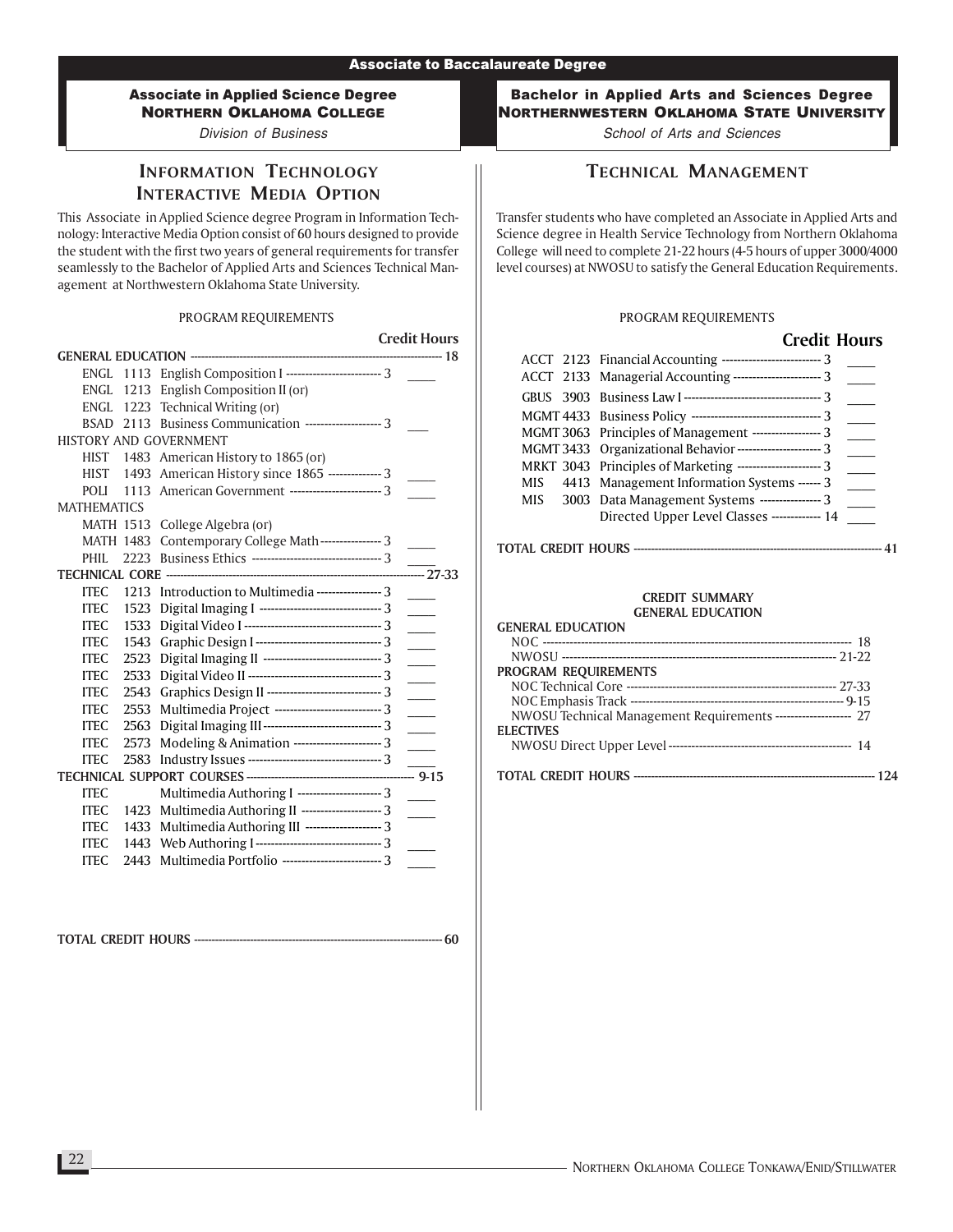Division of Business

# INFORMATION TECHNOLOGY INTERACTIVE MEDIA OPTION

This Associate in Applied Science degree Program in Information Technology: Interactive Media Option consist of 60 hours designed to provide the student with the first two years of general requirements for transfer seamlessly to the Bachelor of Applied Arts and Sciences Technical Management at Northwestern Oklahoma State University.

### PROGRAM REQUIREMENTS

|                               |                                                         | <b>Credit Hours</b>      |
|-------------------------------|---------------------------------------------------------|--------------------------|
|                               |                                                         |                          |
| ENGL                          | 1113 English Composition I -------------------------- 3 |                          |
|                               | ENGL 1213 English Composition II (or)                   |                          |
|                               | ENGL 1223 Technical Writing (or)                        |                          |
| <b>BSAD 2113</b>              | Business Communication --------------------- 3          |                          |
| <b>HISTORY AND GOVERNMENT</b> |                                                         |                          |
|                               | HIST 1483 American History to 1865 (or)                 |                          |
|                               | HIST 1493 American History since 1865 -------------- 3  |                          |
| POLI<br>1113                  | American Government ------------------------ 3          |                          |
| <b>MATHEMATICS</b>            |                                                         |                          |
| <b>MATH 1513</b>              | College Algebra (or)                                    |                          |
| <b>MATH 1483</b>              | Contemporary College Math---------------- 3             |                          |
| 2223<br>PHII.                 |                                                         |                          |
| <b>TECHNICAL CORE -----</b>   |                                                         | $-27-33$                 |
| <b>ITEC</b><br>1213           | Introduction to Multimedia ----------------- 3          |                          |
| <b>ITEC</b><br>1523           | Digital Imaging I -------------------------------- 3    |                          |
| <b>ITEC</b><br>1533           |                                                         | $\sim$                   |
| <b>ITEC</b><br>1543           | Graphic Design I ---------------------------------- 3   | $\sim$                   |
| <b>ITEC</b><br>2523           |                                                         |                          |
| <b>ITEC</b><br>2533           |                                                         | $\sim$                   |
| <b>ITEC</b><br>2543           | Graphics Design II ----------------------------- 3      |                          |
| 2553<br><b>ITEC</b>           | Multimedia Project ----------------------------- 3      | $\overline{\phantom{a}}$ |
| <b>ITEC</b><br>2563           | Digital Imaging III------------------------------- 3    | $\sim$ 10 $\pm$          |
| <b>ITEC</b><br>2573           | Modeling & Animation ----------------------- 3          |                          |
| <b>ITEC</b><br>2583           |                                                         |                          |
|                               |                                                         | $-9-15$                  |
| <b>ITEC</b>                   | Multimedia Authoring I ---------------------- 3         |                          |
| <b>ITEC</b><br>1423           | Multimedia Authoring II --------------------- 3         |                          |
| <b>ITEC</b><br>1433           | Multimedia Authoring III -------------------- 3         |                          |
| 1443<br><b>ITEC</b>           | Web Authoring I --------------------------------- 3     |                          |
| <b>ITEC</b><br>2443           | Multimedia Portfolio -------------------------- 3       |                          |

TOTAL CREDIT HOURS ----------------------------------------------------------------------- 60

Bachelor in Applied Arts and Sciences Degree NORTHERNWESTERN OKLAHOMA STATE UNIVERSITY

School of Arts and Sciences

# TECHNICAL MANAGEMENT

Transfer students who have completed an Associate in Applied Arts and Science degree in Health Service Technology from Northern Oklahoma College will need to complete 21-22 hours (4-5 hours of upper 3000/4000 level courses) at NWOSU to satisfy the General Education Requirements.

#### PROGRAM REQUIREMENTS

### Credit Hours

| ACCT 2123 Financial Accounting ----------------------------- 3<br>ACCT 2133 Managerial Accounting ----------------------- 3 |  |
|-----------------------------------------------------------------------------------------------------------------------------|--|
|                                                                                                                             |  |
|                                                                                                                             |  |
| MGMT 3063 Principles of Management ------------------ 3                                                                     |  |
| MGMT 3433 Organizational Behavior ---------------------- 3                                                                  |  |
| MRKT 3043 Principles of Marketing ---------------------- 3                                                                  |  |
| MIS 4413 Management Information Systems ------ 3                                                                            |  |
| MIS 3003 Data Management Systems ---------------- 3                                                                         |  |
| Directed Upper Level Classes ------------- 14                                                                               |  |

### TOTAL CREDIT HOURS ----------------------------------------------------------------------- 41

| <b>GENERAL EDUCATION</b>                                         |
|------------------------------------------------------------------|
|                                                                  |
|                                                                  |
| PROGRAM REQUIREMENTS                                             |
|                                                                  |
|                                                                  |
| NWOSU Technical Management Requirements --------------------- 27 |
| <b>ELECTIVES</b>                                                 |
|                                                                  |
|                                                                  |
|                                                                  |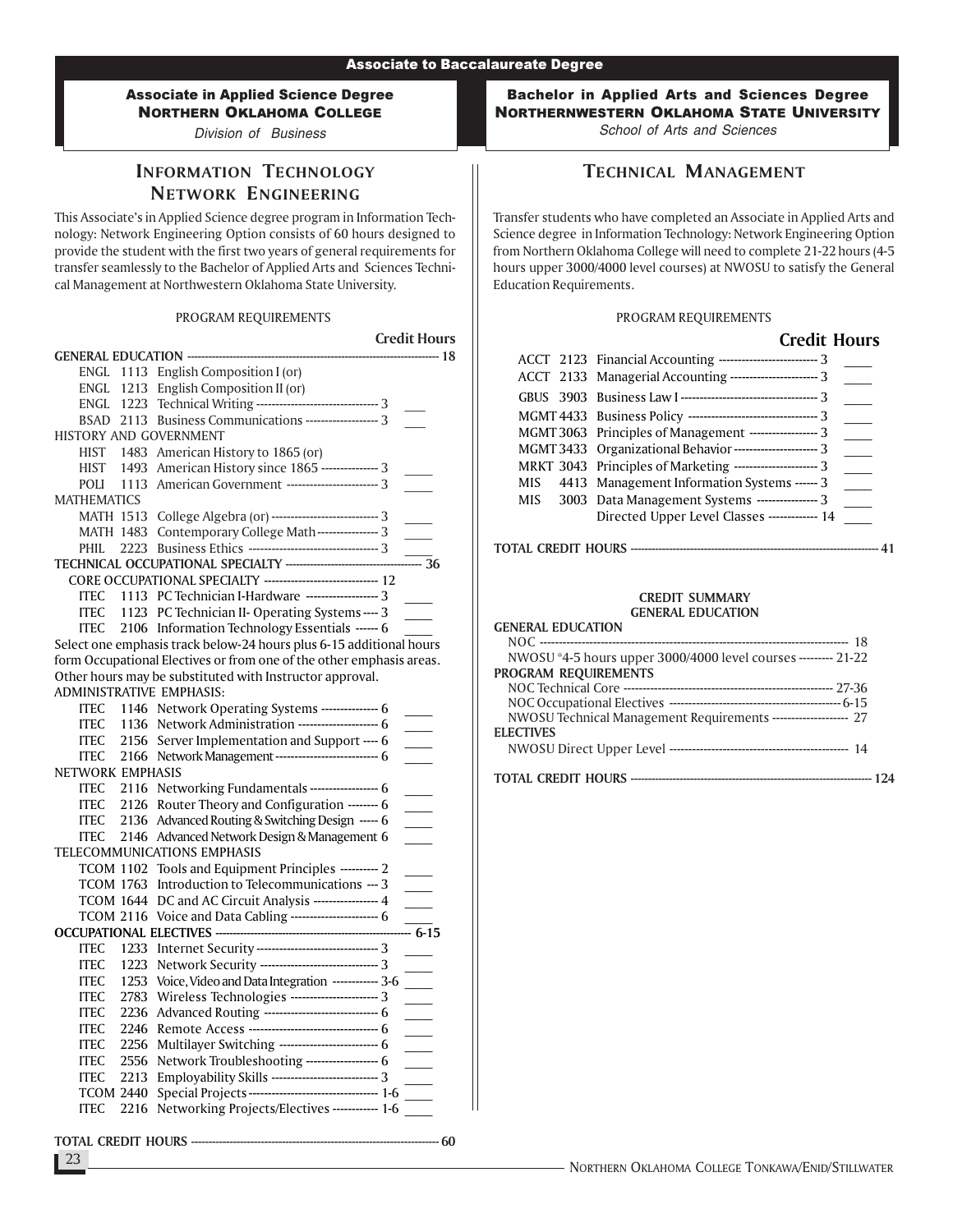Division of Business

# INFORMATION TECHNOLOGY NETWORK ENGINEERING

This Associate's in Applied Science degree program in Information Technology: Network Engineering Option consists of 60 hours designed to provide the student with the first two years of general requirements for transfer seamlessly to the Bachelor of Applied Arts and Sciences Technical Management at Northwestern Oklahoma State University.

### PROGRAM REQUIREMENTS

|                                     |                                                                                                   | <b>Credit Hours</b>      |
|-------------------------------------|---------------------------------------------------------------------------------------------------|--------------------------|
| <b>GENERAL EDUCATION ----------</b> |                                                                                                   | -------- 18              |
| ENGL<br>1113                        | English Composition I (or)                                                                        |                          |
| ENGL<br>1213                        | English Composition II (or)                                                                       |                          |
| ENGL                                | 1223 Technical Writing ---------------------------------- 3                                       |                          |
| BSAD 2113                           | Business Communications ------------------- 3                                                     |                          |
| HISTORY AND GOVERNMENT              |                                                                                                   |                          |
| 1483<br>HIST                        | American History to 1865 (or)                                                                     |                          |
| HIST<br>1493                        | American History since 1865 --------------- 3                                                     |                          |
| POLI<br>1113                        | American Government ----------------------- 3                                                     |                          |
| <b>MATHEMATICS</b>                  |                                                                                                   |                          |
| <b>MATH 1513</b>                    | College Algebra (or) ---------------------------- 3                                               |                          |
| <b>MATH 1483</b>                    | Contemporary College Math--------------- 3                                                        |                          |
| 2223<br>PHIL                        |                                                                                                   |                          |
|                                     |                                                                                                   | $\frac{1}{2}$            |
|                                     | CORE OCCUPATIONAL SPECIALTY ------------------------------- 12                                    |                          |
| <b>ITEC</b>                         | 1113 PC Technician I-Hardware ------------------- 3                                               |                          |
| ITEC<br>1123                        | PC Technician II- Operating Systems ---- 3                                                        |                          |
| ITEC                                | 2106 Information Technology Essentials ------ 6                                                   |                          |
|                                     | Select one emphasis track below-24 hours plus 6-15 additional hours                               |                          |
|                                     | form Occupational Electives or from one of the other emphasis areas.                              |                          |
|                                     | Other hours may be substituted with Instructor approval.                                          |                          |
| ADMINISTRATIVE EMPHASIS:            |                                                                                                   |                          |
| ITEC                                | 1146 Network Operating Systems --------------- 6                                                  |                          |
| <b>ITEC</b><br>1136                 | Network Administration --------------------- 6                                                    |                          |
| 2156<br><b>ITEC</b>                 | Server Implementation and Support ---- 6                                                          |                          |
| 2166<br><b>ITEC</b>                 | Network Management ---------------------------- 6                                                 |                          |
| NETWORK EMPHASIS                    |                                                                                                   |                          |
| <b>ITEC</b><br>2116                 | Networking Fundamentals ------------------ 6                                                      |                          |
| <b>ITEC</b><br>2126                 | Router Theory and Configuration -------- 6                                                        |                          |
| <b>ITEC</b><br>2136                 | Advanced Routing & Switching Design ----- 6                                                       | $\overline{\phantom{a}}$ |
| <b>ITEC</b><br>2146                 | Advanced Network Design & Management 6                                                            |                          |
|                                     | TELECOMMUNICATIONS EMPHASIS                                                                       |                          |
| <b>TCOM 1102</b>                    | Tools and Equipment Principles ---------- 2                                                       |                          |
| <b>TCOM 1763</b>                    | Introduction to Telecommunications --- 3                                                          |                          |
| <b>TCOM 1644</b>                    | DC and AC Circuit Analysis ---------------- 4<br>Voice and Data Cabling ----------------------- 6 |                          |
| <b>TCOM 2116</b>                    |                                                                                                   | $-\overline{6-15}$       |
| <b>ITEC</b><br>1233                 | Internet Security -------------------------------- 3                                              |                          |
| 1223<br><b>ITEC</b>                 | Network Security ----------------------------- 3                                                  |                          |
| <b>ITEC</b><br>1253                 | Voice, Video and Data Integration ------------ 3-6                                                |                          |
| <b>ITEC</b><br>2783                 | Wireless Technologies ----------------------- 3                                                   |                          |
| <b>ITEC</b><br>2236                 | Advanced Routing ------------------------------ 6                                                 |                          |
| <b>ITEC</b><br>2246                 |                                                                                                   |                          |
| <b>ITEC</b><br>2256                 | Multilayer Switching -------------------------- 6                                                 |                          |
| 2556<br>ITEC                        | Network Troubleshooting ------------------- 6                                                     |                          |
| ITEC<br>2213                        | Employability Skills ---------------------------- 3                                               |                          |
| <b>TCOM 2440</b>                    | Special Projects --------------------------------- 1-6                                            |                          |
| <b>ITEC</b><br>2216                 | Networking Projects/Electives ------------ 1-6                                                    |                          |
|                                     |                                                                                                   |                          |

TOTAL CREDIT HOURS ----------------------------------------------------------------------- 60

Bachelor in Applied Arts and Sciences Degree NORTHERNWESTERN OKLAHOMA STATE UNIVERSITY School of Arts and Sciences

TECHNICAL MANAGEMENT

Transfer students who have completed an Associate in Applied Arts and Science degree in Information Technology: Network Engineering Option from Northern Oklahoma College will need to complete 21-22 hours (4-5 hours upper 3000/4000 level courses) at NWOSU to satisfy the General Education Requirements.

### PROGRAM REQUIREMENTS

| <b>Credit Hours</b>                                         |
|-------------------------------------------------------------|
| ACCT 2123 Financial Accounting -------------------------- 3 |
| ACCT 2133 Managerial Accounting ------------------------ 3  |
|                                                             |
|                                                             |
| MGMT 3063 Principles of Management ------------------- 3    |
| MGMT 3433 Organizational Behavior ---------------------- 3  |
| MRKT 3043 Principles of Marketing ---------------------- 3  |
| MIS 4413 Management Information Systems ------ 3            |
| MIS 3003 Data Management Systems ----------------- 3        |
| Directed Upper Level Classes ------------- 14               |

### TOTAL CREDIT HOURS ----------------------------------------------------------------------- 41

#### CREDIT SUMMARY GENERAL EDUCATION

| <b>GENERAL EDUCATION</b>                                        |
|-----------------------------------------------------------------|
|                                                                 |
| NWOSU *4-5 hours upper 3000/4000 level courses --------- 21-22  |
| PROGRAM REQUIREMENTS                                            |
|                                                                 |
|                                                                 |
| NWOSU Technical Management Requirements -------------------- 27 |
| <b>ELECTIVES</b>                                                |
|                                                                 |
|                                                                 |
|                                                                 |

23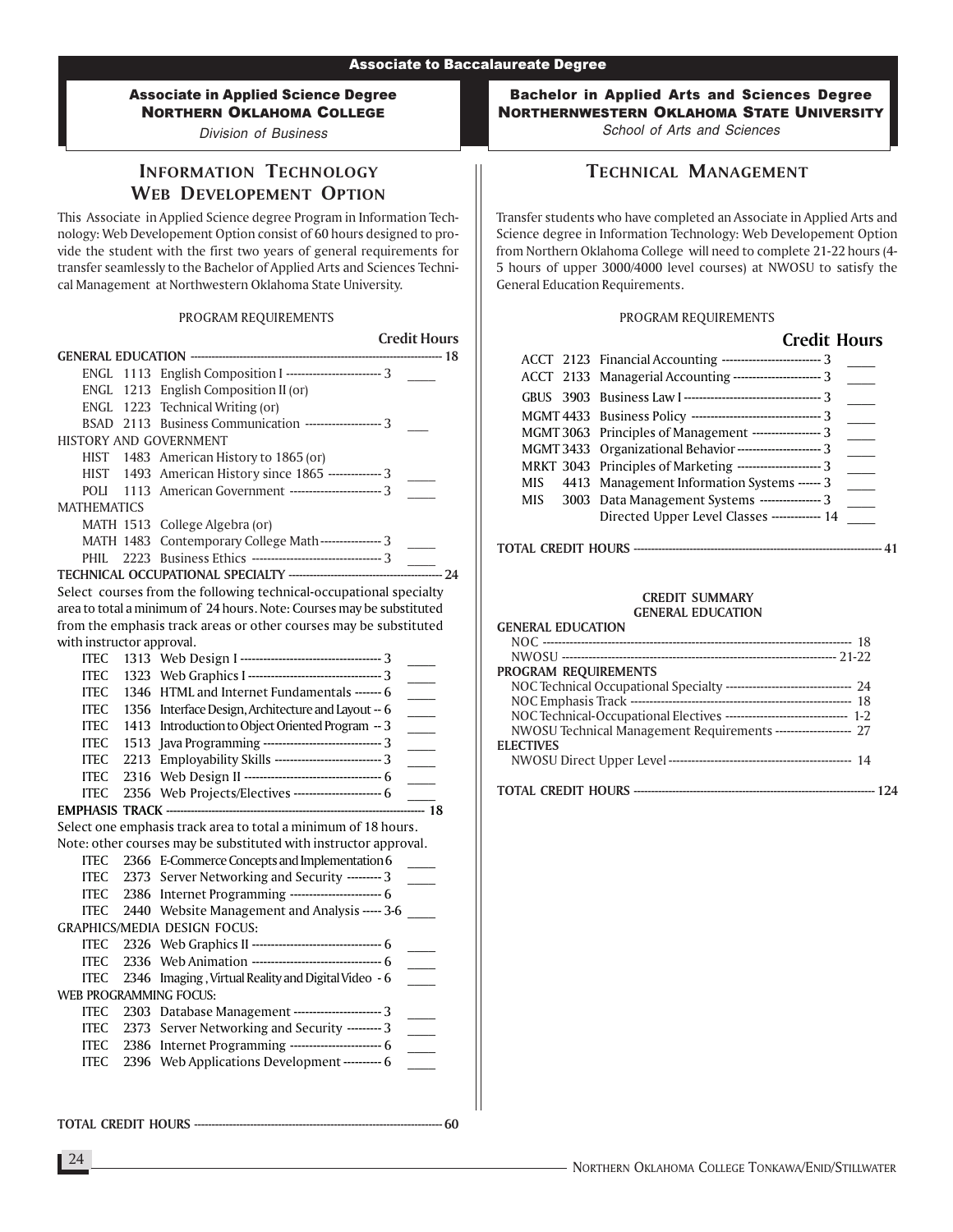Division of Business

# INFORMATION TECHNOLOGY WEB DEVELOPEMENT OPTION

This Associate in Applied Science degree Program in Information Technology: Web Developement Option consist of 60 hours designed to provide the student with the first two years of general requirements for transfer seamlessly to the Bachelor of Applied Arts and Sciences Technical Management at Northwestern Oklahoma State University.

### PROGRAM REQUIREMENTS

|                                     |                                                                       | <b>Credit Hours</b>      |
|-------------------------------------|-----------------------------------------------------------------------|--------------------------|
| ENGL                                | 1113 English Composition I ---------------------------- 3             |                          |
| ENGL                                | 1213 English Composition II (or)                                      |                          |
|                                     | ENGL 1223 Technical Writing (or)                                      |                          |
|                                     | BSAD 2113 Business Communication -------------------- 3               |                          |
| HISTORY AND GOVERNMENT              |                                                                       |                          |
|                                     | HIST 1483 American History to 1865 (or)                               |                          |
| HIST                                | 1493 American History since 1865 -------------- 3                     |                          |
| POLI<br>1113                        | American Government ------------------------ 3                        |                          |
| <b>MATHEMATICS</b>                  |                                                                       |                          |
|                                     | MATH 1513 College Algebra (or)                                        |                          |
|                                     | MATH 1483 Contemporary College Math---------------- 3                 | $\overline{\phantom{a}}$ |
| <b>PHIL</b>                         |                                                                       |                          |
|                                     | TECHNICAL OCCUPATIONAL SPECIALTY -------------------------            | $-$ 24                   |
|                                     | Select courses from the following technical-occupational specialty    |                          |
|                                     | area to total a minimum of 24 hours. Note: Courses may be substituted |                          |
|                                     | from the emphasis track areas or other courses may be substituted     |                          |
| with instructor approval.           |                                                                       |                          |
| <b>ITEC</b>                         |                                                                       |                          |
| <b>ITEC</b>                         |                                                                       |                          |
| <b>ITEC</b>                         | 1346 HTML and Internet Fundamentals ------- 6                         | $\overline{\phantom{a}}$ |
| <b>ITEC</b>                         | 1356 Interface Design, Architecture and Layout -- 6                   | $\overline{\phantom{a}}$ |
| <b>ITEC</b>                         | 1413 Introduction to Object Oriented Program -- 3                     |                          |
| <b>ITEC</b>                         | 1513 Java Programming ------------------------------- 3               |                          |
| <b>ITEC</b>                         | 2213 Employability Skills ----------------------------- 3             | $\overline{\phantom{a}}$ |
| <b>ITEC</b>                         |                                                                       |                          |
| <b>ITEC</b>                         | 2356 Web Projects/Electives ----------------------- 6                 | $\frac{1}{2}$ 18         |
|                                     | Select one emphasis track area to total a minimum of 18 hours.        |                          |
|                                     | Note: other courses may be substituted with instructor approval.      |                          |
| <b>ITEC</b>                         | 2366 E-Commerce Concepts and Implementation 6                         |                          |
| <b>ITEC</b><br>2373                 | Server Networking and Security --------- 3                            |                          |
| <b>ITEC</b>                         | 2386 Internet Programming ------------------------ 6                  |                          |
| <b>ITEC</b>                         | 2440 Website Management and Analysis ----- 3-6                        |                          |
|                                     | GRAPHICS/MEDIA DESIGN FOCUS:                                          |                          |
| <b>ITEC</b>                         |                                                                       |                          |
| <b>ITEC</b>                         |                                                                       |                          |
| <b>ITEC</b>                         | 2346 Imaging, Virtual Reality and Digital Video - 6                   |                          |
| WEB PROGRAMMING FOCUS:              |                                                                       |                          |
| <b>ITEC</b>                         | 2303 Database Management ----------------------- 3                    | $\sim$                   |
| <b>ITEC</b>                         | 2373 Server Networking and Security --------- 3                       |                          |
| <b>ITEC</b>                         | 2386 Internet Programming ------------------------- 6                 | $\overline{\phantom{a}}$ |
| <b>ITEC</b>                         | 2396 Web Applications Development ---------- 6                        |                          |
|                                     |                                                                       |                          |
|                                     |                                                                       |                          |
| <b>TOTAL CREDIT HOURS ---------</b> |                                                                       | - 60                     |

Bachelor in Applied Arts and Sciences Degree NORTHERNWESTERN OKLAHOMA STATE UNIVERSITY School of Arts and Sciences

# TECHNICAL MANAGEMENT

Transfer students who have completed an Associate in Applied Arts and Science degree in Information Technology: Web Developement Option from Northern Oklahoma College will need to complete 21-22 hours (4- 5 hours of upper 3000/4000 level courses) at NWOSU to satisfy the General Education Requirements.

### PROGRAM REQUIREMENTS

Credit Hours

|     | Credit Hours                                                    |
|-----|-----------------------------------------------------------------|
|     | ACCT 2123 Financial Accounting ------------------------------ 3 |
|     | ACCT 2133 Managerial Accounting ------------------------- 3     |
|     |                                                                 |
|     |                                                                 |
|     | MGMT 3063 Principles of Management ------------------- 3        |
|     | MGMT 3433 Organizational Behavior ---------------------- 3      |
|     | MRKT 3043 Principles of Marketing ----------------------- 3     |
| MIS | 4413 Management Information Systems ------ 3                    |
|     | MIS 3003 Data Management Systems ---------------- 3             |
|     | Directed Upper Level Classes ------------- 14                   |

### TOTAL CREDIT HOURS ----------------------------------------------------------------------- 41

| <b>GENERAL EDUCATION</b>                                                    |
|-----------------------------------------------------------------------------|
|                                                                             |
|                                                                             |
| PROGRAM REQUIREMENTS                                                        |
| NOC Technical Occupational Specialty ----------------------------------- 24 |
|                                                                             |
| NOC Technical-Occupational Electives -------------------------------- 1-2   |
| NWOSU Technical Management Requirements -------------------- 27             |
| <b>ELECTIVES</b>                                                            |
|                                                                             |
|                                                                             |
|                                                                             |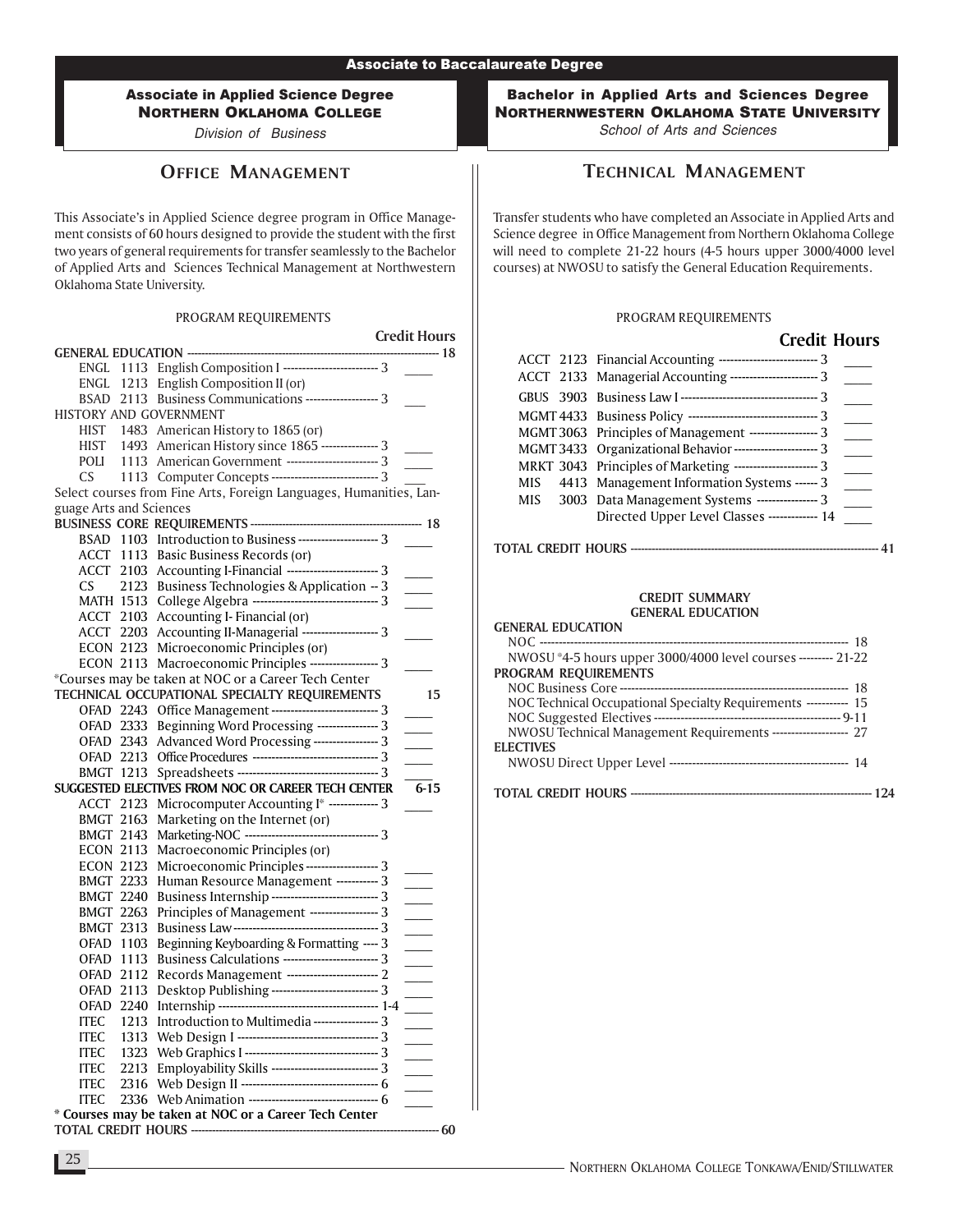Division of Business

# OFFICE MANAGEMENT

This Associate's in Applied Science degree program in Office Management consists of 60 hours designed to provide the student with the first two years of general requirements for transfer seamlessly to the Bachelor of Applied Arts and Sciences Technical Management at Northwestern Oklahoma State University.

### PROGRAM REQUIREMENTS

|                         |                                                                                | <b>Credit Hours</b>      |
|-------------------------|--------------------------------------------------------------------------------|--------------------------|
|                         |                                                                                | --------- 18             |
|                         | ENGL 1113 English Composition I ------------------------- 3                    |                          |
|                         | ENGL 1213 English Composition II (or)                                          |                          |
|                         | BSAD 2113 Business Communications ------------------- 3                        |                          |
| HISTORY AND GOVERNMENT  |                                                                                |                          |
|                         | HIST 1483 American History to 1865 (or)                                        |                          |
| HIST                    | 1493 American History since 1865 --------------- 3                             |                          |
| POLI                    | 1113 American Government ------------------------ 3                            |                          |
| <b>CS</b>               | 1113 Computer Concepts ---------------------------- 3                          |                          |
|                         | Select courses from Fine Arts, Foreign Languages, Humanities, Lan-             |                          |
| guage Arts and Sciences |                                                                                |                          |
|                         |                                                                                |                          |
|                         | BSAD 1103 Introduction to Business ---------------------- 3                    |                          |
|                         | ACCT 1113 Basic Business Records (or)                                          |                          |
|                         | ACCT 2103 Accounting I-Financial ------------------------ 3                    |                          |
| CS.<br>2123             | Business Technologies & Application -- 3                                       |                          |
| MATH 1513               | College Algebra --------------------------------- 3                            | $\sim$                   |
| <b>ACCT 2103</b>        | Accounting I- Financial (or)                                                   |                          |
| ACCT 2203               | Accounting II-Managerial ------------------- 3                                 |                          |
| <b>ECON 2123</b>        | Microeconomic Principles (or)                                                  |                          |
| <b>ECON 2113</b>        | Macroeconomic Principles ------------------ 3                                  |                          |
|                         | *Courses may be taken at NOC or a Career Tech Center                           |                          |
|                         | TECHNICAL OCCUPATIONAL SPECIALTY REQUIREMENTS                                  | 15                       |
|                         | OFAD 2243 Office Management ---------------------------- 3                     |                          |
| OFAD 2333               | Beginning Word Processing --------------- 3                                    |                          |
| OFAD 2343               | Advanced Word Processing ---------------- 3                                    |                          |
| OFAD 2213               |                                                                                |                          |
| <b>BMGT 1213</b>        |                                                                                |                          |
|                         | SUGGESTED ELECTIVES FROM NOC OR CAREER TECH CENTER                             | 6-15                     |
| ACCT 2123               | Microcomputer Accounting I* ------------ 3                                     |                          |
| <b>BMGT 2163</b>        | Marketing on the Internet (or)                                                 |                          |
|                         |                                                                                |                          |
| <b>BMGT 2143</b>        |                                                                                |                          |
| <b>ECON 2113</b>        | Macroeconomic Principles (or)<br>Microeconomic Principles ------------------ 3 |                          |
| <b>ECON 2123</b>        |                                                                                |                          |
| <b>BMGT 2233</b>        | Human Resource Management ----------- 3                                        |                          |
| <b>BMGT 2240</b>        | Business Internship ---------------------------- 3                             |                          |
| <b>BMGT 2263</b>        | Principles of Management ----------------- 3                                   |                          |
| <b>BMGT 2313</b>        |                                                                                | $\overline{\phantom{a}}$ |
| <b>OFAD 1103</b>        | Beginning Keyboarding & Formatting ---- 3                                      |                          |
| <b>OFAD 1113</b>        | Business Calculations ------------------------- 3                              | $\sim$                   |
| <b>OFAD 2112</b>        | Records Management ------------------------ 2                                  |                          |
| OFAD 2113               | Desktop Publishing ---------------------------- 3                              | $\equiv$                 |
| <b>OFAD 2240</b>        |                                                                                |                          |
| 1213<br><b>ITEC</b>     | Introduction to Multimedia ---------------- 3                                  |                          |
| <b>ITEC</b><br>1313     |                                                                                |                          |
| <b>ITEC</b><br>1323     |                                                                                |                          |
| <b>ITEC</b><br>2213     | Employability Skills ---------------------------- 3                            |                          |
| <b>ITEC</b><br>2316     |                                                                                |                          |
| <b>ITEC</b>             |                                                                                |                          |
|                         | * Courses may be taken at NOC or a Career Tech Center                          |                          |
|                         |                                                                                | --------- 60             |

Bachelor in Applied Arts and Sciences Degree NORTHERNWESTERN OKLAHOMA STATE UNIVERSITY School of Arts and Sciences

TECHNICAL MANAGEMENT

Transfer students who have completed an Associate in Applied Arts and Science degree in Office Management from Northern Oklahoma College will need to complete 21-22 hours (4-5 hours upper 3000/4000 level courses) at NWOSU to satisfy the General Education Requirements.

### PROGRAM REQUIREMENTS

| <b>Credit Hours</b>                                             |
|-----------------------------------------------------------------|
| ACCT 2123 Financial Accounting ------------------------------ 3 |
| ACCT 2133 Managerial Accounting ------------------------ 3      |
|                                                                 |
|                                                                 |
| MGMT 3063 Principles of Management ------------------- 3        |
| MGMT 3433 Organizational Behavior ---------------------- 3      |
| MRKT 3043 Principles of Marketing ---------------------- 3      |
| MIS 4413 Management Information Systems ------ 3                |
| MIS 3003 Data Management Systems ----------------- 3            |
| Directed Upper Level Classes ------------- 14                   |

### TOTAL CREDIT HOURS ----------------------------------------------------------------------- 41

| <b>GENERAL EDUCATION</b>                                         |
|------------------------------------------------------------------|
|                                                                  |
| NWOSU *4-5 hours upper 3000/4000 level courses --------- 21-22   |
| PROGRAM REQUIREMENTS                                             |
|                                                                  |
| NOC Technical Occupational Specialty Requirements ----------- 15 |
|                                                                  |
| NWOSU Technical Management Requirements --------------------- 27 |
| <b>ELECTIVES</b>                                                 |
|                                                                  |
|                                                                  |
|                                                                  |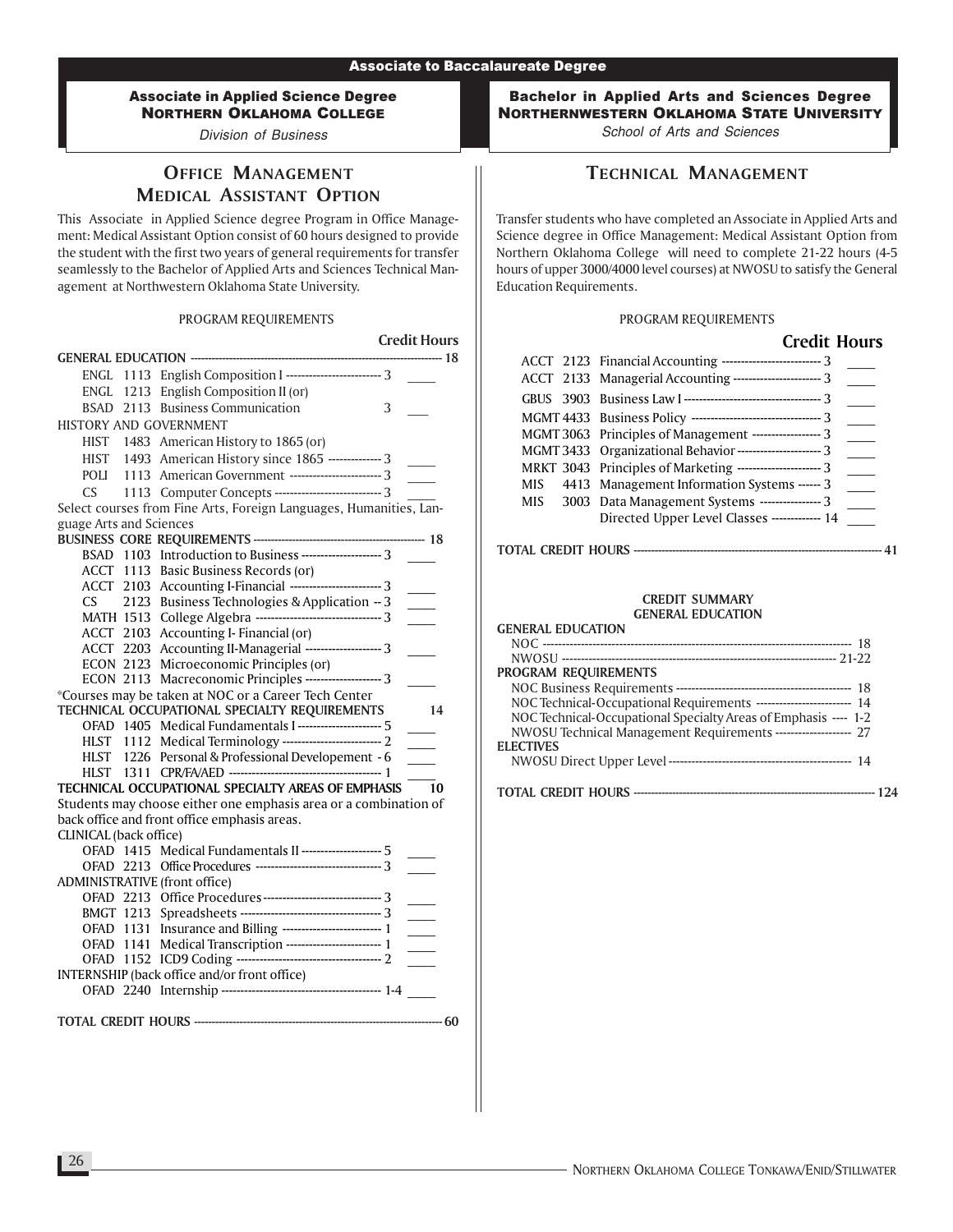Division of Business

# OFFICE MANAGEMENT MEDICAL ASSISTANT OPTION

This Associate in Applied Science degree Program in Office Management: Medical Assistant Option consist of 60 hours designed to provide the student with the first two years of general requirements for transfer seamlessly to the Bachelor of Applied Arts and Sciences Technical Management at Northwestern Oklahoma State University.

#### PROGRAM REQUIREMENTS

|                               |                                                                                                                        | <b>Credit Hours</b>      |                 |
|-------------------------------|------------------------------------------------------------------------------------------------------------------------|--------------------------|-----------------|
|                               |                                                                                                                        |                          | ---------- 18   |
|                               | ENGL 1113 English Composition I ------------------------- 3                                                            |                          |                 |
|                               | ENGL 1213 English Composition II (or)                                                                                  |                          |                 |
|                               | BSAD 2113 Business Communication                                                                                       | 3                        |                 |
| <b>HISTORY AND GOVERNMENT</b> |                                                                                                                        |                          |                 |
|                               |                                                                                                                        |                          |                 |
|                               | HIST 1483 American History to 1865 (or)<br>HIST 1493 American History since 1865 --------------3                       |                          |                 |
| POLI                          | 1113 American Government ------------------------ 3                                                                    |                          |                 |
| CS                            | 1113 Computer Concepts ---------------------------- 3                                                                  |                          |                 |
|                               | Select courses from Fine Arts, Foreign Languages, Humanities, Lan-                                                     |                          |                 |
| guage Arts and Sciences       |                                                                                                                        |                          |                 |
|                               |                                                                                                                        |                          |                 |
|                               | BSAD 1103 Introduction to Business ----------------------- 3                                                           |                          |                 |
|                               | ACCT 1113 Basic Business Records (or)                                                                                  |                          |                 |
|                               | ACCT 2103 Accounting I-Financial -------------------------- 3                                                          |                          |                 |
| CS.                           | 2123 Business Technologies & Application -- 3                                                                          |                          |                 |
|                               | MATH 1513 College Algebra ---------------------------------- 3                                                         |                          |                 |
|                               | ACCT 2103 Accounting I-Financial (or)                                                                                  |                          |                 |
|                               | ACCT 2203 Accounting II-Managerial -------------------- 3                                                              |                          |                 |
|                               |                                                                                                                        |                          |                 |
|                               | ECON 2123 Microeconomic Principles (or)<br>ECON 2113 Macreconomic Principles -------------------- 3                    |                          |                 |
|                               | *Courses may be taken at NOC or a Career Tech Center                                                                   |                          |                 |
|                               | TECHNICAL OCCUPATIONAL SPECIALTY REQUIREMENTS                                                                          |                          | 14              |
|                               | OFAD 1405 Medical Fundamentals I ---------------------- 5                                                              |                          |                 |
|                               |                                                                                                                        | $\overline{\phantom{a}}$ |                 |
|                               | HLST 1112 Medical Terminology -------------------------------- 2<br>HLST 1226 Personal & Professional Developement - 6 |                          |                 |
|                               |                                                                                                                        |                          |                 |
|                               | TECHNICAL OCCUPATIONAL SPECIALTY AREAS OF EMPHASIS                                                                     |                          | $\overline{10}$ |
|                               | Students may choose either one emphasis area or a combination of                                                       |                          |                 |
|                               | back office and front office emphasis areas.                                                                           |                          |                 |
| CLINICAL (back office)        |                                                                                                                        |                          |                 |
|                               | OFAD 1415 Medical Fundamentals II --------------------- 5                                                              |                          |                 |
|                               | OFAD 2213 Office Procedures ---------------------------------- 3                                                       |                          |                 |
| ADMINISTRATIVE (front office) |                                                                                                                        |                          |                 |
|                               | OFAD 2213 Office Procedures---------------------------------- 3                                                        |                          |                 |
|                               |                                                                                                                        | $\overline{\phantom{a}}$ |                 |
|                               | OFAD 1131 Insurance and Billing --------------------------- 1                                                          |                          | $\sim 10^{-1}$  |
|                               | OFAD 1141 Medical Transcription ------------------------ 1                                                             |                          |                 |
|                               |                                                                                                                        |                          |                 |
|                               |                                                                                                                        |                          |                 |
|                               |                                                                                                                        |                          |                 |
|                               |                                                                                                                        |                          |                 |
|                               |                                                                                                                        |                          | --- 60          |
|                               |                                                                                                                        |                          |                 |
|                               |                                                                                                                        |                          |                 |

Bachelor in Applied Arts and Sciences Degree NORTHERNWESTERN OKLAHOMA STATE UNIVERSITY

School of Arts and Sciences

# TECHNICAL MANAGEMENT

Transfer students who have completed an Associate in Applied Arts and Science degree in Office Management: Medical Assistant Option from Northern Oklahoma College will need to complete 21-22 hours (4-5 hours of upper 3000/4000 level courses) at NWOSU to satisfy the General Education Requirements.

#### PROGRAM REQUIREMENTS

|     | <b>Credit Hours</b>                                           |  |
|-----|---------------------------------------------------------------|--|
|     | ACCT 2123 Financial Accounting ---------------------------- 3 |  |
|     | ACCT 2133 Managerial Accounting ----------------------- 3     |  |
|     |                                                               |  |
|     |                                                               |  |
|     | MGMT 3063 Principles of Management ------------------ 3       |  |
|     | MGMT 3433 Organizational Behavior ---------------------- 3    |  |
|     | MRKT 3043 Principles of Marketing ----------------------- 3   |  |
|     | MIS 4413 Management Information Systems ------ 3              |  |
| MIS | 3003 Data Management Systems ---------------- 3               |  |
|     | Directed Upper Level Classes ------------- 14                 |  |

#### TOTAL CREDIT HOURS ----------------------------------------------------------------------- 41

| <b>GENERAL EDUCATION</b>                                              |
|-----------------------------------------------------------------------|
|                                                                       |
|                                                                       |
| <b>PROGRAM REQUIREMENTS</b>                                           |
|                                                                       |
| NOC Technical-Occupational Requirements -------------------------- 14 |
| NOC Technical-Occupational Specialty Areas of Emphasis ---- 1-2       |
| NWOSU Technical Management Requirements -------------------- 27       |
| <b>ELECTIVES</b>                                                      |
|                                                                       |
|                                                                       |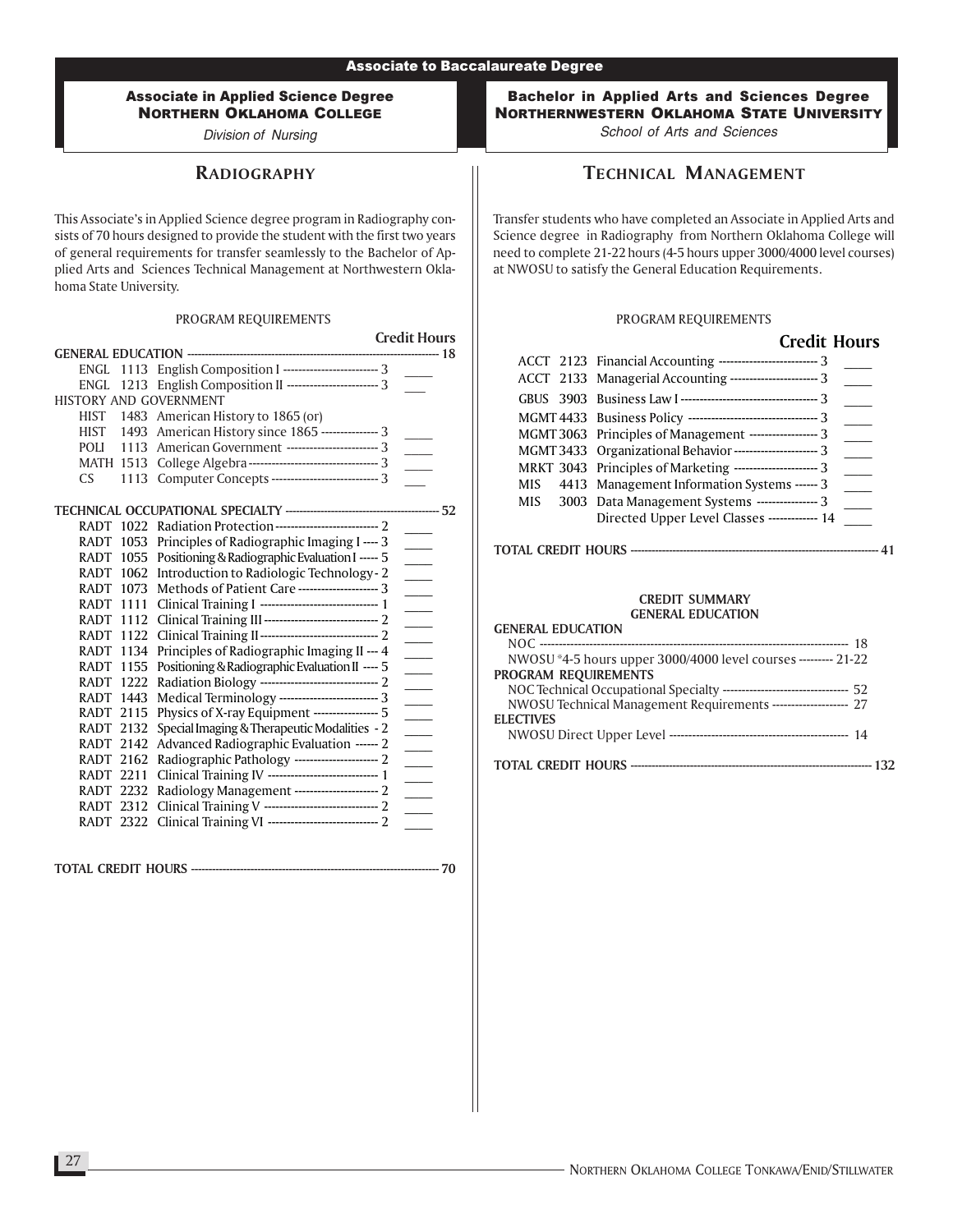Division of Nursing

# **RADIOGRAPHY**

This Associate's in Applied Science degree program in Radiography consists of 70 hours designed to provide the student with the first two years of general requirements for transfer seamlessly to the Bachelor of Applied Arts and Sciences Technical Management at Northwestern Oklahoma State University.

#### PROGRAM REQUIREMENTS

Credit Hours GENERAL EDUCATION ------------------------------------------------------------------------ 18 ENGL 1113 English Composition I ---------------------------- 3 ENGL 1213 English Composition II ---------------------------- 3 HISTORY AND GOVERNMENT HIST 1483 American History to 1865 (or) HIST 1493 American History since 1865 --------------- 3 POLI 1113 American Government -------------------------- 3 MATH 1513 College Algebra ---------------------------------- 3 \_\_\_\_ CS 1113 Computer Concepts --------------------------------- 3 TECHNICAL OCCUPATIONAL SPECIALTY -------------------------------------------- 52 RADT 1022 Radiation Protection--------------------------- 2 \_\_\_\_ RADT 1053 Principles of Radiographic Imaging I ---- 3 RADT 1055 Positioning & Radiographic Evaluation I ----- 5 RADT 1062 Introduction to Radiologic Technology-2 RADT 1073 Methods of Patient Care ---------------------- 3 RADT 1111 Clinical Training I ---------------------------------- 1 RADT 1112 Clinical Training III ------------------------------ 2 \_\_\_\_ RADT 1122 Clinical Training II------------------------------- 2 \_\_\_\_ RADT 1134 Principles of Radiographic Imaging II --- 4 RADT 1155 Positioning & Radiographic Evaluation II ---- 5 RADT 1222 Radiation Biology ---------------------------------- 2 RADT 1443 Medical Terminology --------------------------- 3 RADT 2115 Physics of X-ray Equipment ----------------- 5 RADT 2132 Special Imaging & Therapeutic Modalities - 2 RADT 2142 Advanced Radiographic Evaluation ------ 2 RADT 2162 Radiographic Pathology ----------------------- 2 RADT 2211 Clinical Training IV -------------------------------- 1 RADT 2232 Radiology Management ----------------------- 2 RADT 2312 Clinical Training V --------------------------------- 2 RADT 2322 Clinical Training VI ----------------------------- 2 \_\_\_\_

TOTAL CREDIT HOURS ----------------------------------------------------------------------- 70

Bachelor in Applied Arts and Sciences Degree NORTHERNWESTERN OKLAHOMA STATE UNIVERSITY School of Arts and Sciences

TECHNICAL MANAGEMENT

Transfer students who have completed an Associate in Applied Arts and Science degree in Radiography from Northern Oklahoma College will need to complete 21-22 hours (4-5 hours upper 3000/4000 level courses) at NWOSU to satisfy the General Education Requirements.

#### PROGRAM REQUIREMENTS

|       | <b>Credit Hours</b>                                             |
|-------|-----------------------------------------------------------------|
|       | ACCT 2123 Financial Accounting ------------------------------ 3 |
|       | ACCT 2133 Managerial Accounting ------------------------ 3      |
|       |                                                                 |
|       |                                                                 |
|       | MGMT 3063 Principles of Management ------------------- 3        |
|       | MGMT 3433 Organizational Behavior ---------------------- 3      |
|       | MRKT 3043 Principles of Marketing ---------------------- 3      |
| MIS — | 4413 Management Information Systems ------ 3                    |
|       | MIS 3003 Data Management Systems ---------------- 3             |
|       | Directed Upper Level Classes ------------- 14                   |

TOTAL CREDIT HOURS ----------------------------------------------------------------------- 41

| <b>GENERAL EDUCATION</b>                                                  |
|---------------------------------------------------------------------------|
|                                                                           |
| NWOSU *4-5 hours upper 3000/4000 level courses --------- 21-22            |
| PROGRAM REQUIREMENTS                                                      |
| NOC Technical Occupational Specialty --------------------------------- 52 |
| NWOSU Technical Management Requirements -------------------- 27           |
| <b>ELECTIVES</b>                                                          |
|                                                                           |
|                                                                           |
|                                                                           |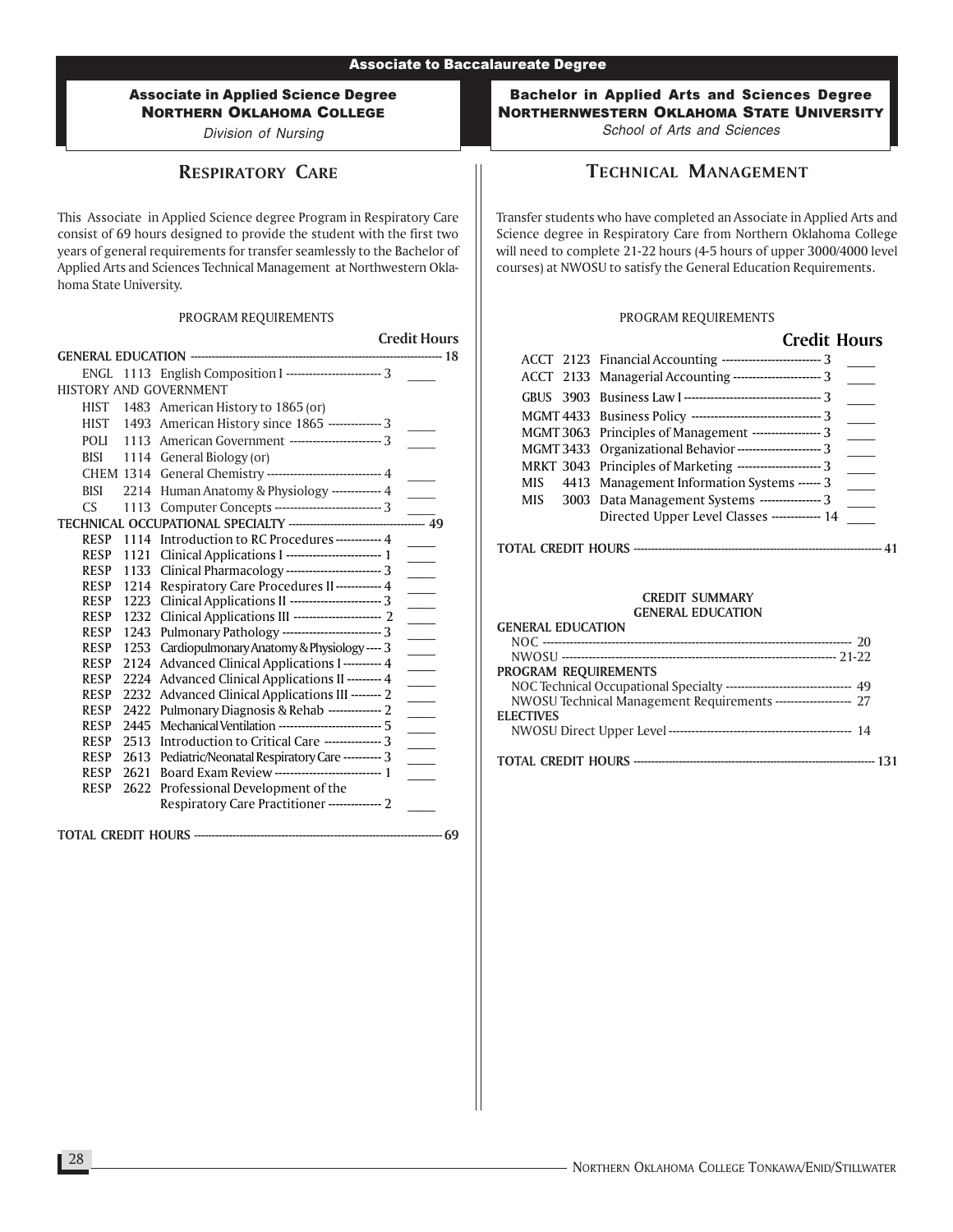Division of Nursing

# RESPIRATORY CARE

This Associate in Applied Science degree Program in Respiratory Care consist of 69 hours designed to provide the student with the first two years of general requirements for transfer seamlessly to the Bachelor of Applied Arts and Sciences Technical Management at Northwestern Oklahoma State University.

### PROGRAM REQUIREMENTS

|                            |              |                                                                                                      | <b>Credit Hours</b>      |
|----------------------------|--------------|------------------------------------------------------------------------------------------------------|--------------------------|
|                            |              |                                                                                                      |                          |
|                            |              | ENGL 1113 English Composition I ------------------------- 3                                          |                          |
|                            |              | HISTORY AND GOVERNMENT                                                                               |                          |
| HIST                       |              | 1483 American History to 1865 (or)                                                                   |                          |
| <b>HIST</b>                |              | 1493 American History since 1865 -------------- 3                                                    |                          |
| <b>POLI</b>                |              | 1113 American Government ------------------------ 3                                                  |                          |
| <b>BISI</b>                |              | 1114 General Biology (or)                                                                            |                          |
|                            |              | CHEM 1314 General Chemistry ----------------------------- 4                                          |                          |
| <b>BISI</b>                | 2214         | Human Anatomy & Physiology ------------- 4                                                           |                          |
| CS.                        |              | 1113 Computer Concepts ---------------------------- 3                                                |                          |
|                            |              | TECHNICAL OCCUPATIONAL SPECIALTY -----------------------------                                       | $\frac{1}{49}$           |
| <b>RESP</b>                | 1114         | Introduction to RC Procedures ------------ 4                                                         |                          |
| <b>RESP</b>                | 1121         |                                                                                                      |                          |
| <b>RESP</b>                | 1133         | Clinical Pharmacology ------------------------- 3                                                    | $\sim$                   |
| <b>RESP</b>                | 1214         | Respiratory Care Procedures II------------ 4                                                         |                          |
| <b>RESP</b>                | 1223         | Clinical Applications II ------------------------ 3                                                  | $\sim$ 10 $\pm$          |
| <b>RESP</b>                | 1232         | Clinical Applications III ---------------------- 2                                                   |                          |
| <b>RESP</b>                | 1243         | Pulmonary Pathology -------------------------- 3                                                     |                          |
| <b>RESP</b>                | 1253         | Cardiopulmonary Anatomy & Physiology ---- 3                                                          |                          |
| <b>RESP</b>                | 2124         | <b>Advanced Clinical Applications I ---------- 4</b>                                                 |                          |
| <b>RESP</b>                | 2224         | Advanced Clinical Applications II --------- 4                                                        | $\overline{\phantom{0}}$ |
| <b>RESP</b>                | 2232         | Advanced Clinical Applications III -------- 2                                                        | $\sim 10$                |
| <b>RESP</b>                | 2422         | Pulmonary Diagnosis & Rehab -------------- 2                                                         |                          |
| <b>RESP</b>                | 2445         | Mechanical Ventilation --------------------------- 5                                                 | $\overline{a}$           |
| <b>RESP</b>                | 2513         | Introduction to Critical Care --------------- 3                                                      | $\sim 10^{-1}$           |
| <b>RESP</b><br><b>RESP</b> | 2613<br>2621 | Pediatric/Neonatal Respiratory Care ---------- 3<br>Board Exam Review ---------------------------- 1 |                          |
| <b>RESP</b>                | 2622         | Professional Development of the                                                                      | $\sim$                   |
|                            |              | Respiratory Care Practitioner-------------- 2                                                        |                          |
|                            |              |                                                                                                      |                          |
|                            |              |                                                                                                      |                          |

TOTAL CREDIT HOURS ----------------------------------------------------------------------- 69

Bachelor in Applied Arts and Sciences Degree NORTHERNWESTERN OKLAHOMA STATE UNIVERSITY School of Arts and Sciences

TECHNICAL MANAGEMENT

Transfer students who have completed an Associate in Applied Arts and Science degree in Respiratory Care from Northern Oklahoma College will need to complete 21-22 hours (4-5 hours of upper 3000/4000 level courses) at NWOSU to satisfy the General Education Requirements.

### PROGRAM REQUIREMENTS

 $C_{\text{max}}$  H<sub>2</sub> H<sub>3</sub> H<sub>3</sub>  $\sim$ 

|  | Crean Hours                                                    |  |
|--|----------------------------------------------------------------|--|
|  | ACCT 2123 Financial Accounting --------------------------- 3   |  |
|  | ACCT 2133 Managerial Accounting ----------------------- 3      |  |
|  |                                                                |  |
|  | MGMT 4433 Business Policy ---------------------------------- 3 |  |
|  | MGMT 3063 Principles of Management ------------------ 3        |  |
|  | MGMT 3433 Organizational Behavior ---------------------- 3     |  |
|  | MRKT 3043 Principles of Marketing ---------------------- 3     |  |
|  | MIS 4413 Management Information Systems ------ 3               |  |
|  | MIS 3003 Data Management Systems ---------------- 3            |  |
|  | Directed Upper Level Classes ------------- 14                  |  |

### TOTAL CREDIT HOURS ----------------------------------------------------------------------- 41

| <b>GENERAL EDUCATION</b>                                                  |
|---------------------------------------------------------------------------|
|                                                                           |
|                                                                           |
| <b>PROGRAM REQUIREMENTS</b>                                               |
| NOC Technical Occupational Specialty --------------------------------- 49 |
| NWOSU Technical Management Requirements -------------------- 27           |
| <b>ELECTIVES</b>                                                          |
|                                                                           |
|                                                                           |
|                                                                           |